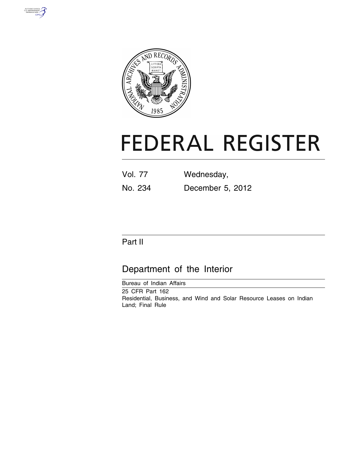



# **FEDERAL REGISTER**

| <b>Vol. 77</b> | Wednesday,       |
|----------------|------------------|
| No. 234        | December 5, 2012 |

# Part II

# Department of the Interior

Bureau of Indian Affairs 25 CFR Part 162 Residential, Business, and Wind and Solar Resource Leases on Indian Land; Final Rule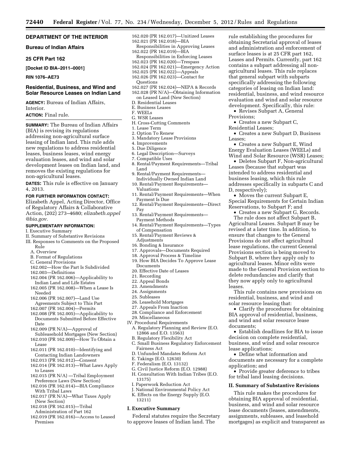# **DEPARTMENT OF THE INTERIOR**

**Bureau of Indian Affairs** 

#### **25 CFR Part 162**

**[Docket ID BIA–2011–0001]** 

# **RIN 1076–AE73**

# **Residential, Business, and Wind and Solar Resource Leases on Indian Land**

**AGENCY:** Bureau of Indian Affairs, Interior.

# **ACTION:** Final rule.

**SUMMARY:** The Bureau of Indian Affairs (BIA) is revising its regulations addressing non-agricultural surface leasing of Indian land. This rule adds new regulations to address residential leases, business leases, wind energy evaluation leases, and wind and solar development leases on Indian land, and removes the existing regulations for non-agricultural leases.

**DATES:** This rule is effective on January 4, 2013.

#### **FOR FURTHER INFORMATION CONTACT:**

Elizabeth Appel, Acting Director, Office of Regulatory Affairs & Collaborative Action, (202) 273–4680; *[elizabeth.appel](mailto:elizabeth.appel@bia.gov) [@bia.gov.](mailto:elizabeth.appel@bia.gov)* 

# **SUPPLEMENTARY INFORMATION:**

- I. Executive Summary
- II. Summary of Substantive Revisions
- III. Responses to Comments on the Proposed Rule
	- A. Overview
	- B. Format of Regulations
	- C. General Provisions
	- 162.002—How the Part Is Subdivided
	- 162.003—Definitions
	- 162.004 (PR 162.006)—Applicability to Indian Land and Life Estates
	- 162.005 (PR 162.008)—When a Lease Is Needed
	- 162.006 (PR 162.007)—Land Use
	- Agreements Subject to This Part
	- 162.007 (PR 162.004)—Permits
	- 162.008 (PR 162.005)—Applicability to Documents Submitted Before Effective Date
	- 162.009 (PR N/A)—Approval of
	- Subleasehold Mortgages (New Section) 162.010 (PR 162.009)—How To Obtain a
	- Lease 162.011 (PR 162.010)—Identifying and Contacting Indian Landowners
	- 162.013 (PR 162.012)—Consent
	- 162.014 (PR 162.013)—What Laws Apply to Leases
	- 162.015 (PR N/A) —Tribal Employment Preference Laws (New Section)
	- 162.016 (PR 162.014)—BIA Compliance With Tribal Laws
	- 162.017 (PR N/A)—What Taxes Apply (New Section)
	- 162.018 (PR 162.015)—Tribal
	- Administration of Part 162
	- 162.019 (PR 162.016)—Access to Leased Premises
- 162.020 (PR 162.017)—Unitized Leases
- 162.021 (PR 162.018)—BIA
- Responsibilities in Approving Leases 162.022 (PR 162.019)—BIA
- Responsibilities in Enforcing Leases
- 162.023 (PR 162.020)—Trespass
- 162.024 (PR 162.021)—Emergency Action
- 162.025 (PR 162.022)—Appeals
- 162.026 (PR 162.023)—Contact for
- Questions
- 162.027 (PR 162.024)—NEPA & Records 162.028 (PR N/A)—Obtaining Information on Leased Land (New Section)
- D. Residential Leases
- E. Business Leases
- F. WEELs
- G. WSR Leases
- H. Cross-Cutting Comments
- 1. Lease Term
- 2. Option To Renew
- 3. Mandatory Lease Provisions
- 4. Improvements
- 5. Due Diligence
- 6. Legal Description—Surveys
- 7. Compatible Uses
- 8. Rental/Payment Requirements—Tribal Land
- 9. Rental/Payment Requirements— Individually Owned Indian Land
- 10. Rental/Payment Requirements— Valuations
- 11. Rental/Payment Requirements—When Payment Is Due
- 12. Rental/Payment Requirements—Direct Pay
- 13. Rental/Payment Requirements— Payment Methods
- 14. Rental/Payment Requirements—Types of Compensation
- 15. Rental/Payment Reviews & Adjustments
- 16. Bonding & Insurance
- 17. Approvals—Documents Required
- 18. Approval Process & Timeline
- 19. How BIA Decides To Approve Lease Documents
- 20. Effective Date of Leases
- 21. Recording
- 22. Appeal Bonds
- 23. Amendments
- 24. Assignments
- 25. Subleases
- 26. Leasehold Mortgages
- 27. Appeals From Inaction
- 28. Compliance and Enforcement
- 29. Miscellaneous
- IV. Procedural Requirements
- A. Regulatory Planning and Review (E.O. 12866 and E.O. 13563)
- B. Regulatory Flexibility Act C. Small Business Regulatory Enforcement Fairness Act
- D. Unfunded Mandates Reform Act
- E. Takings (E.O. 12630)
- F. Federalism (E.O. 13132)
- G. Civil Justice Reform (E.O. 12988)
- H. Consultation With Indian Tribes (E.O. 13175)
- I. Paperwork Reduction Act
- J. National Environmental Policy Act K. Effects on the Energy Supply (E.O. 13211)

#### **I. Executive Summary**

Federal statutes require the Secretary to approve leases of Indian land. The

rule establishing the procedures for obtaining Secretarial approval of leases and administration and enforcement of surface leases is at 25 CFR part 162, Leases and Permits. Currently, part 162 contains a subpart addressing all nonagricultural leases. This rule replaces that general subpart with subparts specifically addressing the following categories of leasing on Indian land: residential, business, and wind resource evaluation and wind and solar resource development. Specifically, this rule:

• Revises Subpart A, General Provisions;

• Creates a new Subpart C,

Residential Leases; • Creates a new Subpart D, Business

Leases (because that subpart was intended to address residential and business leasing, which this rule addresses specifically in subparts C and

• Moves the current Subpart E, Special Requirements for Certain Indian

• Creates a new Subpart G, Records. The rule does not affect Subpart B, Agricultural Leases. Subpart B may be revised at a later time. In addition, to ensure that changes to the General Provisions do not affect agricultural lease regulations, the current General Provisions section is being moved to Subpart B, where they apply only to agricultural leases. Minor edits were made to the General Provision section to delete redundancies and clarify that they now apply only to agricultural

This rule contains new provisions on residential, business, and wind and

• Clarify the procedures for obtaining BIA approval of residential, business, and wind and solar resource lease

• Establish deadlines for BIA to issue decision on complete residential, business, and wind and solar resource

• Define what information and documents are necessary for a complete

for tribal land leasing decisions.

• Provide greater deference to tribes

**II. Summary of Substantive Revisions**  This rule makes the procedures for obtaining BIA approval of residential, business, and wind and solar resource lease documents (leases, amendments, assignments, subleases, and leasehold mortgages) as explicit and transparent as

solar resource leasing that:

Reservations, to Subpart F; and

D, respectively);

leases.

documents;

lease applications;

application; and

Leases; • Creates a new Subpart E, Wind

Energy Evaluation Leases (WEELs) and Wind and Solar Resource (WSR) Leases; • Deletes Subpart F, Non-agricultural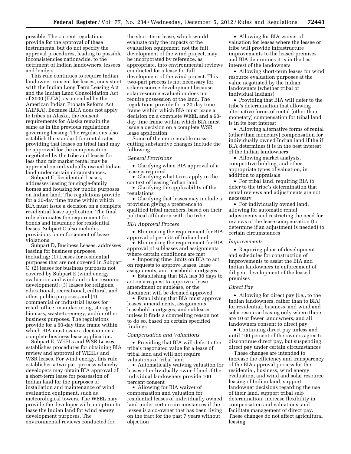possible. The current regulations provide for the approval of these instruments, but do not specify the approval procedures, leading to possible inconsistencies nationwide, to the detriment of Indian landowners, lessees and lenders.

This rule continues to require Indian landowner consent for leases, consistent with the Indian Long Term Leasing Act and the Indian Land Consolidation Act of 2000 (ILCA), as amended by the American Indian Probate Reform Act (AIPRA). Because ILCA does not apply to tribes in Alaska, the consent requirements for Alaska remain the same as in the previous regulations governing leasing. The regulations also establish the standard for rental rates, providing that leases on tribal land may be approved for the compensation negotiated by the tribe and leases for less than fair market rental may be approved on individually owned Indian land under certain circumstances.

Subpart C, Residential Leases, addresses leasing for single-family homes and housing for public purposes on Indian land. The regulations provide for a 30-day time frame within which BIA must issue a decision on a complete residential lease application. The final rule eliminates the requirement for bonds and insurance for residential leases. Subpart C also includes provisions for enforcement of lease violations.

Subpart D, Business Leases, addresses leasing for business purposes, including: (1) Leases for residential purposes that are not covered in Subpart C; (2) leases for business purposes not covered by Subpart E (wind energy evaluation and wind and solar resource development); (3) leases for religious, educational, recreational, cultural, and other public purposes; and (4) commercial or industrial leases for retail, office, manufacturing, storage, biomass, waste-to-energy, and/or other business purposes. The regulations provide for a 60-day time frame within which BIA must issue a decision on a complete business lease application.

Subpart E, WEELs and WSR Leases, establishes procedures for obtaining BIA review and approval of WEELs and WSR leases. For wind energy, this rule establishes a two-part process whereby developers may obtain BIA approval of a short-term lease for possession of Indian land for the purposes of installation and maintenance of wind evaluation equipment, such as meteorological towers. The WEEL may provide the developer with an option to lease the Indian land for wind energy development purposes. The environmental reviews conducted for

the short-term lease, which would evaluate only the impacts of the evaluation equipment, not the full development of the wind project, may be incorporated by reference, as appropriate, into environmental reviews conducted for a lease for full development of the wind project. This two-part process is not necessary for solar resource development because solar resource evaluation does not require possession of the land. The regulations provide for a 20-day time frame within which BIA must issue a decision on a complete WEEL and a 60 day time frame within which BIA must issue a decision on a complete WSR lease application.

Some of the more notable crosscutting substantive changes include the following.

#### *General Provisions*

• Clarifying when BIA approval of a lease is required

• Clarifying what taxes apply in the context of leasing Indian land

• Clarifying the applicability of the regulations

• Clarifying that leases may include a provision giving a preference to qualified tribal members, based on their political affiliation with the tribe

#### *BIA Approval Process*

• Eliminating the requirement for BIA approval of permits of Indian land

• Eliminating the requirement for BIA approval of subleases and assignments where certain conditions are met

• Imposing time limits on BIA to act on requests to approve leases, lease assignments, and leasehold mortgages

• Establishing that BIA has 30 days to act on a request to approve a lease amendment or sublease, or the document will be deemed approved

• Establishing that BIA must approve leases, amendments, assignments, leasehold mortgages, and subleases unless it finds a compelling reason not to do so, based on certain specified findings

#### *Compensation and Valuations*

• Providing that BIA will defer to the tribe's negotiated value for a lease of tribal land and will not require valuations of tribal land

• Automatically waiving valuation for leases of individually owned land if the individual landowners provide 100 percent consent

• Allowing for BIA waiver of compensation and valuation for residential leases of individually owned land under certain circumstances if the lessee is a co-owner that has been living on the tract for the past 7 years without objection

• Allowing for BIA waiver of valuation for leases where the lessee or tribe will provide infrastructure improvements to the leased premises and BIA determines it is in the best interest of the landowners

• Allowing short-term leases for wind resource evaluation purposes at the value negotiated by the Indian landowners (whether tribal or individual Indians)

• Providing that BIA will defer to the tribe's determination that allowing alternative forms of rental (other than monetary) compensation for tribal land is in its best interest

• Allowing alternative forms of rental (other than monetary) compensation for individually owned Indian land if the if BIA determines it is in the best interest of the Indian landowners

• Allowing market analysis, competitive bidding, and other appropriate types of valuation, in addition to appraisals

• For tribal land, requiring BIA to defer to the tribe's determination that rental reviews and adjustments are not necessary

• For individually owned land, allowing for automatic rental adjustments and restricting the need for reviews of the lease compensation (to determine if an adjustment is needed) to certain circumstances

# *Improvements*

• Requiring plans of development and schedules for construction of improvements to assist the BIA and Indian landowners in enforcement of diligent development of the leased premises

#### *Direct Pay*

• Allowing for direct pay (i.e., to the Indian landowners, rather than to BIA) for residential, business, and wind and solar resource leasing only where there are 10 or fewer landowners, and all landowners consent to direct pay

• Continuing direct pay unless and until 100 percent of the owners agree to discontinue direct pay, but suspending direct pay under certain circumstances

These changes are intended to increase the efficiency and transparency of the BIA approval process for the residential, business, wind energy evaluation, and wind and solar resource leasing of Indian land, support landowner decisions regarding the use of their land, support tribal selfdetermination, increase flexibility in compensation and valuations, and facilitate management of direct pay. These changes do not affect agricultural leasing.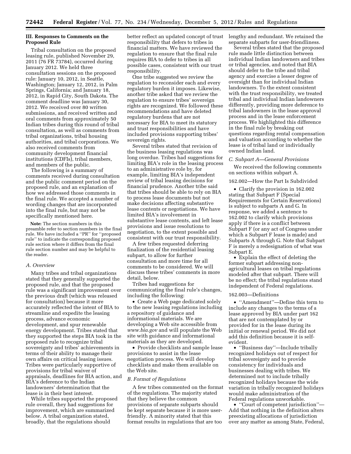# **III. Responses to Comments on the Proposed Rule**

Tribal consultation on the proposed leasing rule, published November 29, 2011 (76 FR 73784), occurred during January 2012. We held three consultation sessions on the proposed rule: January 10, 2012, in Seattle, Washington; January 12, 2012, in Palm Springs, California; and January 18, 2012, in Rapid City, South Dakota. The comment deadline was January 30, 2012. We received over 80 written submissions, and received written and oral comments from approximately 50 Indian tribes during this round of tribal consultation, as well as comments from tribal organizations, tribal housing authorities, and tribal corporations. We also received comments from community development financial institutions (CDFIs), tribal members, and members of the public.

The following is a summary of comments received during consultation and the public comment period on the proposed rule, and an explanation of how we addressed those comments in the final rule. We accepted a number of wording changes that are incorporated into the final rule, but may not be specifically mentioned here.

**Note:** The section numbers in this preamble refer to section numbers in the final rule. We have included a ''PR'' for ''proposed rule'' to indicate the corresponding proposed rule section where it differs from the final rule section number and may be helpful to the reader.

# *A. Overview*

Many tribes and tribal organizations stated that they generally supported the proposed rule, and that the proposed rule was a significant improvement over the previous draft (which was released for consultation) because it more accurately reflected the intent of BIA to streamline and expedite the leasing process, advance economic development, and spur renewable energy development. Tribes stated that they supported the steps BIA took in the proposed rule to recognize tribal sovereignty and tribes' achievements in terms of their ability to manage their own affairs on critical leasing issues. Tribes were particularly supportive of provisions for tribal waiver of appraisals, deadlines for BIA action, and BIA's deference to the Indian landowners' determination that the lease is in their best interest.

While tribes supported the proposed rule overall, they had suggestions for improvement, which are summarized below. A tribal organization stated, broadly, that the regulations should

better reflect an updated concept of trust responsibility that defers to tribes in financial matters. We have reviewed the regulation to ensure that the final rule requires BIA to defer to tribes in all possible cases, consistent with our trust responsibility.

One tribe suggested we review the regulation to reconsider each and every regulatory burden it imposes. Likewise, another tribe asked that we review the regulation to ensure tribes' sovereign rights are recognized. We followed these recommendations and have deleted regulatory burdens that are not necessary for BIA to meet its statutory and trust responsibilities and have included provisions supporting tribes' sovereign rights.

Several tribes stated that revision of the business leasing regulations was long overdue. Tribes had suggestions for limiting BIA's role in the leasing process to an administrative role by, for example, limiting BIA's independent review of tribal leasing decisions for financial prudence. Another tribe said that tribes should be able to rely on BIA to process lease documents but not make decisions affecting substantive lease contents or negotiations. We have limited BIA's involvement in substantive lease contents, and left lease provisions and issue resolutions to negotiation, to the extent possible and consistent with our trust responsibility.

A few tribes requested deferring finalization of the residential leasing subpart, to allow for further consultation and more time for all comments to be considered. We will discuss these tribes' comments in more detail, below.

Tribes had suggestions for communicating the final rule's changes, including the following:

• Create a Web page dedicated solely to the new leasing regulations including a repository of guidance and informational materials. We are developing a Web site accessible from *[www.bia.gov](http://www.bia.gov)* and will populate the Web site with guidance and informational materials as they are developed.

• Provide checklists and sample lease provisions to assist in the lease negotiation process. We will develop checklists and make them available on the Web site.

# *B. Format of Regulations*

A few tribes commented on the format of the regulations. The majority stated that they believe the common provisions of separate subparts should be kept separate because it is more userfriendly. A minority stated that this format results in regulations that are too

lengthy and redundant. We retained the separate subparts for user-friendliness.

Several tribes stated that the proposed rule made little distinction between individual Indian landowners and tribes or tribal agencies, and noted that BIA should defer to the tribe and tribal agency and exercise a lesser degree of oversight than for individual Indian landowners. To the extent consistent with the trust responsibility, we treated tribal and individual Indian landowners differently, providing more deference to tribal landowners in the lease approval process and in the lease enforcement process. We highlighted this difference in the final rule by breaking out questions regarding rental compensation and valuation according to whether the lease is of tribal land or individually owned Indian land.

#### *C. Subpart A—General Provisions*

We received the following comments on sections within subpart A.

#### 162.002—How the Part Is Subdivided

• Clarify the provision in 162.002 stating that Subpart F (Special Requirements for Certain Reservations) is subject to subparts A and G. In response, we added a sentence to 162.002 to clarify which provisions apply if there is a conflict between Subpart F (or any act of Congress under which a Subpart F lease is made) and Subparts A through G. Note that Subpart F is merely a redesignation of what was Subpart E.

• Explain the effect of deleting the former subpart addressing nonagricultural leases on tribal regulations modeled after that subpart. There will be no effect; the tribal regulations stand independent of Federal regulations.

#### 162.003—Definitions

• ''Amendment''—Define this term to include any changes to the terms of a lease approved by BIA under part 162 that are not contemplated by or provided for in the lease during its initial or renewal period. We did not add this definition because it is selfevident.

• ''Business day''—Include tribally recognized holidays out of respect for tribal sovereignty and to provide consistency for individuals and businesses dealing with tribes. We determined not to include tribally recognized holidays because the wide variation in tribally recognized holidays would make administration of the Federal regulations unworkable.

• ''Court of competent jurisdiction''— Add that nothing in the definition alters preexisting allocations of jurisdiction over any matter as among State, Federal,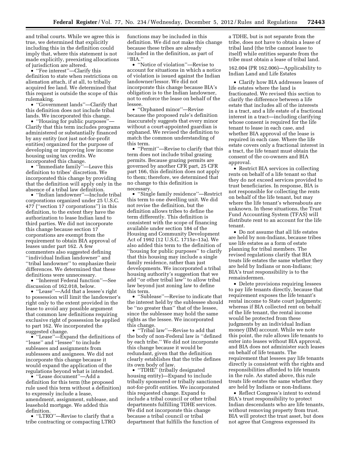and tribal courts. While we agree this is true, we determined that explicitly including this in the definition could imply that, where this statement is not made explicitly, preexisting allocations of jurisdiction are altered.

• ''Fee interest''—Clarify this definition to state when restrictions on alienation attach, if at all, to tribally acquired fee land. We determined that this request is outside the scope of this rulemaking.

• ''Government lands''—Clarify that this definition does not include tribal lands. We incorporated this change.

• ''Housing for public purposes''— Clarify that this term includes programs administered or substantially financed by any entity (not just not-for-profit entities) organized for the purpose of developing or improving low income housing using tax credits. We incorporated this change.

• ''Immediate family''—Leave this definition to tribes' discretion. We incorporated this change by providing that the definition will apply only in the absence of a tribal law definition.

• ''Indian landowner''—Include tribal corporations organized under 25 U.S.C. 477 (''section 17 corporations'') in this definition, to the extent they have the authorization to lease Indian land to third parties. We did not incorporate this change because section 17 corporations are exempt from the requirement to obtain BIA approval of leases under part 162. A few commenters also suggested defining ''individual Indian landowner'' and ''tribal landowner'' to emphasize their differences. We determined that these definitions were unnecessary.

• ''Inherent Federal function''—See discussion of 162.018, below.

• ''Lease''—Add that a lessee's right to possession will limit the landowner's right only to the extent provided in the lease to avoid any possible argument that common law definitions requiring exclusive right of possession be applied to part 162. We incorporated the suggested change.

• "Lease"—Expand the definitions of ''lease'' and ''lessee'' to include subleases and assignments from sublessees and assignees. We did not incorporate this change because it would expand the application of the regulations beyond what is intended.

• "Lease document"—Add a definition for this term (the proposed rule used this term without a definition) to expressly include a lease, amendment, assignment, sublease, and leasehold mortgage. We added this definition.

• ''LTRO''—Revise to clarify that a tribe contracting or compacting LTRO

functions may be included in this definition. We did not make this change because these tribes are already included in the definition, as part of ''BIA.''

• "Notice of violation"—Revise to account for situations in which a notice of violation is issued against the Indian landowner/lessor. We did not incorporate this change because BIA's obligation is to the Indian landowner, not to enforce the lease on behalf of the lessee.

• ''Orphaned minor''—Revise because the proposed rule's definition inaccurately suggests that every minor without a court-appointed guardian is orphaned. We revised the definition to match the common understanding of this term.

• ''Permit''—Revise to clarify that this term does not include tribal grazing permits. Because grazing permits are governed by another CFR part, 25 CFR part 166, this definition does not apply to them; therefore, we determined that no change to this definition is necessary.

• "Single family residence"—Restrict this term to one dwelling unit. We did not revise the definition, but the definition allows tribes to define the term differently. This definition is consistent with the scope of financing available under section 184 of the Housing and Community Development Act of 1992 (12 U.S.C. 1715z–13a). We also added this term to the definition of ''housing for public purposes'' to clarify that this housing may include a single family residence, rather than just developments. We incorporated a tribal housing authority's suggestion that we add ''or other tribal law'' to allow tribal law beyond just zoning law to define this term.

• "Sublease"—Revise to indicate that the interest held by the sublessee should be ''no greater than'' that of the lessee, since the sublessee may hold the same rights as the lessee. We incorporated this change.

• ''Tribal law''—Revise to add that the body of non-Federal law is ''defined by each tribe.'' We did not incorporate this change because it would be redundant, given that the definition clearly establishes that the tribe defines its own body of law.

• ''TDHE'' (tribally designated housing entity)—Expand to include tribally sponsored or tribally sanctioned not-for-profit entities. We incorporated this requested change. Expand to include a tribal council or other tribal departments fulfilling TDHE services. We did not incorporate this change because a tribal council or tribal department that fulfills the function of

a TDHE, but is not separate from the tribe, does not have to obtain a lease of tribal land (the tribe cannot lease to itself) while entities separate from the tribe must obtain a lease of tribal land.

162.004 (PR 162.006)—Applicability to Indian Land and Life Estates

• Clarify how BIA addresses leases of life estates where the land is fractionated. We revised this section to clarify the difference between a life estate that includes all of the interests in a tract, and a life estate of a fractional interest in a tract—including clarifying whose consent is required for the life tenant to lease in each case, and whether BIA approval of the lease is required in each case. Where the life estate covers only a fractional interest in a tract, the life tenant must obtain the consent of the co-owners and BIA approval.

• Restrict BIA services in collecting rents on behalf of a life tenant so that they do not exceed services provided to trust beneficiaries. In response, BIA is not responsible for collecting the rents on behalf of the life tenant, but may where the life tenant's whereabouts are unknown. In these situations, the Trust Fund Accounting System (TFAS) will distribute rent to an account for the life tenant.

• Do not assume that all life estates are held by non-Indians, because tribes use life estates as a form of estate planning for tribal members. The revised regulations clarify that BIA treats life estates the same whether they are held by Indians or non-Indians; BIA's trust responsibility is to the remaindermen.

• Delete provisions requiring lessees to pay life tenants directly, because that requirement exposes the life tenant's rental income to State court judgments; whereas if BIA collected rent on behalf of the life tenant, the rental income would be protected from these judgments by an individual Indian money (IIM) account. While we note this point, the rule allows life tenants to enter into leases without BIA approval, and BIA does not administer such leases on behalf of life tenants. The requirement that lessees pay life tenants directly is consistent with the rights and responsibilities afforded to life tenants in the rule. As stated above, this rule treats life estates the same whether they are held by Indians or non-Indians.

• Reflect Congress's intent to extend BIA's trust responsibility to protect Indian descendants who are life tenants, without removing property from trust. BIA will protect the trust asset, but does not agree that Congress expressed its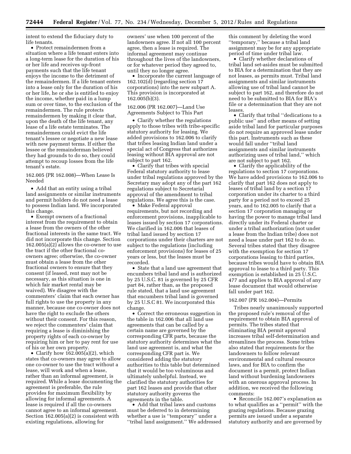intent to extend the fiduciary duty to life tenants.

• Protect remaindermen from a situation where a life tenant enters into a long-term lease for the duration of his or her life and receives up-front payments such that the life tenant enjoys the income to the detriment of the remaindermen. If a life tenant enters into a lease only for the duration of his or her life, he or she is entitled to enjoy the income, whether paid in a lump sum or over time, to the exclusion of the remaindermen. The rule protects remaindermen by making it clear that, upon the death of the life tenant, any lease of a life estate terminates. The remaindermen could evict the life tenant's lessee or negotiate a new lease with new payment terms. If either the lessee or the remainderman believed they had grounds to do so, they could attempt to recoup losses from the life tenant's estate.

162.005 (PR 162.008)—When Lease Is Needed

• Add that an entity using a tribal land assignments or similar instruments and permit holders do not need a lease to possess Indian land. We incorporated this change.

• Exempt owners of a fractional interest from the requirement to obtain a lease from the owners of the other fractional interests in the same tract. We did not incorporate this change. Section 162.005(a)(2) allows the co-owner to use the tract if the other fractional coowners agree; otherwise, the co-owner must obtain a lease from the other fractional owners to ensure that they consent (if leased, rent may not be necessary, as this situation is one in which fair market rental may be waived). We disagree with the commenters' claim that each owner has full rights to use the property in any manner, because one co-owner does not have the right to exclude the others without their consent. For this reason, we reject the commenters' claim that requiring a lease is diminishing the property rights of each co-owner by requiring him or her to pay rent for use of his or her own property.

• Clarify how 162.005(a)(2), which states that co-owners may agree to allow one co-owner to use the tract without a lease, will work and when a lease, rather than an informal agreement, is required. While a lease documenting the agreement is preferable, the rule provides for maximum flexibility by allowing for informal agreements. A lease is required if all the co-owners cannot agree to an informal agreement. Section 162.005(a)(2) is consistent with existing regulations, allowing for

owners' use when 100 percent of the landowners agree. If not all 100 percent agree, then a lease is required. The informal agreement may continue throughout the lives of the landowners, or for whatever period they agreed to, until they no longer agree.

• Incorporate the current language of 162.102(d) (regarding section 17 corporations) into the new subpart A. This provision is incorporated at 162.005(b)(3).

162.006 (PR 162.007)—Land Use Agreements Subject to This Part

• Clarify whether the regulations apply to those tribes with tribe-specific statutory authority for leasing. We added provisions to 162.006 to clarify that tribes leasing Indian land under a special act of Congress that authorizes leasing without BIA approval are not subject to part 162.

• Clarify that tribes with special Federal statutory authority to lease under tribal regulations approved by the Secretary may adopt any of the part 162 regulations subject to Secretarial approval of the amendment to tribal regulations. We agree this is the case.

• Make Federal approval requirements, but not recording and enforcement provisions, inapplicable to leases issued by section 17 corporations. We clarified in 162.006 that leases of tribal land issued by section 17 corporations under their charters are not subject to the regulations (including enforcement provisions) for leases of 25 years or less, but the leases must be recorded.

• State that a land use agreement that encumbers tribal land and is authorized by 25 U.S.C. 81 is governed by 25 CFR part 84, rather than, as the proposed rule stated, that a land use agreement that encumbers tribal land is governed by 25 U.S.C 81. We incorporated this change.

• Correct the erroneous suggestion in the table in 162.006 that all land use agreements that can be called by a certain name are governed by the corresponding CFR parts, because the statutory authority determines what the land use agreement is, and what the corresponding CFR part is. We considered adding the statutory authorities to this table but determined that it would be too voluminous and ultimately unhelpful. Instead, we clarified the statutory authorities for part 162 leases and provide that other statutory authority governs the agreements in the table.

• Add that tribal laws and customs must be deferred to in determining whether a use is ''temporary'' under a ''tribal land assignment.'' We addressed this comment by deleting the word ''temporary,'' because a tribal land assignment may be for any appropriate period of time under tribal law.

• Clarify whether declarations of tribal land set-asides must be submitted to BIA for a determination that they are not leases, as permits must. Tribal land assignments and similar instruments allowing use of tribal land cannot be subject to part 162, and therefore do not need to be submitted to BIA for BIA's file or a determination that they are not leases.

• Clarify that tribal ''dedications to a public use'' and other means of setting aside tribal land for particular purposes do not require an approved lease under this part. Instruments such as these would fall under ''tribal land assignments and similar instruments authorizing uses of tribal land,'' which are not subject to part 162.

• Clarify the applicability of the regulations to section 17 corporations. We have added provisions to 162.006 to clarify that part 162 does not apply to leases of tribal land by a section 17 corporation under its charter to a third party for a period not to exceed 25 years, and to 162.005 to clarify that a section 17 corporation managing or having the power to manage tribal land directly under its Federal charter or under a tribal authorization (not under a lease from the Indian tribe) does not need a lease under part 162 to do so. Several tribes stated that they disagree with the exemption for section 17 corporations leasing to third parties, because tribes would have to obtain BIA approval to lease to a third party. This exemption is established in 25 U.S.C. 477 and applies to BIA approval of any lease document that would otherwise fall under part 162.

# 162.007 (PR 162.004)—Permits

Tribes nearly unanimously supported the proposed rule's removal of the requirement to obtain BIA approval of permits. The tribes stated that eliminating BIA permit approval increases tribal self-determination and streamlines the process. Some tribes also stated that requirements for the landowners to follow relevant environmental and cultural resource laws, and for BIA to confirm the document is a permit, protect Indian land without burdening landowners with an onerous approval process. In addition, we received the following comments:

• Reconcile 162.007's explanation as to what qualifies as a ''permit'' with the grazing regulations. Because grazing permits are issued under a separate statutory authority and are governed by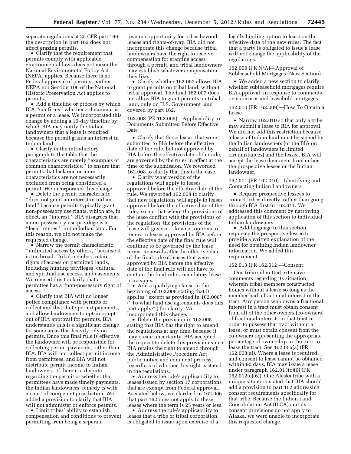separate regulations at 25 CFR part 166, the description in part 162 does not affect grazing permits.

• Clarify that the requirement that permits comply with applicable environmental laws does not mean the National Environmental Policy Act (NEPA) applies. Because there is no Federal approval of permits, neither NEPA nor Section 106 of the National Historic Preservation Act applies to permits.

• Add a timeline or process by which BIA ''confirms'' whether a document is a permit or a lease. We incorporated this change by adding a 10-day timeline by which BIA may notify the Indian landowners that a lease is required because the permit grants an interest in Indian land.

• Clarify in the introductory paragraph to the table that the characteristics are merely ''examples of common characteristics,'' to ensure that permits that lack one or more characteristics are not necessarily excluded from being considered a permit. We incorporated this change.

• Delete the permit characteristic ''does not grant an interest in Indian land'' because permits typically grant non-possessory use rights, which are, in effect, an ''interest.'' BIA disagrees that a non-possessory use privilege is a ''legal interest'' in the Indian land. For this reason, we did not make the requested change.

• Narrow the permit characteristic, ''unlimited access by others,'' because it is too broad. Tribal members retain rights of access on permitted lands, including hunting privileges, cultural and spiritual use access, and easements. We revised this to clarify that a permittee has a ''non-possessory right of access.''

• Clarify that BIA will no longer police compliance with permits or collect and distribute permit payments, and allow landowners to opt-in or optout of BIA approval for permits. BIA understands this is a significant change for some areas that heavily rely on permits. Once this final rule is effective, the landowner will be responsible for collecting permit payments, rather than BIA. BIA will not collect permit income from permittees, and BIA will not distribute permit income to Indian landowners. If there is a dispute regarding the permit or whether the permittees have made timely payments, the Indian landowners' remedy is with a court of competent jurisdiction. We added a provision to clarify that BIA will not administer or enforce permits.

• Limit tribes' ability to establish compensation and conditions to prevent permitting from being a separate

revenue opportunity for tribes beyond leases and rights-of-way. BIA did not incorporate this change because tribal landowners have the right to receive compensation for granting access through a permit, and tribal landowners may establish whatever compensation they like.

• Clarify whether 162.007 allows BIA to grant permits on tribal land, without tribal approval. The final 162.007 does not allow BIA to grant permits on tribal land, only on U.S. Government land covered by part 162.

162.008 (PR 162.005)—Applicability to Documents Submitted Before Effective Date

• Clarify that those leases that were submitted to BIA before the effective date of the rule, but not approved by BIA before the effective date of the rule, are governed by the rules in effect at the time of the submission. We reworded 162.008 to clarify that this is the case.

• Clarify what version of the regulations will apply to leases approved before the effective date of the rule. We reworded 162.008 to clarify that new regulations will apply to leases approved before the effective date of the rule, except that where the provisions of the lease conflict with the provisions of the regulation, the provisions of the lease will govern. Likewise, options to renew in leases approved by BIA before the effective date of the final rule will continue to be governed by the lease terms. Renewals after the effective date of the final rule of leases that were approved by BIA before the effective date of the final rule will not have to contain the final rule's mandatory lease provisions.

• Add a qualifying clause in the beginning of 162.008 stating that it applies ''except as provided in 162.006'' (''To what land use agreements does this part apply?'') for clarity. We incorporated this change.

• Delete the provision in 162.008 stating that BIA has the right to amend the regulations at any time, because it may create uncertainty. BIA accepted the request to delete this provision since BIA retains the right to amend through the Administrative Procedure Act public notice and comment process, regardless of whether this right is stated in the regulations.

• Address the rule's applicability to leases issued by section 17 corporations that are exempt from Federal approval. As stated below, we clarified in 162.006 that part 162 does not apply to these leases where the term is 25 years or less.

• Address the rule's applicability to leases that a tribe or tribal corporation is obligated to issue upon exercise of a legally binding option to lease on the effective date of the new rules. The fact that a party is obligated to issue a lease will not change the applicability of the regulations.

162.009 (PR N/A)—Approval of Subleasehold Mortgages (New Section)

• We added a new section to clarify whether subleasehold mortgages require BIA approval, in response to comments on subleases and leasehold mortgages.

162.010 (PR 162.009)—How To Obtain a Lease

• Narrow 162.010 so that only a tribe may submit a lease to BIA for approval. We did not add this restriction because a lease of Indian land must be signed by the Indian landowners (or the BIA on behalf of landowners in limited circumstances) and the lessee. BIA will accept the lease document from either the prospective lessee or the Indian landowner.

162.011 (PR 162.010)—Identifying and Contacting Indian Landowners

• Require prospective lessees to contact tribes directly, rather than going through BIA first in 162.011. We addressed this comment by narrowing application of this section to individual Indian landowners.

• Add language to this section requiring the prospective lessee to provide a written explanation of the need for obtaining Indian landowner information. We added this requirement.

#### 162.013 (PR 162.012)—Consent

One tribe submitted extensive comments regarding its situation, wherein tribal members constructed homes without a lease so long as the member had a fractional interest in the tract. Any person who owns a fractional interest in a tract must obtain consent from all of the other owners (co-owners) of fractional interests in that tract in order to possess that tract without a lease, or must obtain consent from the co-owners representing the appropriate percentage of ownership in the tract to lease the tract. See 162.005(a) (PR 162.008(a)). Where a lease is required, and consent to lease cannot be obtained within 90 days, BIA may issue a lease under paragraph 162.013(c)(6) (PR 162.012(c)(6)). One Alaska tribe with a unique situation stated that BIA should add a provision to part 162 addressing consent requirements specifically for that tribe. Because the Indian Land Consolidation Act (ILCA) and its consent provisions do not apply to Alaska, we were unable to incorporate this requested change.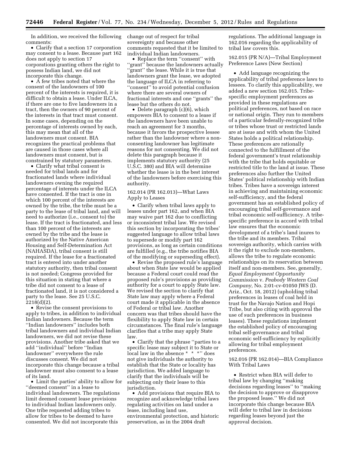In addition, we received the following comments:

• Clarify that a section 17 corporation may consent to a lease. Because part 162 does not apply to section 17 corporations granting others the right to possess Indian land, we did not incorporate this change.

• A few tribes noted that where the consent of the landowners of 100 percent of the interests is required, it is difficult to obtain a lease. Under ILCA, if there are one to five landowners in a tract, then the owners of 90 percent of the interests in that tract must consent. In some cases, depending on the percentage of interests owned by each, this may mean that all of the landowners must consent. BIA recognizes the practical problems that are caused in those cases where all landowners must consent, but is constrained by statutory parameters.

• Clarify what tribal consent is needed for tribal lands and for fractionated lands where individual landowners owning the required percentage of interests under the ILCA have consented. If the tract is one in which 100 percent of the interests are owned by the tribe, the tribe must be a party to the lease of tribal land, and will need to authorize (i.e., consent to) the lease. If the tract is fractionated, and less than 100 percent of the interests are owned by the tribe and the lease is authorized by the Native American Housing and Self-Determination Act (NAHASDA), tribal consent is still required. If the lease for a fractionated tract is entered into under another statutory authority, then tribal consent is not needed; Congress provided for this situation in stating that where a tribe did not consent to a lease of fractionated land, it is not considered a party to the lease. See 25 U.S.C. 2218(d)(2).

• Revise the consent provisions to apply to tribes, in addition to individual Indian landowners. Because the term ''Indian landowners'' includes both tribal landowners and individual Indian landowners, we did not revise these provisions. Another tribe asked that we add ''individual'' before ''Indian landowner'' everywhere the rule discusses consent. We did not incorporate this change because a tribal landowner must also consent to a lease of its land.

• Limit the parties' ability to allow for "deemed consent" in a lease to individual landowners. The regulations limit deemed consent lease provisions to individual Indian landowners only. One tribe requested adding tribes to allow for tribes to be deemed to have consented. We did not incorporate this

change out of respect for tribal sovereignty and because other comments requested that it be limited to individual Indian landowners.

• Replace the term ''consent'' with ''grant'' because the landowners actually "grant" the lease. While it is true that landowners grant the lease, we adopted the language of ILCA in referring to ''consent'' to avoid potential confusion where there are several owners of fractional interests and one ''grants'' the lease but the others do not.

• Delete paragraph (c)(6), which empowers BIA to consent to a lease if the landowners have been unable to reach an agreement for 3 months, because it favors the prospective lessee rather than the landowner where a nonconsenting landowner has legitimate reasons for not consenting. We did not delete this paragraph because it implements statutory authority (25 U.S.C. 380) and BIA will determine whether the lease is in the best interest of the landowners before exercising this authority.

# 162.014 (PR 162.013)—What Laws Apply to Leases

• Clarify when tribal laws apply to leases under part 162, and when BIA may waive part 162 due to conflicting or inconsistent tribal law. We revised this section by incorporating the tribes' suggested language to allow tribal laws to supersede or modify part 162 provisions, as long as certain conditions are fulfilled (e.g., the tribe notifies BIA of the modifying or superseding effect).

• Revise the proposed rule's language about when State law would be applied because a Federal court could read the proposed rule's provisions as providing authority for a court to apply State law. We revised the section to clarify that State law may apply where a Federal court made it applicable in the absence of Federal or tribal law. Another concern was that tribes should have the flexibility to apply State law in certain circumstances. The final rule's language clarifies that a tribe may apply State law.

• Clarify that the phrase ''parties to a specific lease may subject it to State or local law in the absence \* \* \*'' does not give individuals the authority to establish that the State or locality has jurisdiction. We added language to clarify that the individuals will be subjecting only their lease to this jurisdiction.

• Add provisions that require BIA to recognize and acknowledge tribal laws regulating activities on land under a lease, including land use, environmental protection, and historic preservation, as in the 2004 draft

regulations. The additional language in 162.016 regarding the applicability of tribal law covers this.

162.015 (PR N/A)—Tribal Employment Preference Laws (New Section)

• Add language recognizing the applicability of tribal preference laws to lessees. To clarify this applicability, we added a new section 162.015. Tribespecific employment preferences as provided in these regulations are political preferences, not based on race or national origin. They run to members of a particular federally-recognized tribe or tribes whose trust or restricted lands are at issue and with whom the United States holds a political relationship. These preferences are rationally connected to the fulfillment of the federal government's trust relationship with the tribe that holds equitable or restricted title to the land at issue. These preferences also further the United States' political relationship with Indian tribes. Tribes have a sovereign interest in achieving and maintaining economic self-sufficiency, and the federal government has an established policy of encouraging tribal self-governance and tribal economic self-sufficiency. A tribespecific preference in accord with tribal law ensures that the economic development of a tribe's land inures to the tribe and its members. Tribal sovereign authority, which carries with it the right to exclude non-members, allows the tribe to regulate economic relationships on its reservation between itself and non-members. See, generally, *Equal Employment Opportunity Commission* v. *Peabody Western Coal Company,* No. 2:01-cv-01050 JWS (D. Ariz., Oct. 18, 2012) (upholding tribal preferences in leases of coal held in trust for the Navajo Nation and Hopi Tribe, but also citing with approval the use of such preferences in business leases). These regulations implement the established policy of encouraging tribal self-governance and tribal economic self-sufficiency by explicitly allowing for tribal employment preferences.

162.016 (PR 162.014)—BIA Compliance With Tribal Laws

• Restrict when BIA will defer to tribal law by changing ''making decisions regarding leases'' to ''making the decision to approve or disapprove the proposed lease.'' We did not incorporate this change because BIA will defer to tribal law in decisions regarding leases beyond just the approval decision.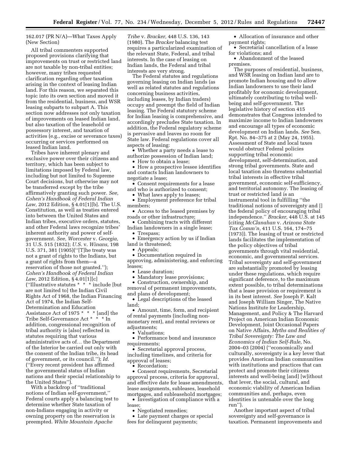# 162.017 (PR N/A)—What Taxes Apply (New Section)

All tribal commenters supported proposed provisions clarifying that improvements on trust or restricted land are not taxable by non-tribal entities; however, many tribes requested clarification regarding other taxation arising in the context of leasing Indian land. For this reason, we separated this topic into its own section and moved it from the residential, business, and WSR leasing subparts to subpart A. This section now addresses not only taxation of improvements on leased Indian land, but also taxation of the leasehold or possessory interest, and taxation of activities (e.g., excise or severance taxes) occurring or services performed on leased Indian land.

Tribes have inherent plenary and exclusive power over their citizens and territory, which has been subject to limitations imposed by Federal law, including but not limited to Supreme Court decisions, but otherwise may not be transferred except by the tribe affirmatively granting such power. *See, Cohen's Handbook of Federal Indian Law,* 2012 Edition, § 4.01[1][b]. The U.S. Constitution, as well as treaties entered into between the United States and Indian tribes, executive orders, statutes, and other Federal laws recognize tribes' inherent authority and power of selfgovernment. *See, Worcester* v. *Georgia,*  31 U.S. 515 (1832); *U.S.* v. *Winans,* 198 U.S. 371, 381 (1905)(''[T]he treaty was not a grant of rights to the Indians, but a grant of rights from them—a reservation of those not granted.''); *Cohen's Handbook of Federal Indian Law,* 2012 Edition, § 4.01[1][c] (''Illustrative statutes \* \* \* include [but are not limited to] the Indian Civil Rights Act of 1968, the Indian Financing Act of 1974, the Indian Self-Determination and Education Assistance Act of 1975  $^{\star}$   $^{\star}$   $^{\star}$  [and] the Tribe Self-Governance Act \* \* \* In addition, congressional recognition of tribal authority is [also] reflected in statutes requiring that various administrative acts of… the Department of the Interior be carried out only with the consent of the Indian tribe, its head of government, or its council.''); *Id.*  (''Every recent president has affirmed the governmental status of Indian nations and their special relationship to the United States'').

With a backdrop of ''traditional notions of Indian self-government,'' Federal courts apply a balancing test to determine whether State taxation of non-Indians engaging in activity or owning property on the reservation is preempted. *White Mountain Apache* 

*Tribe* v. *Bracker,* 448 U.S. 136, 143 (1980). The *Bracker* balancing test requires a particularized examination of the relevant State, Federal, and tribal interests. In the case of leasing on Indian lands, the Federal and tribal interests are very strong.

The Federal statutes and regulations governing leasing on Indian lands (as well as related statutes and regulations concerning business activities, including leases, by Indian traders) occupy and preempt the field of Indian leasing. The Federal statutory scheme for Indian leasing is comprehensive, and accordingly precludes State taxation. In addition, the Federal regulatory scheme is pervasive and leaves no room for State law. Federal regulations cover all aspects of leasing:

• Whether a party needs a lease to authorize possession of Indian land;

• How to obtain a lease;

- How a prospective lessee identifies and contacts Indian landowners to negotiate a lease;
- Consent requirements for a lease and who is authorized to consent;
- What laws apply to leases; • Employment preference for tribal members;
- Access to the leased premises by roads or other infrastructure;
- Combining tracts with different Indian landowners in a single lease;
	- Trespass;
- Emergency action by us if Indian land is threatened;
	- Appeals;

• Documentation required in approving, administering, and enforcing leases;

- Lease duration;
- Mandatory lease provisions;

• Construction, ownership, and removal of permanent improvements, and plans of development;

• Legal descriptions of the leased land;

• Amount, time, form, and recipient of rental payments (including nonmonetary rent), and rental reviews or adjustments;

• Valuations;

• Performance bond and insurance requirements;

• Secretarial approval process, including timelines, and criteria for approval of leases;

• Recordation;

• Consent requirements, Secretarial approval process, criteria for approval, and effective date for lease amendments, lease assignments, subleases, leasehold mortgages, and subleasehold mortgages;

• Investigation of compliance with a lease;

• Negotiated remedies;

• Late payment charges or special fees for delinquent payments;

• Allocation of insurance and other payment rights;

• Secretarial cancellation of a lease for violations; and

• Abandonment of the leased premises.

The purposes of residential, business, and WSR leasing on Indian land are to promote Indian housing and to allow Indian landowners to use their land profitably for economic development, ultimately contributing to tribal wellbeing and self-government. The legislative history of section 415 demonstrates that Congress intended to maximize income to Indian landowners and encourage all types of economic development on Indian lands. *See* Sen. Rpt. No. 84–375 at 2 (May 24, 1955). Assessment of State and local taxes would obstruct Federal policies supporting tribal economic development, self-determination, and strong tribal governments. State and local taxation also threatens substantial tribal interests in effective tribal government, economic self-sufficiency, and territorial autonomy. The leasing of trust or restricted land is an instrumental tool in fulfilling ''the traditional notions of sovereignty and [] the federal policy of encouraging tribal independence.'' *Bracker,* 448 U.S. at 145 (citing *McClanahan* v. *Arizona State Tax Comm'n,* 411 U.S. 164, 174–75 (1973)). The leasing of trust or restricted lands facilitates the implementation of the policy objectives of tribal governments through vital residential, economic, and governmental services. Tribal sovereignty and self-government are substantially promoted by leasing under these regulations, which require significant deference, to the maximum extent possible, to tribal determinations that a lease provision or requirement is in its best interest. *See* Joseph P. Kalt and Joseph William Singer, The Native Nations Institute for Leadership, Management, and Policy & The Harvard Project on American Indian Economic Development, Joint Occasional Papers on Native Affairs, *Myths and Realities of Tribal Sovereignty: The Law and Economics of Indian Self-Rule,* No. 2004–03 (2004) (''economically and culturally, sovereignty is a key lever that provides American Indian communities with institutions and practices that can protect and promote their citizens interests and well-being [and] [w]ithout that lever, the social, cultural, and economic viability of American Indian communities and, perhaps, even identities is untenable over the long run'').

Another important aspect of tribal sovereignty and self-governance is taxation. Permanent improvements and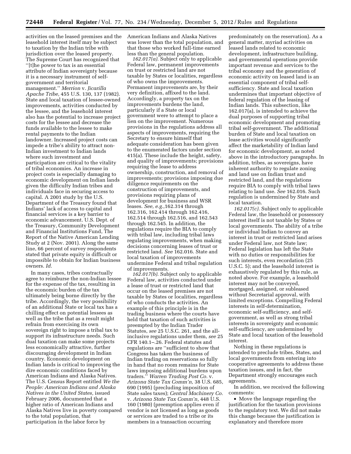activities on the leased premises and the leasehold interest itself may be subject to taxation by the Indian tribe with jurisdiction over the leased property. The Supreme Court has recognized that ''[t]he power to tax is an essential attribute of Indian sovereignty because it is a necessary instrument of selfgovernment and territorial management.'' *Merrion* v. *Jicarilla Apache Tribe,* 455 U.S. 130, 137 (1982). State and local taxation of lessee-owned improvements, activities conducted by the lessee, and the leasehold interest also has the potential to increase project costs for the lessee and decrease the funds available to the lessee to make rental payments to the Indian landowner. Increased project costs can impede a tribe's ability to attract non-Indian investment to Indian lands where such investment and participation are critical to the vitality of tribal economies. An increase in project costs is especially damaging to economic development on Indian lands given the difficulty Indian tribes and individuals face in securing access to capital. A 2001 study by the U.S. Department of the Treasury found that Indians' lack of access to capital and financial services is a key barrier to economic advancement. U.S. Dept. of the Treasury, Community Development and Financial Institutions Fund, The Report of the Native American Lending Study at 2 (Nov. 2001). Along the same line, 66 percent of survey respondents stated that private equity is difficult or impossible to obtain for Indian business owners. *Id.* 

In many cases, tribes contractually agree to reimburse the non-Indian lessee for the expense of the tax, resulting in the economic burden of the tax ultimately being borne directly by the tribe. Accordingly, the very possibility of an additional State or local tax has a chilling effect on potential lessees as well as the tribe that as a result might refrain from exercising its own sovereign right to impose a tribal tax to support its infrastructure needs. Such dual taxation can make some projects less economically attractive, further discouraging development in Indian country. Economic development on Indian lands is critical to improving the dire economic conditions faced by American Indians and Alaska Natives. The U.S. Census Report entitled *We the People: American Indians and Alaska Natives in the United States,* issued February 2006, documented that a higher ratio of American Indians and Alaska Natives live in poverty compared to the total population, that participation in the labor force by

American Indians and Alaska Natives was lower than the total population, and that those who worked full-time earned less than the general population.

*162.017(a).* Subject only to applicable Federal law, permanent improvements on trust or restricted land are not taxable by States or localities, regardless of who owns the improvements. Permanent improvements are, by their very definition, affixed to the land. Accordingly, a property tax on the improvements burdens the land, particularly if a State or local government were to attempt to place a lien on the improvement. Numerous provisions in the regulations address all aspects of improvements, requiring the Secretary to ensure himself that adequate consideration has been given to the enumerated factors under section 415(a). These include the height, safety, and quality of improvements; provisions requiring the lease to address ownership, construction, and removal of improvements; provisions imposing due diligence requirements on the construction of improvements, and provisions requiring plans of development for business and WSR leases. *See, e.g.,*162.314 through 162.316, 162.414 through 162.416, 162.514 through 162.516, and 162.543 through 162.545. In addition, the regulations require the BIA to comply with tribal law, including tribal laws regulating improvements, when making decisions concerning leases of trust or restricted land. *See* 162.016. State and local taxation of improvements undermine Federal and tribal regulation of improvements.

*162.017(b).* Subject only to applicable Federal law, activities conducted under a lease of trust or restricted land that occur on the leased premises are not taxable by States or localities, regardless of who conducts the activities. An example of this principle is in the trading business where the courts have held that taxation of such activities is preempted by the Indian Trader Statutes, *see* 25 U.S.C. 261, and the allinclusive regulations under them, *see* 25 CFR 140.1–.26. Federal statutes and regulations are ''sufficient to show that Congress has taken the business of Indian trading on reservations so fully in hand that no room remains for State laws imposing additional burdens upon traders.'' *Warren Trading Post Co.* v. *Arizona State Tax Comm'n,* 38 U.S. 685, 690 (1995) (precluding imposition of State sales taxes); *Central Machinery Co.*  v. *Arizona State Tax Comm'n,* 448 U.S. 160 (1980) (preemption applies even if vendor is not licensed as long as goods or services are traded to a tribe or its members in a transaction occurring

predominately on the reservation). As a general matter, myriad activities on leased lands related to economic development, infrastructure building, and governmental operations provide important revenue and services to the tribal economy and the generation of economic activity on leased land is an essential component of tribal selfsufficiency. State and local taxation undermines that important objective of federal regulation of the leasing of Indian lands. This subsection, like 162.017(a), is intended to achieve the dual purposes of supporting tribal economic development and promoting tribal self-government. The additional burden of State and local taxation on lease activities would significantly affect the marketability of Indian land for economic development, as noted above in the introductory paragraphs. In addition, tribes, as sovereigns, have inherent authority to regulate zoning and land use on Indian trust and restricted land, and the regulations require BIA to comply with tribal laws relating to land use. *See* 162.016. Such regulation is undermined by State and local taxation.

*162.017(c).* Subject only to applicable Federal law, the leasehold or possessory interest itself is not taxable by States or local governments. The ability of a tribe or individual Indian to convey an interest in trust or restricted land arises under Federal law, not State law; Federal legislation has left the State with no duties or responsibilities for such interests, even recordation (25 U.S.C. 5); and the leasehold interest is exhaustively regulated by this rule, as noted above. For example, a leasehold interest may not be conveyed, mortgaged, assigned, or subleased without Secretarial approval, with limited exceptions. Compelling Federal interests in self-determination, economic self-sufficiency, and selfgovernment, as well as strong tribal interests in sovereignty and economic self-sufficiency, are undermined by State and local taxation of the leasehold interest.

Nothing in these regulations is intended to preclude tribes, States, and local governments from entering into cooperative agreements to address these taxation issues, and in fact, the Department strongly encourages such agreements.

In addition, we received the following comments:

• Move the language regarding the justification for the taxation provisions to the regulatory text. We did not make this change because the justification is explanatory and therefore more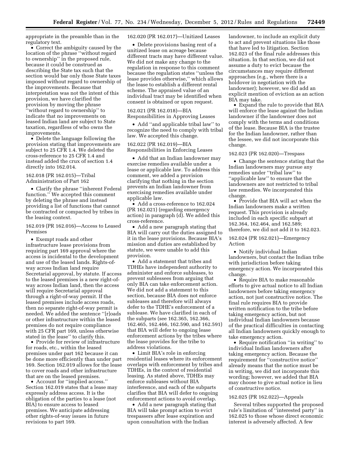appropriate in the preamble than in the regulatory text.

• Correct the ambiguity caused by the location of the phrase ''without regard to ownership'' in the proposed rule, because it could be construed as describing the State tax such that the section would bar only those State taxes imposed without regard to ownership of the improvements. Because that interpretation was not the intent of this provision, we have clarified the provision by moving the phrase ''without regard to ownership'' to indicate that no improvements on leased Indian land are subject to State taxation, regardless of who owns the improvements.

• Delete the language following the provision stating that improvements are subject to 25 CFR 1.4. We deleted the cross-reference to 25 CFR 1.4 and instead added the crux of section 1.4 directly into 162.014.

162.018 (PR 162.015)—Tribal Administration of Part 162

• Clarify the phrase ''inherent Federal function.'' We accepted this comment by deleting the phrase and instead providing a list of functions that cannot be contracted or compacted by tribes in the leasing context.

162.019 (PR 162.016)—Access to Leased Premises

• Exempt roads and other infrastructure lease provisions from requiring part 169 approval where the access is incidental to the development and use of the leased lands. Rights-ofway across Indian land require Secretarial approval, by statute. If access to the leased premises is a new right-ofway across Indian land, then the access will require Secretarial approval through a right-of-way permit. If the leased premises include access roads, then no separate right-of-way permit is needed. We added the sentence ''[r]oads or other infrastructure within the leased premises do not require compliance with 25 CFR part 169, unless otherwise stated in the lease'' to clarify this.

• Provide for review of infrastructure for roads, etc., within the leased premises under part 162 because it can be done more efficiently than under part 169. Section 162.019 allows for the lease to cover roads and other infrastructure that are on the leased premises.

• Account for ''implied access.'' Section 162.019 states that a lease may expressly address access. It is the obligation of the parties to a lease (not BIA) to ensure access to leased premises. We anticipate addressing other rights-of-way issues in future revisions to part 169.

162.020 (PR 162.017)—Unitized Leases

• Delete provisions basing rent of a unitized lease on acreage because different tracts may have different value. We did not make any change to the regulation in response to this comment because the regulation states ''unless the lease provides otherwise,'' which allows the lease to establish a different rental scheme. The appraised value of an individual tract may be identified when consent is obtained or upon request.

162.021 (PR 162.018)—BIA Responsibilities in Approving Leases

• Add ''and applicable tribal law'' to recognize the need to comply with tribal law. We accepted this change.

162.022 (PR 162.019)—BIA Responsibilities in Enforcing Leases

• Add that an Indian landowner may exercise remedies available under a lease or applicable law. To address this comment, we added a provision clarifying that nothing in the section prevents an Indian landowner from exercising remedies available under applicable law.

• Add a cross-reference to 162.024 (PR 162.021) (regarding emergency action) in paragraph (d). We added this cross-reference.

• Add a new paragraph stating that BIA will carry out the duties assigned to it in the lease provisions. Because BIA's mission and duties are established by statute, we were unable to add this provision.

• Add a statement that tribes and TDHEs have independent authority to administer and enforce subleases, to prevent sublessees from arguing that only BIA can take enforcement action. We did not add a statement to this section, because BIA does not enforce subleases and therefore will always defer to the TDHE's enforcement of a sublease. We have clarified in each of the subparts (see 162.365, 162.366, 162.465, 162.466, 162.590, and 162.591) that BIA will defer to ongoing lease enforcement actions by the tribes where the lease provides for the tribe to address violations.

• Limit BIA's role in enforcing residential leases where its enforcement overlaps with enforcement by tribes and TDHEs, in the context of residential leasing. As stated above, TDHEs may enforce subleases without BIA interference, and each of the subparts clarifies that BIA will defer to ongoing enforcement actions to avoid overlap.

• Add a new paragraph stating that BIA will take prompt action to evict trespassers after lease expiration and upon consultation with the Indian

landowner, to include an explicit duty to act and prevent situations like those that have led to litigation. Section 162.023 of the final rule addresses this situation. In that section, we did not assume a duty to evict because the circumstances may require different approaches (e.g., where there is a holdover in negotiation with the landowner); however, we did add an explicit mention of eviction as an action BIA may take.

• Expand the rule to provide that BIA will enforce the lease against the Indian landowner if the landowner does not comply with the terms and conditions of the lease. Because BIA is the trustee for the Indian landowner, rather than the lessee, we did not incorporate this change.

# 162.023 (PR 162.020)—Trespass

• Change the sentence stating that the Indian landowners may pursue any remedies under ''tribal law'' to "applicable law" to ensure that the landowners are not restricted to tribal law remedies. We incorporated this change.

• Provide that BIA will act when the Indian landowners make a written request. This provision is already included in each specific subpart at 162.364, 162.464, and 162.589; therefore, we did not add it to 162.023.

162.024 (PR 162.021)—Emergency Action

• Notify individual Indian landowners, but contact the Indian tribe with jurisdiction before taking emergency action. We incorporated this change.

• Require BIA to make reasonable efforts to give actual notice to all Indian landowners before taking emergency action, not just constructive notice. The final rule requires BIA to provide written notification to the tribe before taking emergency action, but not individual Indian landowners because of the practical difficulties in contacting all Indian landowners quickly enough to take emergency action.

• Require notification ''in writing'' to individual Indian landowners after taking emergency action. Because the requirement for ''constructive notice'' already means that the notice must be in writing, we did not incorporate this wording; however, we added that BIA may choose to give actual notice in lieu of constructive notice.

# 162.025 (PR 162.022)—Appeals

Several tribes supported the proposed rule's limitation of ''interested party'' in 162.025 to those whose direct economic interest is adversely affected. A few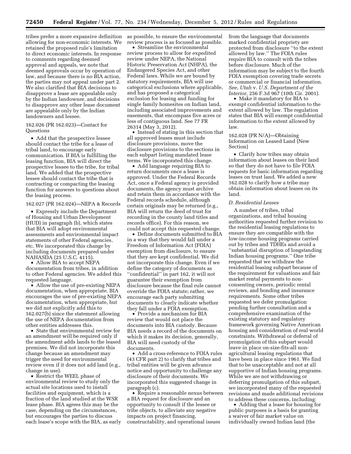tribes prefer a more expansive definition allowing for non-economic interests. We retained the proposed rule's limitation to direct economic interests. In response to comments regarding deemed approval and appeals, we note that deemed approvals occur by operation of law, and because there is no BIA action, the parties may not appeal under part 2. We also clarified that BIA decisions to disapprove a lease are appealable only by the Indian landowner, and decisions to disapprove any other lease document are appealable only by the Indian landowners and lessee.

# 162.026 (PR 162.023)—Contact for Questions

• Add that the prospective lessee should contact the tribe for a lease of tribal land, to encourage early communication. If BIA is fulfilling the leasing function, BIA will direct the prospective lessee to the tribe, for tribal land. We added that the prospective lessee should contact the tribe that is contracting or compacting the leasing function for answers to questions about the leasing process.

# 162.027 (PR 162.024)—NEPA & Records

• Expressly include the Department of Housing and Urban Development (HUD) in paragraph (b), which states that BIA will adopt environmental assessments and environmental impact statements of other Federal agencies, etc. We incorporated this change by including documents prepared under NAHASDA (25 U.S.C. 4115).

• Allow BIA to accept NEPA documentation from tribes, in addition to other Federal agencies. We added this requested language.

• Allow the use of pre-existing NEPA documentation, when appropriate. BIA encourages the use of pre-existing NEPA documentation, when appropriate, but we did not explicitly add this to 162.027(b) since the statement allowing the use of NEPA documentation from other entities addresses this.

• State that environmental review for an amendment will be required only if the amendment adds lands to the leased premises. We did not incorporate this change because an amendment may trigger the need for environmental review even if it does not add land (e.g., change in use).

• Restrict the WEEL phase of environmental review to study only the actual site locations used to install facilities and equipment, which is a fraction of the land studied at the WSR lease phase. BIA agrees this may be the case, depending on the circumstances, but encourages the parties to discuss each lease's scope with the BIA, as early as possible, to ensure the environmental review process is as focused as possible.

• Streamline the environmental review process to allow for expedited review under NEPA, the National Historic Preservation Act (NHPA), the Endangered Species Act, and other Federal laws. While we are bound by statutory requirements, BIA will use categorical exclusions where applicable, and has proposed a categorical exclusion for leasing and funding for single family homesites on Indian land, including associated improvements and easements, that encompass five acres or less of contiguous land. See 77 FR 26314 (May 3, 2012).

• Instead of stating in this section that all approved leases must include disclosure provisions, move the disclosure provisions to the sections in each subpart listing mandated lease terms. We incorporated this change.

• Add language requiring BIA to return documents once a lease is approved. Under the Federal Records Act, once a Federal agency is provided documents, the agency must archive and retain them in accordance with the Federal records schedule, although certain originals may be returned (e.g., BIA will return the deed of trust for recording in the county land titles and records office). For this reason, we could not accept this requested change.

• Define documents submitted to BIA in a way that they would fall under a Freedom of Information Act (FOIA) exemption from disclosure, to ensure that they are kept confidential. We did not incorporate this change. Even if we define the category of documents as ''confidential'' in part 162, it will not guarantee their exemption from disclosure because the final rule cannot override the FOIA statute; rather, we encourage each party submitting documents to clearly indicate whether they fall under a FOIA exemption.

• Provide a mechanism for BIA review that would not place the documents into BIA custody. Because BIA needs a record of the documents on which it makes its decision, generally, BIA will need custody of the documents.

• Add a cross-reference to FOIA rules (43 CFR part 2) to clarify that tribes and tribal entities will be given advance notice and opportunity to challenge any disclosure of their documents. We incorporated this suggested change in paragraph (c).

• Require a reasonable nexus between a BIA request for disclosure and an opportunity to consult if the lessee or tribe objects, to alleviate any negative impacts on project financing, constructability, and operational issues

from the language that documents marked confidential propriety are protected from disclosure ''to the extent allowed by law.'' The FOIA rules require BIA to consult with the tribes before disclosure. Much of the information may be subject to the fourth FOIA exemption covering trade secrets or commercial or financial information. *See, Utah* v. *U.S. Department of the Interior,* 256 F.3d 967 (10th Cir. 2001).

• Make it mandatory for BIA to exempt confidential information to the extent allowed by law. The regulation states that BIA will exempt confidential information to the extent allowed by law.

# 162.028 (PR N/A)—Obtaining Information on Leased Land (New Section)

• Clarify how tribes may obtain information about leases on their land so that they do not have to file FOIA requests for basic information regarding leases on trust land. We added a new 162.028 to clarify how a tribe may obtain information about leases on its land.

#### *D. Residential Leases*

A number of tribes, tribal organizations, and tribal housing authorities requested further revision to the residential leasing regulations to ensure they are compatible with the low-income housing programs carried out by tribes and TDHEs and avoid a ''substantial disruption of longstanding Indian housing programs.'' One tribe requested that we withdraw the residential leasing subpart because of the requirement for valuations and fair market rental payments to nonconsenting owners, periodic rental reviews, and bonding and insurance requirements. Some other tribes requested we defer promulgation pending further consultation and a comprehensive examination of the existing statutory and regulatory framework governing Native American housing and consideration of real world constraints. Withdrawal or deferral of promulgation of this subpart would leave in place on-size-fits-all nonagricultural leasing regulations that have been in place since 1961. We find that to be unacceptable and not at all supportive of Indian housing programs. While we are not withdrawing or deferring promulgation of this subpart, we incorporated many of the requested revisions and made additional revisions to address these concerns, including:

• Adding that a lease for housing for public purposes is a basis for granting a waiver of fair market value on individually owned Indian land (the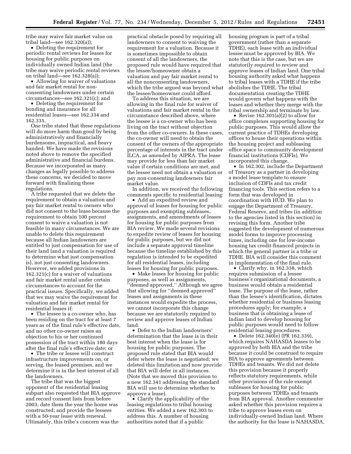tribe may waive fair market value on tribal land—see 162.320(a));

• Deleting the requirement for periodic rental reviews for leases for housing for public purposes on individually owned Indian land (the tribe may waive periodic rental reviews on tribal land—see 162.328(a));

• Allowing for waiver of valuations and fair market rental for nonconsenting landowners under certain circumstances—see 162.321(c); and

• Deleting the requirement for bonding and insurance for all residential leases—see 162.334 and 162.335.

One tribe stated that these regulations will do more harm than good by being administratively and financially burdensome, impractical, and heavy handed. We have made the revisions noted above to remove the specified administrative and financial burdens. Because we incorporated as many changes as legally possible to address these concerns, we decided to move forward with finalizing these regulations.

A tribe requested that we delete the requirement to obtain a valuation and pay fair market rental to owners who did not consent to the lease because the requirement to obtain 100 percent consent to waive a valuation is not feasible in many circumstances. We are unable to delete this requirement because all Indian landowners are entitled to just compensation for use of their land (and a valuation is required to determine what just compensation is), not just consenting landowners. However, we added provisions in 162.321(c) for a waiver of valuations and fair market rental under certain circumstances to account for the practical issues. Specifically, we added that we may waive the requirement for valuation and fair market rental for residential leases if:

• The lessee is a co-owner who, has been residing on the tract for at least 7 years as of the final rule's effective date, and no other co-owner raises an objection to his or her continued possession of the tract within 180 days after the final rule's effective date; or

• The tribe or lessee will construct infrastructure improvements on, or serving, the leased premises, and we determine it is in the best interest of all the landowners.

The tribe that was the biggest opponent of the residential leasing subpart also requested that BIA approve and record consent lists from before 2003; date them the year the home was constructed; and provide the lessees with a 50-year lease with renewal. Ultimately, this tribe's concern was the

practical obstacle posed by requiring all landowners to consent to waiving the requirement for a valuation. Because it is sometimes impossible to obtain consent of all the landowners, the proposed rule would have required that the lessee/homeowner obtain a valuation and pay fair market rental to all the nonconsenting landowners, which the tribe argued was beyond what the lessee/homeowner could afford.

To address this situation, we are allowing in the final rule for waiver of valuations and fair market rental in the circumstance described above, where the lessee is a co-owner who has been living on the tract without objection from the other co-owners. In these cases, the co-owner will need to obtain the consent of the owners of the appropriate percentage of interests in the tract under ILCA, as amended by AIPRA. The lease may provide for less than fair market value if certain conditions are met, and the lessee need not obtain a valuation or pay non-consenting landowners fair market value.

In addition, we received the following comments specific to residential leasing:

• Add an expedited review and approval of leases for housing for public purposes and exempting subleases, assignments, and amendments of leases for housing for public purposes from BIA review. We made several revisions to expedite review of leases for housing for public purposes, but we did not include a separate approval timeline because the timeline established by this regulation is intended to be expedited for all residential leases, including leases for housing for public purposes.

• Make leases for housing for public purposes, as well as assignments, ''deemed approved.'' Although we agree that allowing for ''deemed approved'' leases and assignments in these instances would expedite the process, we cannot incorporate this change because we are statutorily required to review and approve leases of Indian land.

• Defer to the Indian landowners' determination that the lease is in their best interest when the lease is for housing for public purposes. The proposed rule stated that BIA would defer where the lease is negotiated; we deleted this limitation and now provide that BIA will defer in all instances. (Note that we moved this provision to a new 162.341 addressing the standard BIA will use to determine whether to approve a lease).

• Clarify the applicability of the leasing regulations to tribal housing entities. We added a new 162.303 to address this. A number of housing authorities noted that if a public

housing program is part of a tribal government (rather than a separate TDHE), each lease with an individual lessee must be approved by BIA. We note that this is the case, but we are statutorily required to review and approve leases of Indian land. One tribal housing authority asked what happens to tribal leases with a TDHE if the tribe abolishes the TDHE. The tribal documentation creating the TDHE would govern what happens with the leases and whether they merge with the tribal ownership and terminate by law.

• Revise 162.301(a)(2) to allow for office complexes supporting housing for public purposes. This would allow the current practice of TDHEs developing offices to house their operations within the housing project and subleasing office space to community development financial institutions (CDFIs). We incorporated this change.

• In 162.302, include the Department of Treasury as a partner in developing a model lease template to ensure inclusion of CDFIs and tax credit financing tools. This section refers to a form that was developed in coordination with HUD. We plan to engage the Department of Treasury, Federal Reserve, and tribes (in addition to the agencies listed in this section) in revising this form. Another tribe suggested the development of numerous model forms to improve processing times, including one for low-income housing tax credit-financed projects in which the general partner is a tribe or TDHE. BIA will consider this comment in implementation of the final rule.

• Clarify why, in 162.338, which requires submission of a lessee business's organizational documents, a business would obtain a residential lease. The purpose of the lease, rather than the lessee's identification, dictates whether residential or business leasing procedures apply; for example, a business that is obtaining a lease of Indian land to develop housing for public purposes would need to follow residential leasing procedures.

• Delete 162.340(e) (PR 162.339), which requires NAHASDA leases to be approved by both BIA and the tribe because it could be construed to require BIA to approve agreements between TDHEs and tenants. We did not delete this provision because it properly reflects statutory requirements, while other provisions of the rule exempt subleases for housing for public purposes between TDHEs and tenants from BIA approval. Another commenter asked whether this provision requires a tribe to approve leases even on individually-owned Indian land. Where the authority for the lease is NAHASDA,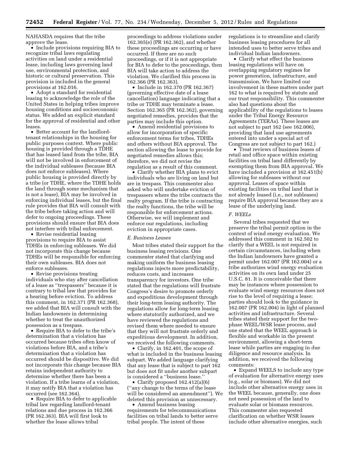NAHASDA requires that the tribe approve the lease.

• Include provisions requiring BIA to recognize tribal laws regulating activities on land under a residential lease, including laws governing land use, environmental protection, and historic or cultural preservation. This provision is included in the general provisions at 162.016.

• Adopt a standard for residential leasing to acknowledge the role of the United States in helping tribes improve housing conditions and socioeconomic status. We added an explicit standard for the approval of residential and other leases.

• Better account for the landlordtenant relationships in the housing for public purposes context. Where public housing is provided through a TDHE that has leased land from the tribe, BIA will not be involved in enforcement of the individual subleases (because BIA does not enforce subleases). Where public housing is provided directly by a tribe (or TDHE, where the TDHE holds the land through some mechanism that is not a lease), BIA may be involved in enforcing individual leases, but the final rule provides that BIA will consult with the tribe before taking action and will defer to ongoing proceedings. These provisions should ensure that BIA does not interfere with tribal enforcement.

• Revise residential leasing provisions to require BIA to assist TDHEs in enforcing subleases. We did not incorporate this change because TDHEs will be responsible for enforcing their own subleases. BIA does not enforce subleases.

• Revise provisions treating individuals who stay after cancellation of a lease as ''trespassers'' because it is contrary to tribal law that provides for a hearing before eviction. To address this comment, in 162.371 (PR 162.368), we added that BIA will consult with the Indian landowners in determining whether to treat the unauthorized possession as a trespass.

• Require BIA to defer to the tribe's determination that a violation has occurred because tribes often know of violations before BIA, and a tribe's determination that a violation has occurred should be dispositive. We did not incorporate this change because BIA retains independent authority to determine whether there has been a violation. If a tribe learns of a violation, it may notify BIA that a violation has occurred (see 162.364).

• Require BIA to defer to applicable tribal law regarding landlord-tenant relations and due process in 162.366 (PR 162.363). BIA will first look to whether the lease allows tribal

proceedings to address violations under 162.365(e) (PR 162.362), and whether these proceedings are occurring or have occurred. If there are no such proceedings, or if it is not appropriate for BIA to defer to the proceedings, then BIA will take action to address the violation. We clarified this process in 162.366 (PR 162.363).

• Include in 162.370 (PR 162.367) (governing effective date of a lease cancellation) language indicating that a tribe or TDHE may terminate a lease. Section 162.365 (PR 162.362), governing negotiated remedies, provides that the parties may include this option.

• Amend residential provisions to allow for incorporation of specific enforcement terms for tribes, TDHEs and others without BIA approval. The section allowing the lease to provide for negotiated remedies allows this; therefore, we did not revise the regulation as a result of this comment.

• Clarify whether BIA plans to evict individuals who are living on land but are in trespass. This commenter also asked who will undertake eviction of trespassers where the tribe contracts the realty program. If the tribe is contracting the realty functions, the tribe will be responsible for enforcement actions. Otherwise, we will implement and enforce our regulations, including eviction in appropriate cases.

# *E. Business Leases*

Most tribes stated their support for the business leasing revisions. One commenter stated that clarifying and making uniform the business leasing regulations injects more predictability, reduces costs, and increases transparency for investors. One tribe stated that the regulations will frustrate Congress's desire to promote orderly and expeditious development through their long-term leasing authority. The regulations allow for long-term leasing where statutorily authorized, and we have reviewed the regulations and revised them where needed to ensure that they will not frustrate orderly and expeditious development. In addition, we received the following comments.

• Clarify, in 162.401, the scope of what is included in the business leasing subpart. We added language clarifying that any lease that is subject to part 162 but does not fit under another subpart is considered a ''business lease.''

• Clarify proposed 162.412(a)(6) (''any change to the terms of the lease will be considered an amendment''). We deleted this provision as unnecessary.

• Amend business leasing requirements for telecommunications facilities on tribal lands to better serve tribal people. The intent of these

regulations is to streamline and clarify business leasing procedures for all intended uses to better serve tribes and individual Indian landowners.

• Clarify what effect the business leasing regulations will have on overlapping regulatory regimes for power generation, infrastructure, and transmission. We have limited our involvement in these matters under part 162 to what is required by statute and our trust responsibility. This commenter also had questions about the applicability of the regulations to leases under the Tribal Energy Resource Agreements (TERAs). These leases are not subject to part 162 (see 162.006), providing that land use agreements entered into under a special act of Congress are not subject to part 162.)

• Treat reviews of business leases of retail and office space within existing facilities on tribal land differently by exempting them from BIA approval. We have included a provision at 162.451(b) allowing for subleases without our approval. Leases of space within existing facilities on tribal land that is not already leased (i.e., not subleases) require BIA approval because they are a lease of the underlying land.

#### *F. WEELs*

Several tribes requested that we preserve the tribal permit option in the context of wind energy evaluation. We addressed this comment in 162.502 to clarify that a WEEL is not required in certain circumstances, including when the Indian landowners have granted a permit under 162.007 (PR 162.004) or a tribe authorizes wind energy evaluation activities on its own land under 25 U.S.C. 81. It is conceivable that there may be instances where possession to evaluate wind energy resources does not rise to the level of requiring a lease; parties should look to the guidance in 162.007 (PR 162.004) in light of planned activities and infrastructure. Several tribes stated their support for the twophase WEEL/WSR lease process, and one stated that the WEEL approach is flexible and workable in the present environment, allowing a short-term lease while parties are engaging in due diligence and resource analysis. In addition, we received the following comments:

• Expand WEELS to include any type of evaluation for alternative energy uses (e.g., solar or biomass). We did not include other alternative energy uses in the WEEL because, generally, one does not need possession of the land to evaluate solar or biomass resources. This commenter also requested clarification on whether WSR leases include other alternative energies, such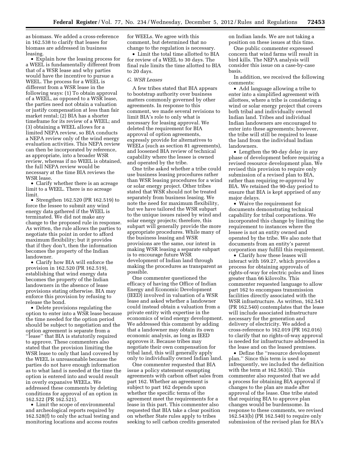as biomass. We added a cross-reference in 162.538 to clarify that leases for biomass are addressed in business leasing.

• Explain how the leasing process for a WEEL is fundamentally different from that of a WSR lease and why parties would have the incentive to pursue a WEEL. The process for a WEEL is different from a WSR lease in the following ways: (1) To obtain approval of a WEEL, as opposed to a WSR lease, the parties need not obtain a valuation or justify compensation at less than fair market rental; (2) BIA has a shorter timeframe for its review of a WEEL; and (3) obtaining a WEEL allows for a limited NEPA review, so BIA conducts a NEPA review only of the wind energy evaluation activities. This NEPA review can then be incorporated by reference, as appropriate, into a broader WSR review, whereas if no WEEL is obtained, the full NEPA review would be necessary at the time BIA reviews the WSR lease.

• Clarify whether there is an acreage limit to a WEEL. There is no acreage limit.

• Strengthen 162.520 (PR 162.519) to force the lessee to submit any wind energy data gathered if the WEEL is terminated. We did not make any change to the proposed rule in response. As written, the rule allows the parties to negotiate this point in order to afford maximum flexibility; but it provides that if they don't, then the information becomes the property of the Indian landowner.

• Clarify how BIA will enforce the provision in 162.520 (PR 162.519), establishing that wind energy data becomes the property of the Indian landowners in the absence of lease provisions stating otherwise. BIA may enforce this provision by refusing to release the bond.

• Delete provisions regulating the option to enter into a WSR lease because the time needed for the option period should be subject to negotiation and the option agreement is separate from a ''lease'' that BIA is statutorily required to approve. These commenters also stated that the provision limiting the WSR lease to only that land covered by the WEEL is unreasonable because the parties do not have enough information as to what land is needed at the time the option is entered into and would result in overly expansive WEELs. We addressed these comments by deleting conditions for approval of an option in 162.522 (PR 162.521).

• Limit the scope of environmental and archeological reports required by 162.528(f) to only the actual testing and monitoring locations and access routes

for WEELs. We agree with this comment, but determined that no change to the regulation is necessary.

• Limit the total time allotted to BIA for review of a WEEL to 30 days. The final rule limits the time allotted to BIA to 20 days.

#### *G. WSR Leases*

A few tribes stated that BIA appears to bootstrap authority over business matters commonly governed by other agreements. In response to this comment, we made several revisions to limit BIA's role to only what is necessary for leasing approval. We deleted the requirement for BIA approval of option agreements, expressly provide for alternatives to WEELs (such as section 81 agreements), and loosened BIA review of technical capability where the lessee is owned and operated by the tribe.

One tribe asked whether a tribe could use business leasing procedures rather than WSR leasing procedures for a wind or solar energy project. Other tribes stated that WSR should not be treated separately from business leasing. We note the need for maximum flexibility, but we have tailored the WSR subpart to the unique issues raised by wind and solar energy projects; therefore, this subpart will generally provide the more appropriate procedures. While many of the business leasing and WSR provisions are the same, our intent in making WSR leasing a separate subpart is to encourage future WSR development of Indian land through making the procedures as transparent as possible.

One commenter questioned the efficacy of having the Office of Indian Energy and Economic Development (IEED) involved in valuation of a WSR lease and asked whether a landowner could instead obtain a valuation from a private entity with expertise in the economics of wind energy development. We addressed this comment by adding that a landowner may obtain its own economic analysis, as long as IEED approves it. Because tribes may negotiate their own compensation for tribal land, this will generally apply only to individually owned Indian land.

One commenter requested that BIA issue a policy statement exempting agreements with carbon offset sales from part 162. Whether an agreement is subject to part 162 depends upon whether the specific terms of the agreement meet the requirements for a lease in this part. This commenter also requested that BIA take a clear position on whether State rules apply to tribes seeking to sell carbon credits generated

on Indian lands. We are not taking a position on these issues at this time.

One public commenter expressed concern that wind farms will result in bird kills. The NEPA analysis will consider this issue on a case-by-case basis.

In addition, we received the following comments:

• Add language allowing a tribe to enter into a simplified agreement with allottees, where a tribe is considering a wind or solar energy project that covers both tribal and individually owned Indian land. Tribes and individual Indian landowners are encouraged to enter into these agreements; however, the tribe will still be required to lease the land from the individual Indian landowners.

• Lengthen the 90-day delay in any phase of development before requiring a revised resource development plan. We revised this provision to require only submission of a revised plan to BIA, rather than requiring re-approval by BIA. We retained the 90-day period to ensure that BIA is kept apprised of any major delays.

• Waive the requirement for documents demonstrating technical capability for tribal corporations. We incorporated this change by limiting the requirement to instances where the lessee is not an entity owned and operated by the tribe. We also note that documents from an entity's parent corporation may fulfill this requirement.

• Clarify how these leases will interact with 169.27, which provides a process for obtaining approvals of rights-of-way for electric poles and lines greater than 66 kilovolts. This commenter requested language to allow part 162 to encompass transmission facilities directly associated with the WSR infrastructure. As written, 162.543 (PR 162.540) contemplates that the lease will include associated infrastructure necessary for the generation and delivery of electricity. We added a cross-reference to 162.019 (PR 162.016) to clarify that no rights-of-way approval is needed for infrastructure addressed in the lease and on the leased premises.

• Define the ''resource development plan.'' Since this term is used so infrequently, we included the definition with the term at 162.563(i). This commenter also requested that we add a process for obtaining BIA approval if changes to the plan are made after approval of the lease. One tribe stated that requiring BIA to approve plan changes would be burdensome. In response to these comments, we revised 162.543(b) (PR 162.540) to require only submission of the revised plan for BIA's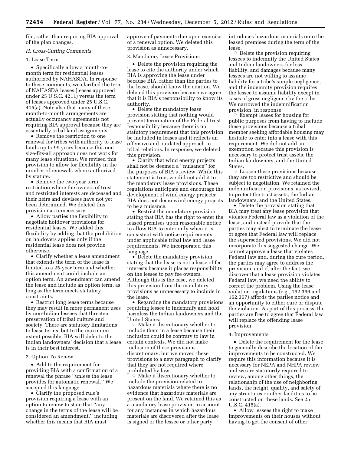file, rather than requiring BIA approval of the plan changes.

# *H. Cross-Cutting Comments*

# 1. Lease Term

• Specifically allow a month-tomonth term for residential leases authorized by NAHASDA. In response to these comments, we clarified the term of NAHASDA leases (leases approved under 25 U.S.C. 4211) versus the term of leases approved under 25 U.S.C. 415(a). Note also that many of these month-to-month arrangements are actually occupancy agreements not requiring BIA approval because they are essentially tribal land assignments.

• Remove the restriction to one renewal for tribes with authority to lease lands up to 99 years because this onesize-fits-all approach does not work for many lease situations. We revised this provision to allow for flexibility in the number of renewals where authorized by statute.

• Remove the two-year term restriction where the owners of trust and restricted interests are deceased and their heirs and devisees have not yet been determined. We deleted this provision as unnecessary.

• Allow parties the flexibility to negotiate holdover provisions for residential leases. We added this flexibility by adding that the prohibition on holdovers applies only if the residential lease does not provide otherwise.

• Clarify whether a lease amendment that extends the term of the lease is limited to a 25-year term and whether this amendment could include an option term. An amendment can amend the lease and include an option term, as long as the term meets statutory constraints.

• Restrict long lease terms because they may result in more permanent uses by non-Indian lessees that threaten preservation of tribal culture and society. There are statutory limitations to lease terms, but to the maximum extent possible, BIA will defer to the Indian landowners' decision that a lease is in their best interest.

# 2. Option To Renew

• Add to the requirement for providing BIA with a confirmation of a renewal the phrase ''unless the lease provides for automatic renewal.'' We accepted this language.

• Clarify the proposed rule's provision requiring a lease with an option to renew to state that ''any change in the terms of the lease will be considered an amendment,'' including whether this means that BIA must

approve of payments due upon exercise of a renewal option. We deleted this provision as unnecessary.

#### 3. Mandatory Lease Provisions

• Delete the provision requiring the lease to cite the authority under which BIA is approving the lease under because BIA, rather than the parties to the lease, should know the citation. We deleted this provision because we agree that it is BIA's responsibility to know its authority.

• Delete the mandatory lease provision stating that nothing would prevent termination of the Federal trust responsibility because there is no statutory requirement that this provision be included in leases and it reflects an offensive and outdated approach to tribal relations. In response, we deleted this provision.

• Clarify that wind energy projects shall not be deemed a ''nuisance'' for the purposes of BIA's review. While this statement is true, we did not add it to the mandatory lease provisions. These regulations anticipate and encourage the development of wind energy projects; BIA does not deem wind energy projects to be a nuisance.

• Restrict the mandatory provision stating that BIA has the right to enter the leased premises upon reasonable notice to allow BIA to enter only when it is consistent with notice requirements under applicable tribal law and lease requirements. We incorporated this language.

• Delete the mandatory provision stating that the lease is not a lease of fee interests because it places responsibility on the lessee to pay fee owners. Although this is the case, we deleted this provision from the mandatory provisions as unnecessary to include in the lease.

• Regarding the mandatory provisions requiring lessee to indemnify and hold harmless the Indian landowners and the United States:

Æ Make it discretionary whether to include them in a lease because their inclusion could be contrary to law in certain contexts. We did not make inclusion of these provisions discretionary, but we moved these provisions to a new paragraph to clarify that they are not required where prohibited by law.

 $\circ$  Make it discretionary whether to include the provision related to hazardous materials where there is no evidence that hazardous materials are present on the land. We retained this as a mandatory lease provision to account for any instances in which hazardous materials are discovered after the lease is signed or the lessee or other party

introduces hazardous materials onto the leased premises during the term of the lease.

 $\circ$  Delete the provision requiring lessees to indemnify the United States and Indian landowners for loss, liability, and damages because many lessees are not willing to assume liability for a tribe's simple negligence, and the indemnity provision requires the lessee to assume liability except in cases of gross negligence by the tribe. We narrowed the indemnification provision, in response.

 $\circ$  Exempt leases for housing for public purposes from having to include these provisions because a tribal member seeking affordable housing may hesitate to enter into a lease with this requirement. We did not add an exemption because this provision is necessary to protect trust assets, the Indian landowners, and the United States.

 $\circ$  Loosen these provisions because they are too restrictive and should be subject to negotiation. We retained the indemnification provisions, as revised, to protect the trust assets, the Indian landowners, and the United States.

• Delete the provision stating that BIA may treat any lease provision that violates Federal law as a violation of the lease, and instead provide that the parties may elect to terminate the lease or agree that Federal law will replace the superseded provisions. We did not incorporate this suggested change. We cannot approve a lease that violates Federal law and, during the cure period, the parties may agree to address the provision; and if, after the fact, we discover that a lease provision violates Federal law, we need the ability to correct the problem. Using the lease violation regulations (e.g., 162.366 and 162.367) affords the parties notice and an opportunity to either cure or dispute the violation. As part of this process, the parties are free to agree that Federal law will replace the offending lease provision.

#### 4. Improvements

• Delete the requirement for the lease to generally describe the location of the improvements to be constructed. We require this information because it is necessary for NEPA and NHPA review and we are statutorily required to review, among other things, the relationship of the use of neighboring lands, the height, quality, and safety of any structures or other facilities to be constructed on these lands. See 25 U.S.C. 415(a).

• Allow lessees the right to make improvements on their houses without having to get the consent of other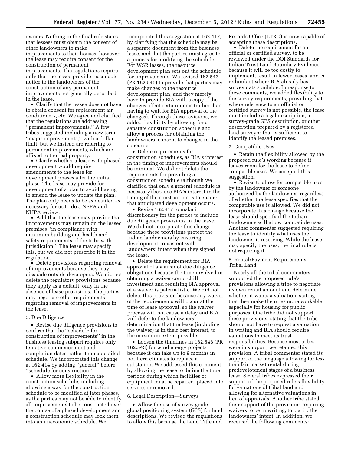owners. Nothing in the final rule states that lessees must obtain the consent of other landowners to make improvements to their houses; however, the lease may require consent for the construction of permanent improvements. The regulations require only that the lessee provide reasonable notice to the landowners of the construction of any permanent improvements not generally described in the lease.

• Clarify that the lessee does not have to obtain consent for replacement air conditioners, etc. We agree and clarified that the regulations are addressing ''permanent improvements.'' A few tribes suggested including a new term, ''major improvements,'' with a dollar limit, but we instead are referring to permanent improvements, which are affixed to the real property.

• Clarify whether a lease with phased development would require amendments to the lease for development phases after the initial phase. The lease may provide for development of a plan to avoid having to amend the lease to update the plan. The plan only needs to be as detailed as necessary for us to do a NEPA and NHPA review.

• Add that the lease may provide that improvements may remain on the leased premises ''in compliance with minimum building and health and safety requirements of the tribe with jurisdiction.'' The lease may specify this, but we did not prescribe it in the regulation.

• Delete provisions regarding removal of improvements because they may dissuade outside developers. We did not delete the regulatory provisions because they apply as a default, only in the absence of lease provisions. The parties may negotiate other requirements regarding removal of improvements in the lease.

#### 5. Due Diligence

• Revise due diligence provisions to confirm that the ''schedule for construction of improvements'' in the business leasing subpart requires only tentative commencement and completion dates, rather than a detailed schedule. We incorporated this change at 162.414 by adding ''general'' before ''schedule for construction.''

• Allow more flexibility in the construction schedule, including allowing a way for the construction schedule to be modified at later phases, as the parties may not be able to identify all improvements to be constructed over the course of a phased development and a construction schedule may lock them into an uneconomic schedule. We

incorporated this suggestion at 162.417, by clarifying that the schedule may be a separate document from the business lease, and that the parties must agree to a process for modifying the schedule. For WSR leases, the resource development plan sets out the schedule for improvements. We revised 162.543 (PR 162.540) to provide that parties may make changes to the resource development plan, and they merely have to provide BIA with a copy if the changes affect certain items (rather than having to wait for BIA approval of the changes). Through these revisions, we added flexibility by allowing for a separate construction schedule and allow a process for obtaining the landowners' consent to changes in the schedule.

• Delete requirements for construction schedules, as BIA's interest in the timing of improvements should be minimal. We did not delete the requirements for providing a construction schedule (although we clarified that only a general schedule is necessary) because BIA's interest in the timing of the construction is to ensure that anticipated development occurs.

• Revise 162.417 to make it discretionary for the parties to include due diligence provisions in the lease. We did not incorporate this change because these provisions protect the Indian landowners by ensuring development consistent with landowners' intent when they signed the lease.

• Delete the requirement for BIA approval of a waiver of due diligence obligations because the time involved in obtaining a waiver could chill investment and requiring BIA approval of a waiver is paternalistic. We did not delete this provision because any waiver of the requirements will occur at the time of lease approval, so the waiver process will not cause a delay and BIA will defer to the landowners' determination that the lease (including the waiver) is in their best interest, to the maximum extent possible.

• Loosen the timelines in 162.546 (PR 162.543) for wind energy projects because it can take up to 9 months in northern climates to replace a substation. We addressed this comment by allowing the lease to define the time periods during which facilities or equipment must be repaired, placed into service, or removed.

#### 6. Legal Description—Surveys

• Allow the use of survey grade global positioning system (GPS) for land descriptions. We revised the regulations to allow this because the Land Title and

Records Office (LTRO) is now capable of accepting these descriptions.

• Delete the requirement for an official or certified survey, to be reviewed under the DOI Standards for Indian Trust Land Boundary Evidence, because it will be too costly to implement, result in fewer leases, and is redundant where BIA already has survey data available. In response to these comments, we added flexibility to the survey requirements, providing that where reference to an official or certified survey is not possible, the lease must include a legal description, a survey-grade GPS description, or other description prepared by a registered land surveyor that is sufficient to identify the leased premises.

#### 7. Compatible Uses

• Retain the flexibility allowed by the proposed rule's wording because it leaves room for the lease to define compatible uses. We accepted this suggestion.

• Revise to allow for compatible uses by the landowner or someone authorized by the landowner, regardless of whether the lease specifies that the compatible use is allowed. We did not incorporate this change because the lease should specify if the Indian landowners will allow compatible uses. Another commenter suggested requiring the lease to identify what uses the landowner is reserving. While the lease may specify the uses, the final rule is not requiring it.

8. Rental/Payment Requirements— Tribal Land

Nearly all the tribal commenters supported the proposed rule's provisions allowing a tribe to negotiate its own rental amount and determine whether it wants a valuation, stating that they make the rules more workable, especially for housing for public purposes. One tribe did not support these provisions, stating that the tribe should not have to request a valuation in writing and BIA should require valuations to meet its trust responsibilities. Because most tribes were in support, we retained this provision. A tribal commenter stated its support of the language allowing for less than fair market rental during predevelopment stages of a business lease. Several tribes expressed their support of the proposed rule's flexibility for valuations of tribal land and allowing for alternative valuations in lieu of appraisals. Another tribe stated their support of the provisions requiring waivers to be in writing, to clarify the landowners' intent. In addition, we received the following comments: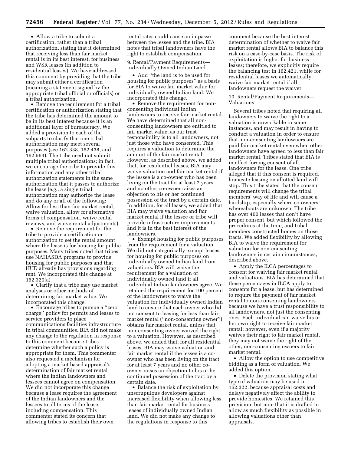• Allow a tribe to submit a certification, rather than a tribal authorization, stating that it determined that receiving less than fair market rental is in its best interest, for business and WSR leases (in addition to residential leases). We have addressed this comment by providing that the tribe may submit either a certification (meaning a statement signed by the appropriate tribal official or officials) or a tribal authorization.

• Remove the requirement for a tribal certification or authorization stating that the tribe has determined the amount to be in its best interest because it is an additional layer of bureaucracy. We added a provision to each of the subparts to clarify that one tribal authorization may meet several purposes (see 162.338, 162.438, and 162.563). The tribe need not submit multiple tribal authorizations; in fact, we encourage the tribe to provide this information and any other tribal authorization statements in the same authorization that it passes to authorize the lease (e.g., a single tribal authorization may authorize the lease and do any or all of the following: Allow for less than fair market rental, waive valuation, allow for alternative forms of compensation, waive rental reviews, and waive rental adjustments).

• Remove the requirement for the tribe to provide a certification or authorization to set the rental amount where the lease is for housing for public purposes. Many tribes noted that tribes use NAHASDA programs to provide housing for public purposes and that HUD already has provisions regarding rent. We incorporated this change at 162.320(a).

• Clarify that a tribe may use market analyses or other methods of determining fair market value. We incorporated this change.

• Encourage tribes to pursue a ''zero charge'' policy for permits and leases to service providers to place communications facilities infrastructure in tribal communities. BIA did not make any change to the regulation in response to this comment because tribes determine whether such a policy is appropriate for them. This commenter also requested a mechanism for adopting a market-based appraisal's determination of fair market rental where the Indian landowners and lessees cannot agree on compensation. We did not incorporate this change because a lease requires the agreement of the Indian landowners and the lessees to all terms of the lease, including compensation. This commenter stated its concern that allowing tribes to establish their own

rental rates could cause an impasse between the lessee and the tribe. BIA notes that tribal landowners have the right to establish compensation.

9. Rental/Payment Requirements— Individually Owned Indian Land

• Add ''the land is to be used for housing for public purposes'' as a basis for BIA to waive fair market value for individually owned Indian land. We incorporated this change.

• Remove the requirement for nonconsenting individual Indian landowners to receive fair market rental. We have determined that all nonconsenting landowners are entitled to fair market value, as our trust responsibility is to all landowners, not just those who have consented. This requires a valuation to determine the amount of the fair market rental. However, as described above, we added that, for residential leases, BIA may waive valuation and fair market rental if the lessee is a co-owner who has been living on the tract for at least 7 years and no other co-owner raises an objection to his or her continued possession of the tract by a certain date. In addition, for all leases, we added that BIA may waive valuation and fair market rental if the lessee or tribe will provide infrastructure improvements and it is in the best interest of the landowners.

• Exempt housing for public purposes from the requirement for a valuation. We did not categorically exempt leases for housing for public purposes on individually owned Indian land from valuations. BIA will waive the requirement for a valuation of individually owned land if all individual Indian landowners agree. We retained the requirement for 100 percent of the landowners to waive the valuation for individually owned Indian land to ensure that each owner who did not consent to leasing for less than fair market rental (''non-consenting owner'') obtains fair market rental, unless that non-consenting owner waived the right to a valuation. However, as described above, we added that, for all residential leases, BIA may waive valuation and fair market rental if the lessee is a coowner who has been living on the tract for at least 7 years and no other coowner raises an objection to his or her continued possession of the tract by a certain date.

• Balance the risk of exploitation by unscrupulous developers against increased flexibility when allowing less than fair market rental for business leases of individually owned Indian land. We did not make any change to the regulations in response to this

comment because the best interest determination of whether to waive fair market rental allows BIA to balance this risk on a case-by-case basis. The risk of exploitation is higher for business leases; therefore, we explicitly require the balancing test in 162.421, while for residential leases we automatically waive fair market rental if all landowners request the waiver.

# 10. Rental/Payment Requirements— Valuations

Several tribes noted that requiring all landowners to waive the right to a valuation is unworkable in some instances, and may result in having to conduct a valuation in order to ensure that non-consenting landowners are paid fair market rental even when other landowners have agreed to less than fair market rental. Tribes stated that BIA is in effect forcing consent of all landowners for the lease. One tribe alleged that if this consent is required, homesite leasing on allotted land will stop. This tribe stated that the consent requirements will change the tribal members' way of life and will cause a hardship, especially where co-owners' whereabouts are unknown. The tribe has over 400 leases that don't have proper consent, but which followed the procedures at the time, and tribal members constructed homes on those tracts. We added flexibility by allowing BIA to waive the requirement for valuation for non-consenting landowners in certain circumstances, described above.

• Apply the ILCA percentages to consent for waiving fair market rental and valuations. BIA has determined that these percentages in ILCA apply to consents for a lease, but has determined to require the payment of fair market rental to non-consenting landowners because we have a trust responsibility to all landowners, not just the consenting ones. Each individual can waive his or her own right to receive fair market rental; however, even if a majority waives their right to fair market rental, they may not waive the right of the other, non-consenting owners to fair market rental.

• Allow the option to use competitive bidding as a form of valuation. We added this option.

• Delete the provision stating what type of valuation may be used in 162.322, because appraisal costs and delays negatively affect the ability to provide homesites. We retained this provision, but note that it is drafted to allow as much flexibility as possible in allowing valuations other than appraisals.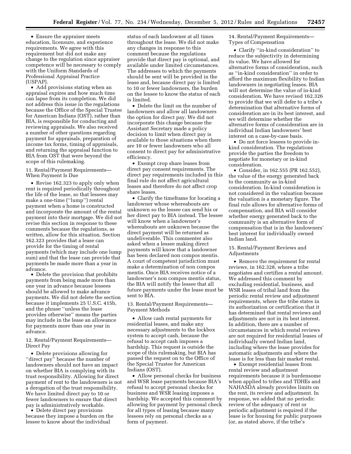• Ensure the appraiser meets education, licensure, and experience requirements. We agree with this requirement but did not make any change to the regulation since appraiser competence will be necessary to comply with the Uniform Standards of Professional Appraisal Practice (USPAP).

• Add provisions stating when an appraisal expires and how much time can lapse from its completion. We did not address this issue in the regulations because the Office of the Special Trustee for American Indians (OST), rather than BIA, is responsible for conducting and reviewing appraisals. We also received a number of other questions regarding payment for appraisals, preparation of income tax forms, timing of appraisals, and returning the appraisal function to BIA from OST that were beyond the scope of this rulemaking.

11. Rental/Payment Requirements— When Payment Is Due

• Revise 162.323 to apply only when rent is required periodically throughout the life of the lease, so that lessees may make a one-time (''lump'') rental payment when a home is constructed and incorporate the amount of the rental payment into their mortgage. We did not revise this section in response to these comments because the regulations, as written, allow for this situation. Section 162.323 provides that a lease can provide for the timing of rental payments (which may include one lump sum) and that the lease can provide that payments be made more than a year in advance.

• Delete the provision that prohibits payments from being made more than one year in advance because lessees should be allowed to make advance payments. We did not delete the section because it implements 25 U.S.C. 415b, and the phrase ''unless the lease provides otherwise'' means the parties may include in the lease an allowance for payments more than one year in advance.

12. Rental/Payment Requirements— Direct Pay

• Delete provisions allowing for "direct pay" because the number of landowners should not have an impact on whether BIA is complying with its trust responsibility. Allowing for direct payment of rent to the landowners is not a derogation of the trust responsibility. We have limited direct pay to 10 or fewer landowners to ensure that direct pay is administratively workable.

• Delete direct pay provisions because they impose a burden on the lessee to know about the individual

status of each landowner at all times throughout the lease. We did not make any changes in response to this comment because the regulations provide that direct pay is optional, and available under limited circumstances. The addresses to which the payments should be sent will be provided in the lease and, because direct pay is limited to 10 or fewer landowners, the burden on the lessee to know the status of each is limited.

• Delete the limit on the number of landowners and allow all landowners the option for direct pay. We did not incorporate this change because the Assistant Secretary made a policy decision to limit when direct pay is available to those situations when there are 10 or fewer landowners who all consent to direct pay for administrative efficiency.

• Exempt crop share leases from direct pay consent requirements. The direct pay requirements included in this final rule do not affect agricultural leases and therefore do not affect crop share leases.

• Clarify the timeframe for locating a landowner whose whereabouts are unknown so the lessee can send his or her direct pay to BIA instead. The lessee will know when a landowner's whereabouts are unknown because the direct payment will be returned as undeliverable. This commenter also asked when a lessee making direct payments will know that a landowner has been declared non compos mentis. A court of competent jurisdiction must make a determination of non compos mentis. Once BIA receives notice of a landowner's non compos mentis status, the BIA will notify the lessee that all future payments under the lease must be sent to BIA.

13. Rental/Payment Requirements— Payment Methods

• Allow cash rental payments for residential leases, and make any necessary adjustments to the lockbox system to accept cash, because the refusal to accept cash imposes a hardship. This request is outside the scope of this rulemaking, but BIA has passed the request on to the Office of the Special Trustee for American Indians (OST).

• Allow personal checks for business and WSR lease payments because BIA's refusal to accept personal checks for business and WSR leasing imposes a hardship. We accepted this comment by allowing for payment by personal check for all types of leasing because many lessees rely on personal checks as a form of payment.

14. Rental/Payment Requirements— Types of Compensation

• Clarify ''in-kind consideration'' to reduce the subjectivity in determining its value. We have allowed for alternative forms of consideration, such as ''in-kind consideration'' in order to afford the maximum flexibility to Indian landowners in negotiating leases. BIA will not determine the value of in-kind consideration. We have revised 162.326 to provide that we will defer to a tribe's determination that alternative forms of consideration are in its best interest, and we will determine whether the alternative forms of consideration are in individual Indian landowners' best interest on a case-by-case basis.

• Do not force lessees to provide inkind consideration. The regulations provide the parties the freedom to negotiate for monetary or in-kind consideration.

• Consider, in 162.555 (PR 162.552), the value of the energy generated back to the community as in-kind consideration. In-kind consideration is not considered in the valuation because the valuation is a monetary figure. The final rule allows for alternative forms of compensation, and BIA will consider whether energy generated back to the community is an alternative form of compensation that is in the landowners' best interest for individually owned Indian land.

15. Rental/Payment Reviews and Adjustments

• Remove the requirement for rental reviews, in 162.328, where a tribe negotiates and certifies a rental amount. We addressed this comment by excluding residential, business, and WSR leases of tribal land from the periodic rental review and adjustment requirements, where the tribe states in its authorization or certification that it has determined that rental reviews and adjustments are not in its best interest. In addition, there are a number of circumstances in which rental reviews are not required for residential leases of individually owned Indian land, including where the lease provides for automatic adjustments and where the lease is for less than fair market rental.

• Exempt residential leases from rental review and adjustment requirements because it is burdensome when applied to tribes and TDHEs and NAHASDA already provides limits on the rent, its review and adjustment. In response, we added that no periodic review of the adequacy of rent or periodic adjustment is required if the lease is for housing for public purposes (or, as stated above, if the tribe's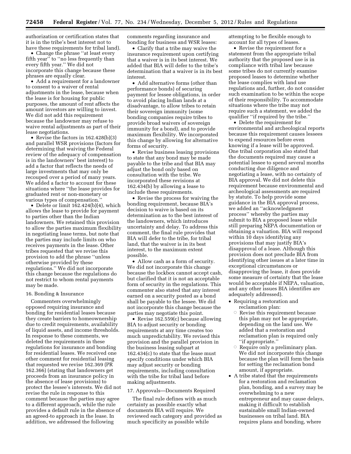authorization or certification states that it is in the tribe's best interest not to have these requirements for tribal land).

• Change the phrase ''at least every fifth year'' to ''no less frequently than every fifth year.'' We did not incorporate this change because these phrases are equally clear.

• Add a requirement for a landowner to consent to a waiver of rental adjustments in the lease, because when the lease is for housing for public purposes, the amount of rent affects the amount investors are willing to invest. We did not add this requirement because the landowner may refuse to waive rental adjustments as part of their lease negotiations.

• Revise the factors in 162.428(b)(3) and parallel WSR provisions (factors for determining that waiving the Federal review of the adequacy of compensation is in the landowners' best interest) to add a factor that reflects the needs of large investments that may only be recouped over a period of many years. We added a factor to account for these situations where ''the lease provides for graduated rent or non-monetary or various types of compensation.''

• Delete or limit 162.424(b)(4), which allows the lease to provide for payment to parties other than the Indian landowners. We retained this provision to allow the parties maximum flexibility in negotiating lease terms, but note that the parties may include limits on who receives payments in the lease. Other tribes requested that we revise this provision to add the phrase ''unless otherwise provided by these regulations.'' We did not incorporate this change because the regulations do not restrict to whom rental payments may be made.

#### 16. Bonding & Insurance

Commenters overwhelmingly opposed requiring insurance and bonding for residential leases because they create barriers to homeownership due to credit requirements, availability of liquid assets, and income thresholds. In response to these comments, we deleted the requirements in these regulations for insurance and bonding for residential leases. We received one other comment for residential leasing that requested we revise 162.369 (PR 162.366) (stating that landowners get proceeds from an insurance policy in the absence of lease provisions) to protect the lessee's interests. We did not revise the rule in response to this comment because the parties may agree to a different approach, while the rule provides a default rule in the absence of an agreed-to approach in the lease. In addition, we addressed the following

comments regarding insurance and bonding for business and WSR leases:

• Clarify that a tribe may waive the insurance requirement upon certifying that a waiver is in its best interest. We added that BIA will defer to the tribe's determination that a waiver is in its best interest.

• Add alternative forms (other than performance bonds) of securing payment for lessee obligations, in order to avoid placing Indian lands at a disadvantage, to allow tribes to retain their sovereign immunity (some bonding companies require tribes to provide broad waivers of sovereign immunity for a bond), and to provide maximum flexibility. We incorporated this change by allowing for alternative forms of security.

• Revise business leasing provisions to state that any bond may be made payable to the tribe and that BIA may adjust the bond only based on consultation with the tribe. We incorporated these revisions at 162.434(b) by allowing a lease to include these requirements.

• Revise the process for waiving the bonding requirement, because BIA's decision to waive is based on its determination as to the best interest of the landowners, which introduces uncertainty and delay. To address this comment, the final rule provides that BIA will defer to the tribe, for tribal land, that the waiver is in its best interest, to the maximum extent possible.

• Allow cash as a form of security. We did not incorporate this change because the lockbox cannot accept cash, but clarified that it is not an acceptable form of security in the regulations. This commenter also stated that any interest earned on a security posted as a bond shall be payable to the lessee. We did not incorporate this change because the parties may negotiate this point.

• Revise 162.559(c) because allowing BIA to adjust security or bonding requirements at any time creates too much unpredictability. We revised this provision and the parallel provision in the business leasing subpart at 162.434(c) to state that the lease must specify conditions under which BIA may adjust security or bonding requirements, including consultation with the tribe for tribal land before making adjustments.

#### 17. Approvals—Documents Required

The final rule defines with as much certainty as possible exactly what documents BIA will require. We reviewed each category and provided as much specificity as possible while

attempting to be flexible enough to account for all types of leases.

• Revise the requirement for a statement from the appropriate tribal authority that the proposed use is in compliance with tribal law because some tribes do not currently examine proposed leases to determine whether the lease complies with land use regulations and, further, do not consider such examination to be within the scope of their responsibility. To accommodate situations where the tribe may not require such a statement, we added the qualifier ''if required by the tribe.''

• Delete the requirement for environmental and archeological reports because this requirement causes lessees to expend resources before even knowing if a lease will be approved. One tribal corporation also stated that the documents required may cause a potential lessee to spend several months conducting due diligence and negotiating a lease, with no certainty of BIA approval. We did not delete this requirement because environmental and archeological assessments are required by statute. To help provide some guidance in the BIA approval process, we added an ''acknowledgment process'' whereby the parties may submit to BIA a proposed lease while still preparing NEPA documentation or obtaining a valuation. BIA will respond within 10 days identifying any provisions that may justify BIA's disapproval of a lease. Although this provision does not preclude BIA from identifying other issues at a later time in exceptional circumstances or disapproving the lease, it does provide some measure of certainty that the lease would be acceptable if NEPA, valuation, and any other issues BIA identifies are adequately addressed).

- Requiring a restoration and reclamation plan:
	- $\circ$  Revise this requirement because this plan may not be appropriate, depending on the land use. We added that a restoration and reclamation plan is required only ''if appropriate.''
	- $\circ$  Require only a preliminary plan. We did not incorporate this change because the plan will form the basis for setting the reclamation bond amount, if appropriate.
- A tribe stated that the requirements for a restoration and reclamation plan, bonding, and a survey may be overwhelming to a new entrepreneur and may cause delays, making it difficult to establish sustainable small Indian-owned businesses on tribal land. BIA requires plans and bonding, where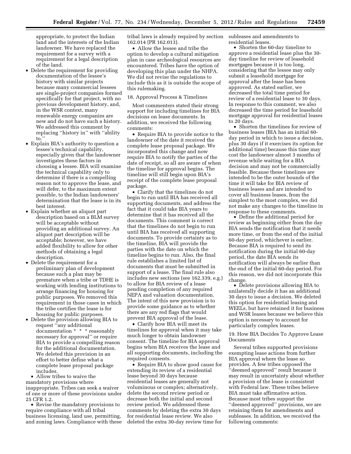appropriate, to protect the Indian land and the interests of the Indian landowner. We have replaced the requirement for a survey with a requirement for a legal description of the land.

- Delete the requirement for providing documentation of the lessee's history with similar projects because many commercial lessees are single-project companies formed specifically for that project, with no previous development history, and, in the WSR context, many renewable energy companies are new and do not have such a history. We addressed this comment by replacing ''history in'' with ''ability  $\overline{\mathsf{to}}$ .
- Explain BIA's authority to question a lessee's technical capability, especially given that the landowner investigates these factors in choosing a lessee. BIA will examine the technical capability only to determine if there is a compelling reason not to approve the lease, and will defer, to the maximum extent possible, to the Indian landowners' determination that the lease is in its best interest.
- Explain whether an aliquot part description based on a BLM survey will be acceptable without providing an additional survey. An aliquot part description will be acceptable; however, we have added flexibility to allow for other methods of obtaining a legal description.
- Delete the requirement for a preliminary plan of development because such a plan may be premature when a tribe or TDHE is working with lending institutions to arrange financing for housing for public purposes. We removed this requirement in those cases in which the tribe certifies the lease is for housing for public purposes.
- Delete the provision allowing BIA to request ''any additional documentation \* \* \* reasonably necessary for approval'' or require BIA to provide a compelling reason for the additional documentation. We deleted this provision in an effort to better define what a complete lease proposal package includes.

• Allow tribes to waive the mandatory provisions where inappropriate. Tribes can seek a waiver of one or more of these provisions under 25 CFR 1.2.

• Revise the mandatory provisions to require compliance with all tribal business licensing, land use, permitting, and zoning laws. Compliance with these tribal laws is already required by section 162.014 (PR 162.013).

• Allow the lessee and tribe the option to develop a cultural mitigation plan in case archeological resources are encountered. Tribes have the option of developing this plan under the NHPA. We did not revise the regulations to include this as it is outside the scope of this rulemaking.

# 18. Approval Process & Timelines

Most commenters stated their strong support for including timelines for BIA decisions on lease documents. In addition, we received the following comments:

• Require BIA to provide notice to the landowner of the date it received the complete lease proposal package. We incorporated this change and now require BIA to notify the parties of the date of receipt, so all are aware of when the timeline for approval begins. The timeline will still begin upon BIA's receipt of the complete lease proposal package.

• Clarify that the timelines do not begin to run until BIA has received all supporting documents, and address the fact that it could take BIA years to determine that it has received all the documents. This comment is correct that the timelines do not begin to run until BIA has received all supporting documents. To provide certainty as to the timeline, BIA will provide the parties with the date on which the timeline begins to run. Also, the final rule establishes a limited list of documents that must be submitted in support of a lease. The final rule also includes new sections (see 162.339, e.g.) to allow for BIA review of a lease pending completion of any required NEPA and valuation documentation. The intent of this new provision is to provide some guidance as to whether there are any red flags that would prevent BIA approval of the lease.

• Clarify how BIA will meet its timelines for approval when it may take much longer to obtain landowner consent. The timeline for BIA approval begins when BIA receives the lease and all supporting documents, including the required consents.

• Require BIA to show good cause for extending its review of a residential lease beyond 30 days because residential leases are generally not voluminous or complex; alternatively, delete the second review period or decrease both the initial and second review period. We addressed these comments by deleting the extra 30 days for residential lease review. We also deleted the extra 30-day review time for

subleases and amendments to residential leases.

• Shorten the 60-day timeline to approve a residential lease plus the 30 day timeline for review of leasehold mortgages because it is too long, considering that the lessee may only submit a leasehold mortgage for approval after the lease has been approved. As stated earlier, we decreased the total time period for review of a residential lease to 30 days. In response to this comment, we also decreased the time period for leasehold mortgage approval for residential leases to 20 days.

• Shorten the timelines for review of business leases (BIA has an initial 60 day period in which to issue a decision, plus 30 days if it exercises its option for additional time) because this time may cost the landowner almost 3 months of revenue while waiting for a BIA decision and may not be commercially feasible. Because these timelines are intended to be the outer bounds of the time it will take for BIA review of business leases and are intended to cover all business leases, from the simplest to the most complex, we did not make any changes to the timeline in response to these comments.

• Define the additional period for review as beginning either from the day BIA sends the notification that it needs more time, or from the end of the initial 60-day period, whichever is earlier. Because BIA is required to send its notification during the initial 60-day period, the date BIA sends its notification will always be earlier than the end of the initial 60-day period. For this reason, we did not incorporate this change.

• Delete provisions allowing BIA to unilaterally decide it has an additional 30 days to issue a decision. We deleted this option for residential leasing and WEELs, but have retained it for business and WSR leases because we believe this option is necessary to account for particularly complex leases.

# 19. How BIA Decides To Approve Lease Documents

Several tribes supported provisions exempting lease actions from further BIA approval where the lease so provides. A few tribes opposed the ''deemed approved'' result because it may result in uncertainty about whether a provision of the lease is consistent with Federal law. These tribes believe BIA must take affirmative action. Because most tribes support the ''deemed approved'' provisions, we are retaining them for amendments and subleases. In addition, we received the following comments: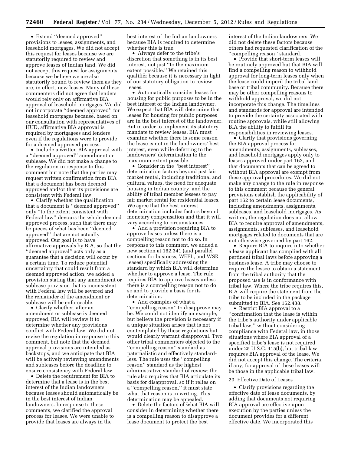• Extend ''deemed approved'' provisions to leases, assignments, and leasehold mortgages. We did not accept this request for leases because we are statutorily required to review and approve leases of Indian land. We did not accept this request for assignments because we believe we are also statutorily bound to review them as they are, in effect, new leases. Many of these commenters did not agree that lenders would rely only on affirmative BIA approval of leasehold mortgages. We did not incorporate ''deemed approved'' for leasehold mortgages because, based on our consultation with representatives of HUD, affirmative BIA approval is required by mortgagees and lenders even if the regulations were to provide for a deemed approved process.

• Include a written BIA approval with a ''deemed approved'' amendment or sublease. We did not make a change to the regulation in response to this comment but note that the parties may request written confirmation from BIA that a document has been deemed approved and/or that its provisions are consistent with Federal law.

• Clarify whether the qualification that a document is ''deemed approved'' only ''to the extent consistent with Federal law'' devours the whole deemed approved process, such that there may be pieces of what has been ''deemed approved'' that are not actually approved. Our goal is to have affirmative approvals by BIA, so that the ''deemed approval'' acts only as a guarantee that a decision will occur by a certain time. To reduce potential uncertainty that could result from a deemed approved action, we added a provision stating that any amendment or sublease provision that is inconsistent with Federal law will be severed and the remainder of the amendment or sublease will be enforceable.

• Clarify whether, after an amendment or sublease is deemed approved, BIA will review it to determine whether any provisions conflict with Federal law. We did not revise the regulation in response to this comment, but note that the deemed approval provisions are intended as backstops, and we anticipate that BIA will be actively reviewing amendments and subleases before the deadline to ensure consistency with Federal law.

• Delete the requirement for BIA to determine that a lease is in the best interest of the Indian landowners because leases should automatically be in the best interest of Indian landowners. In response to these comments, we clarified the approval process for leases. We were unable to provide that leases are always in the

best interest of the Indian landowners because BIA is required to determine whether this is true.

• Always defer to the tribe's discretion that something is in its best interest, not just ''to the maximum extent possible.'' We retained this qualifier because it is necessary in light of our statutory obligation to review leases.

• Automatically consider leases for housing for public purposes to be in the best interest of the Indian landowner. We expect that BIA will determine that leases for housing for public purposes are in the best interest of the landowner. But in order to implement its statutory mandate to review leases, BIA must examine whether there is some reason the lease is not in the landowners' best interest, even while deferring to the landowners' determination to the maximum extent possible.

• Consider in the ''best interest'' determination factors beyond just fair market rental, including traditional and cultural values, the need for adequate housing in Indian country, and the ability of tribal member lessees to pay fair market rental for residential leases. We agree that the best interest determination includes factors beyond monetary compensation and that it will vary according to circumstances.

• Add a provision requiring BIA to approve leases unless there is a compelling reason not to do so. In response to this comment, we added a new section at 162.341 (and parallel sections for business, WEEL, and WSR leases) specifically addressing the standard by which BIA will determine whether to approve a lease. The rule requires BIA to approve leases unless there is a compelling reason not to do so and to provide a basis for its determination.

• Add examples of what a ''compelling reason'' to disapprove may be. We could not identify an example, but believe the provision is necessary if a unique situation arises that is not contemplated by these regulations but would clearly warrant disapproval. Two other tribal commenters objected to the ''compelling reason'' standard as paternalistic and effectively standardless. The rule uses the ''compelling reason'' standard as the highest administrative standard of review; the rule also requires that BIA articulate its basis for disapproval, so if it relies on a ''compelling reason,'' it must state what that reason is in writing. This determination may be appealed.

• Delete the factors of what BIA will consider in determining whether there is a compelling reason to disapprove a lease document to protect the best

interest of the Indian landowners. We did not delete these factors because others had requested clarification of the ''compelling reason'' standard.

• Provide that short-term leases will be routinely approved but that BIA will find a compelling reason to withhold approval for long-term leases only when the lease could imperil the tribal land base or tribal community. Because there may be other compelling reasons to withhold approval, we did not incorporate this change. The timelines and standards for approval are intended to provide the certainty associated with routine approvals, while still allowing BIA the ability to fulfill its responsibilities in reviewing leases.

• Clarify that provisions governing the BIA approval process for amendments, assignments, subleases, and leasehold mortgages apply only to leases approved under part 162, and that documents that can be agreed to without BIA approval are exempt from these approval procedures. We did not make any change to the rule in response to this comment because the general provisions establish the applicability of part 162 to certain lease documents, including amendments, assignments, subleases, and leasehold mortgages. As written, the regulation does not allow BIA to require approval of amendments, assignments, subleases, and leasehold mortgages related to documents that are not otherwise governed by part 162.

• Require BIA to inquire into whether a lease applicant has complied with all pertinent tribal laws before approving a business lease. A tribe may choose to require the lessee to obtain a statement from the tribal authority that the proposed use is in conformance with tribal law. Where the tribe requires this, BIA will require the statement from the tribe to be included in the package submitted to BIA. See 162.438.

• Restrict BIA approval to a ''confirmation that the lease is within the tribe's authority under applicable tribal law,'' without considering compliance with Federal law, in those situations where BIA approval of a specified tribe's lease is not required under 25 U.S.C. 415(b), but tribal law requires BIA approval of the lease. We did not accept this change. The criteria, if any, for approval of these leases will be those in the applicable tribal law.

#### 20. Effective Date of Leases

• Clarify provisions regarding the effective date of lease documents, by adding that documents not requiring BIA approval are effective upon execution by the parties unless the document provides for a different effective date. We incorporated this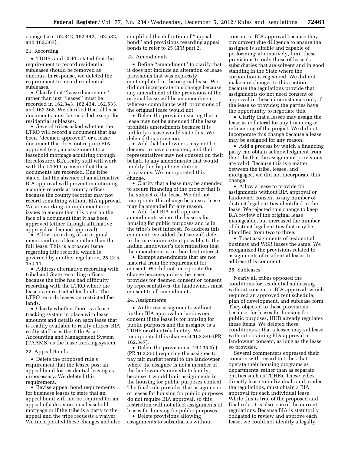change (see 162.342, 162.442, 162.532, and 162.567).

# 21. Recording

• TDHEs and CDFIs stated that the requirement to record residential subleases should be removed as onerous. In response, we deleted the requirement to record residential subleases.

• Clarify that ''lease documents'' rather than just ''leases'' must be recorded in 162.343, 162.434, 162.533, and 162.568. We clarified that all lease documents must be recorded except for residential subleases.

• Several tribes asked whether the LTRO will record a document that has been ''deemed approved'' or a lease document that does not require BIA approval (e.g., an assignment to a leasehold mortgage acquiring through foreclosure). BIA realty staff will work with the LTRO to ensure that these documents are recorded. One tribe stated that the absence of an affirmative BIA approval will prevent maintaining accurate records at county offices because the county recorder may not record something without BIA approval. We are working on implementation issues to ensure that it is clear on the face of a document that it has been approved (either through affirmative approval or deemed approval).

• Allow recording of an original memorandum of lease rather than the full lease. This is a broader issue regarding title records, which is governed by another regulation, 25 CFR 150.11.

• Address alternative recording with tribal and State recording offices because the tribe has had difficulty recording with the LTRO where the lease is on restricted fee lands. The LTRO records leases on restricted fee lands.

• Clarify whether there is a lease tracking system in place with lease amounts and details on each lease that is readily available to realty offices. BIA realty staff uses the Title Asset Accounting and Management System (TAAMS) as the lease tracking system.

#### 22. Appeal Bonds

• Delete the proposed rule's requirement that the lessee post an appeal bond for residential leasing as unnecessary. We deleted this requirement.

• Revise appeal bond requirements for business leases to state that an appeal bond will not be required for an appeal of a decision on a leasehold mortgage or if the tribe is a party to the appeal and the tribe requests a waiver. We incorporated these changes and also simplified the definition of ''appeal bond'' and provisions regarding appeal bonds to refer to 25 CFR part 2.

#### 23. Amendments

• Define "amendment" to clarify that it does not include an alteration of lease provisions that was expressly contemplated in the original lease. We did not incorporate this change because any amendment of the provisions of the original lease will be an amendment, whereas compliance with provisions of the original lease would not.

• Delete the provision stating that a lease may not be amended if the lease prohibits amendments because it is unlikely a lease would state this. We deleted this provision.

• Add that landowners may not be deemed to have consented, and their representatives may not consent on their behalf, to any amendments that would modify the dispute resolution provisions. We incorporated this change.

• Clarify that a lease may be amended to secure financing of the project that is the subject of the lease. We did not incorporate this change because a lease may be amended for any reason.

• Add that BIA will approve amendments where the lease is for housing for public purposes and is in the tribe's best interest. To address this comment, we added that we will defer, to the maximum extent possible, to the Indian landowner's determination that the amendment is in their best interest.

• Exempt amendments that are not material from the requirement for consent. We did not incorporate this change because, unless the lease provides for deemed consent or consent by representatives, the landowners must consent to all amendments.

#### 24. Assignments

• Authorize assignments without further BIA approval or landowner consent if the lease is for housing for public purposes and the assignee is a TDHE or other tribal entity. We incorporated this change at 162.349 (PR 162.347).

• Delete the provision at 162.352(c) (PR 162.350) requiring the assignee to pay fair market rental to the landowner where the assignee is not a member of the landowner's immediate family, because it would limit assignments in the housing for public purposes context. The final rule provides that assignments of leases for housing for public purposes do not require BIA approval, so this restriction will not affect assignments of leases for housing for public purposes.

• Delete provisions allowing assignments to subsidiaries without consent or BIA approval because they circumvent due diligence to ensure the assignee is suitable and capable of performing; alternatively, limit these provisions to only those of lessee's subsidiaries that are solvent and in good standing in the State where the corporation is registered. We did not make any changes to this section because the regulations provide that assignments do not need consent or approval in these circumstances only if the lease so provides; the parties have the opportunity to negotiate this.

• Clarify that a lessee may assign the lease as collateral for any financing or refinancing of the project. We did not incorporate this change because a lease may be assigned for any reason.

• Add a process by which a financing party can obtain acknowledgment from the tribe that the assignment provisions are valid. Because this is a matter between the tribe, lessee, and mortgagee, we did not incorporate this change.

• Allow a lease to provide for assignments without BIA approval or landowner consent to any number of distinct legal entities identified in the lease. We rejected this change to keep BIA review of the original lease manageable, but increased the number of distinct legal entities that may be identified from two to three.

• Treat assignments of residential, business and WSR leases the same. We reorganized the provisions related to assignments of residential leases to address this comment.

#### 25. Subleases

Nearly all tribes opposed the conditions for residential subleasing without consent or BIA approval, which required an approved rent schedule, plan of development, and sublease form. They objected to these provisions because, for leases for housing for public purposes, HUD already regulates these items. We deleted these conditions so that a lessee may sublease without obtaining BIA approval or landowner consent, as long as the lease so provides.

Several commenters expressed their concern with regard to tribes that operate their housing programs as departments, rather than as separate entities such as TDHEs. These tribes directly lease to individuals and, under the regulations, must obtain a BIA approval for each individual lease. While this is true of the proposed and final rule, it is also true of the current regulations. Because BIA is statutorily obligated to review and approve each lease, we could not identify a legally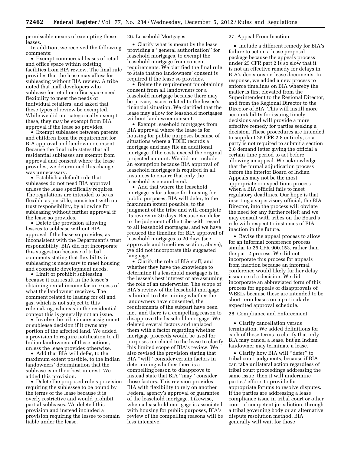permissible means of exempting these leases.

In addition, we received the following comments:

• Exempt commercial leases of retail and office space within existing facilities from BIA review. The final rule provides that the lease may allow for subleasing without BIA review. A tribe noted that mall developers who sublease for retail or office space need flexibility to meet the needs of individual retailers, and asked that these types of review be exempted. While we did not categorically exempt these, they may be exempt from BIA approval if the lease so provides.

• Exempt subleases between parents and children from the requirement for BIA approval and landowner consent. Because the final rule states that all residential subleases are exempt from approval and consent where the lease provides, we determined this change was unnecessary.

• Establish a default rule that subleases do not need BIA approval unless the lease specifically requires. The regulations are intended to be as flexible as possible, consistent with our trust responsibility, by allowing for subleasing without further approval if the lease so provides.

• Delete the provision allowing lessees to sublease without BIA approval if the lease so provides, as inconsistent with the Department's trust responsibility. BIA did not incorporate this suggestion because of tribal comments stating that flexibility in subleasing is necessary to meet housing and economic development needs.

• Limit or prohibit subleasing because it can result in the lessee's obtaining rental income far in excess of what the landowner receives. The comment related to leasing for oil and gas, which is not subject to this rulemaking, whereas in the residential context this is generally not an issue.

• Involve the tribe in any assignment or sublease decision if it owns any portion of the affected land. We added a provision to require notification to all Indian landowners of these actions, unless the lease provides otherwise.

• Add that BIA will defer, to the maximum extent possible, to the Indian landowners' determination that the sublease is in their best interest. We added this provision.

• Delete the proposed rule's provision requiring the sublessee to be bound by the terms of the lease because it is overly restrictive and would prohibit partial subleases. We deleted this provision and instead included a provision requiring the lessee to remain liable under the lease.

# 26. Leasehold Mortgages

• Clarify what is meant by the lease providing a ''general authorization'' for leasehold mortgages, to exempt the leasehold mortgage from consent requirements. We clarified the final rule to state that no landowners' consent is required if the lease so provides.

• Delete the requirement for obtaining consent from all landowners for a leasehold mortgage because there may be privacy issues related to the lessee's financial situation. We clarified that the lease may allow for leasehold mortgages without landowner consent.

• Exempt leasehold mortgages from BIA approval where the lease is for housing for public purposes because of situations where a TDHE records a mortgage and may file an additional mortgage if the costs exceed the original projected amount. We did not include an exemption because BIA approval of leasehold mortgages is required in all instances to ensure that only the leasehold is encumbered.

• Add that where the leasehold mortgage is for a lease for housing for public purposes, BIA will defer, to the maximum extent possible, to the judgment of the tribe and will complete its review in 30 days. Because we defer to the judgment of the tribe with regard to all leasehold mortgages, and we have reduced the timeline for BIA approval of leasehold mortgages to 20 days (see approvals and timelines section, above), we did not incorporate this suggested language.

• Clarify the role of BIA staff, and whether they have the knowledge to determine if a leasehold mortgage is in the lessee's best interest or are assuming the role of an underwriter. The scope of BIA's review of the leasehold mortgage is limited to determining whether the landowners have consented, the requirements of the subpart have been met, and there is a compelling reason to disapprove the leasehold mortgage. We deleted several factors and replaced them with a factor regarding whether mortgage proceeds would be used for purposes unrelated to the lease to clarify this limited scope of BIA's review. We also revised the provision stating that BIA ''will'' consider certain factors in determining whether there is a compelling reason to disapprove to instead state that BIA ''may'' consider those factors. This revision provides BIA with flexibility to rely on another Federal agency's approval or guarantee of the leasehold mortgage. Likewise, when a leasehold mortgage is associated with housing for public purposes, BIA's review of the compelling reasons will be less intensive.

# 27. Appeal From Inaction

• Include a different remedy for BIA's failure to act on a lease proposal package because the appeals process under 25 CFR part 2 is so slow that it is not an effective remedy for delays in BIA's decisions on lease documents. In response, we added a new process to enforce timelines on BIA whereby the matter is first elevated from the Superintendent to the Regional Director, and from the Regional Director to the Director of BIA. This will instill more accountability for issuing timely decisions and will provide a more effective remedy for parties seeking a decision. These procedures are intended to supplant 25 CFR 2.8 entirely, so a party is not required to submit a section 2.8 demand letter giving the official a certain time period to act before allowing an appeal. We acknowledge that the formal adjudication process before the Interior Board of Indian Appeals may not be the most appropriate or expeditious process when a BIA official fails to meet regulatory deadlines. Our hope is that inserting a supervisory official, the BIA Director, into the process will obviate the need for any further relief; and we may consult with tribes on the Board's role with respect to instances of BIA inaction in the future.

• Revise the appeal process to allow for an informal conference process similar to 25 CFR 900.153, rather than the part 2 process. We did not incorporate this process for appeals from inaction because an informal conference would likely further delay issuance of a decision. We did incorporate an abbreviated form of this process for appeals of disapprovals of WEELs because these are intended to be short-term leases on a particularly expedited approval schedule.

#### 28. Compliance and Enforcement

• Clarify cancellation versus termination. We added definitions for each of these terms to clarify that only BIA may cancel a lease, but an Indian landowner may terminate a lease.

• Clarify how BIA will ''defer'' to tribal court judgments, because if BIA can take unilateral action regardless of tribal court proceedings addressing the same issue, then it will undermine parties' efforts to provide for appropriate forums to resolve disputes. If the parties are addressing a lease compliance issue in tribal court or other court of competent jurisdiction, through a tribal governing body or an alternative dispute resolution method, BIA generally will wait for those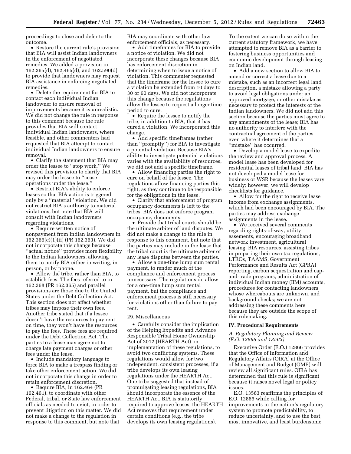proceedings to close and defer to the outcome.

• Restore the current rule's provision that BIA will assist Indian landowners in the enforcement of negotiated remedies. We added a provision in 162.365(d), 162.465(d), and 162.590(d) to provide that landowners may request BIA assistance in enforcing negotiated remedies.

• Delete the requirement for BIA to contact each individual Indian landowner to ensure removal of improvements because it is unrealistic. We did not change the rule in response to this comment because the rule provides that BIA will contact individual Indian landowners, where feasible, and other commenters had requested that BIA attempt to contact individual Indian landowners to ensure removal.

• Clarify the statement that BIA may order the lessee to ''stop work.'' We revised this provision to clarify that BIA may order the lessee to ''cease operations under the lease.''

• Restrict BIA's ability to enforce leases so that BIA action is triggered only by a ''material'' violation. We did not restrict BIA's authority to material violations, but note that BIA will consult with Indian landowners regarding violations.

• Require written notice of nonpayment from Indian landowners in 162.366(c)(1)(ii) (PR 162.363). We did not incorporate this change because ''actual notice'' provides more flexibility to the Indian landowners, allowing them to notify BIA either in writing, in person, or by phone.

• Allow the tribe, rather than BIA, to establish fees. The fees referred to in 162.368 (PR 162.365) and parallel provisions are those due to the United States under the Debt Collection Act. This section does not affect whether tribes may impose their own fees. Another tribe stated that if a lessee doesn't have the resources to pay rent on time, they won't have the resources to pay the fees. These fees are required under the Debt Collection Act. The parties to a lease may agree not to charge late payment charges or other fees under the lease.

• Include mandatory language to force BIA to make a trespass finding or take other enforcement action. We did not incorporate this change in order to retain enforcement discretion.

• Require BIA, in 162.464 (PR 162.461), to coordinate with other Federal, tribal, or State law enforcement officials as needed to evict, in order to prevent litigation on this matter. We did not make a change to the regulation in response to this comment, but note that

BIA may coordinate with other law enforcement officials, as necessary.

• Add timeframes for BIA to provide a notice of violation. We did not incorporate these changes because BIA has enforcement discretion in determining when to issue a notice of violation. This commenter requested that the timeframe for the lessee to cure a violation be extended from 10 days to 30 or 60 days. We did not incorporate this change because the regulations allow the lessee to request a longer time period to cure.

• Require the lessee to notify the tribe, in addition to BIA, that it has cured a violation. We incorporated this change.

• Add specific timeframes (rather than ''promptly'') for BIA to investigate a potential violation. Because BIA's ability to investigate potential violations varies with the availability of resources, we did not add a specific timeframe.

• Allow financing parties the right to cure on behalf of the lessee. The regulations allow financing parties this right, as they continue to be responsible for the obligations in the lease.

• Clarify that enforcement of program occupancy documents is left to the tribes. BIA does not enforce program occupancy documents.

• Provide that tribal courts should be the ultimate arbiter of land disputes. We did not make a change to the rule in response to this comment, but note that the parties may include in the lease that the tribal court is the ultimate arbiter of any lease disputes between the parties.

• Allow a one-time lump sum rental payment, to render much of the compliance and enforcement process unnecessary. The regulations do allow for a one-time lump sum rental payment, but the compliance and enforcement process is still necessary for violations other than failure to pay rent.

#### 29. Miscellaneous

• Carefully consider the implication of the Helping Expedite and Advance Responsible Tribal Home Ownership Act of 2012 (HEARTH Act) on implementation of these regulations, to avoid two conflicting systems. These regulations would allow for two independent, consistent processes, if a tribe develops its own leasing regulations under the HEARTH Act. One tribe suggested that instead of promulgating leasing regulations, BIA should incorporate the essence of the HEARTH Act. BIA is statutorily required to approve leases; the HEARTH Act removes that requirement under certain conditions (e.g., the tribe develops its own leasing regulations).

To the extent we can do so within the current statutory framework, we have attempted to remove BIA as a barrier to fostering business opportunities and economic development through leasing on Indian land.

• Add a new section to allow BIA to amend or correct a lease due to a mistake, such as an incorrect legal land description, a mistake allowing a party to avoid legal obligations under an approved mortgage, or other mistake as necessary to protect the interests of the Indian landowners. We did not add this section because the parties must agree to any amendments of the lease; BIA has no authority to interfere with the contractual agreement of the parties even where it determines that a "mistake" has occurred.

• Develop a model lease to expedite the review and approval process. A model lease has been developed for residential leases of tribal land. BIA has not developed a model lease for business or WSR because the leases vary widely; however, we will develop checklists for guidance.

• Allow for the right to receive lease income from exchange assignments, which had been encouraged by BIA. The parties may address exchange assignments in the lease.

• We received several comments regarding rights-of-way, utility easements, encouraging broadband network investment, agricultural leasing, BIA resources, assisting tribes in preparing their own tax regulations, LTROs, TAAMS, Government Performance and Results Act (GPRA) reporting, carbon sequestration and capand-trade programs, administration of individual Indian money (IIM) accounts, procedures for contacting landowners whose whereabouts are unknown, and background checks; we are not addressing these comments here because they are outside the scope of this rulemaking.

#### **IV. Procedural Requirements**

# *A. Regulatory Planning and Review (E.O. 12866 and 13563)*

Executive Order (E.O.) 12866 provides that the Office of Information and Regulatory Affairs (OIRA) at the Office of Management and Budget (OMB) will review all significant rules. OIRA has determined that this rule is significant because it raises novel legal or policy issues.

E.O. 13563 reaffirms the principles of E.O. 12866 while calling for improvements in the nation's regulatory system to promote predictability, to reduce uncertainty, and to use the best, most innovative, and least burdensome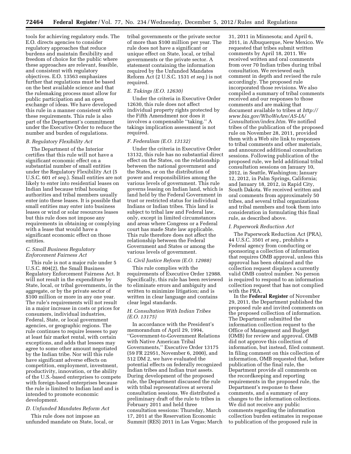tools for achieving regulatory ends. The E.O. directs agencies to consider regulatory approaches that reduce burdens and maintain flexibility and freedom of choice for the public where these approaches are relevant, feasible, and consistent with regulatory objectives. E.O. 13563 emphasizes further that regulations must be based on the best available science and that the rulemaking process must allow for public participation and an open exchange of ideas. We have developed this rule in a manner consistent with these requirements. This rule is also part of the Department's commitment under the Executive Order to reduce the number and burden of regulations.

#### *B. Regulatory Flexibility Act*

The Department of the Interior certifies that this rule will not have a significant economic effect on a substantial number of small entities under the Regulatory Flexibility Act (5 U.S.C. 601 *et seq.*). Small entities are not likely to enter into residential leases on Indian land because tribal housing authorities and tribal members usually enter into these leases. It is possible that small entities may enter into business leases or wind or solar resources leases but this rule does not impose any requirements in obtaining or complying with a lease that would have a significant economic effect on those entities.

# *C. Small Business Regulatory Enforcement Fairness Act*

This rule is not a major rule under 5 U.S.C. 804(2), the Small Business Regulatory Enforcement Fairness Act. It will not result in the expenditure by State, local, or tribal governments, in the aggregate, or by the private sector of \$100 million or more in any one year. The rule's requirements will not result in a major increase in costs or prices for consumers, individual industries, Federal, State, or local government agencies, or geographic regions. The rule continues to require lessees to pay at least fair market rental, with certain exceptions, and adds that lessees may agree to some other amount negotiated by the Indian tribe. Nor will this rule have significant adverse effects on competition, employment, investment, productivity, innovation, or the ability of the U.S.-based enterprises to compete with foreign-based enterprises because the rule is limited to Indian land and is intended to promote economic development.

# *D. Unfunded Mandates Reform Act*

This rule does not impose an unfunded mandate on State, local, or tribal governments or the private sector of more than \$100 million per year. The rule does not have a significant or unique effect on State, local, or tribal governments or the private sector. A statement containing the information required by the Unfunded Mandates Reform Act (2 U.S.C. 1531 *et seq.*) is not required.

#### *E. Takings (E.O. 12630)*

Under the criteria in Executive Order 12630, this rule does not affect individual property rights protected by the Fifth Amendment nor does it involves a compensable ''taking.'' A takings implication assessment is not required.

# *F. Federalism (E.O. 13132)*

Under the criteria in Executive Order 13132, this rule has no substantial direct effect on the States, on the relationship between the national government and the States, or on the distribution of power and responsibilities among the various levels of government. This rule governs leasing on Indian land, which is land held by the Federal Government in trust or restricted status for individual Indians or Indian tribes. This land is subject to tribal law and Federal law, only, except in limited circumstances and areas where Congress or a Federal court has made State law applicable. This rule therefore does not affect the relationship between the Federal Government and States or among the various levels of government.

#### *G. Civil Justice Reform (E.O. 12988)*

This rule complies with the requirements of Executive Order 12988. Specifically, this rule has been reviewed to eliminate errors and ambiguity and written to minimize litigation; and is written in clear language and contains clear legal standards.

# *H. Consultation With Indian Tribes (E.O. 13175)*

In accordance with the President's memorandum of April 29, 1994, ''Government-to-Government Relations with Native American Tribal Governments,'' Executive Order 13175 (59 FR 22951, November 6, 2000), and 512 DM 2, we have evaluated the potential effects on federally recognized Indian tribes and Indian trust assets. During development of the proposed rule, the Department discussed the rule with tribal representatives at several consultation sessions. We distributed a preliminary draft of the rule to tribes in February 2011 and held three consultation sessions: Thursday, March 17, 2011 at the Reservation Economic Summit (RES) 2011 in Las Vegas; March

31, 2011 in Minnesota; and April 6, 2011, in Albuquerque, New Mexico. We requested that tribes submit written comments by April 18, 2011. We received written and oral comments from over 70 Indian tribes during tribal consultation. We reviewed each comment in depth and revised the rule accordingly. The proposed rule incorporated those revisions. We also compiled a summary of tribal comments received and our responses to those comments and are making that document available to tribes at *[http://](http://www.bia.gov/WhoWeAre/AS-IA/Consultation/index.htm)  [www.bia.gov/WhoWeAre/AS-IA/](http://www.bia.gov/WhoWeAre/AS-IA/Consultation/index.htm) [Consultation/index.htm.](http://www.bia.gov/WhoWeAre/AS-IA/Consultation/index.htm)* We notified tribes of the publication of the proposed rule on November 28, 2011, provided them with a Web site link to responses to tribal comments and other materials, and announced additional consultation sessions. Following publication of the proposed rule, we held additional tribal consultation sessions on January 10, 2012, in Seattle, Washington; January 12, 2012, in Palm Springs, California; and January 18, 2012, in Rapid City, South Dakota. We received written and oral comments from approximately 50 tribes, and several tribal organizations and tribal members and took them into consideration in formulating this final rule, as described above.

#### *I. Paperwork Reduction Act*

The Paperwork Reduction Act (PRA), 44 U.S.C. 3501 *et seq.,* prohibits a Federal agency from conducting or sponsoring a collection of information that requires OMB approval, unless this approval has been obtained and the collection request displays a currently valid OMB control number. No person is required to respond to an information collection request that has not complied with the PRA.

In the **Federal Register** of November 29, 2011, the Department published the proposed rule and invited comments on the proposed collection of information. The Department submitted the information collection request to the Office of Management and Budget (OMB) for review and approval. OMB did not approve this collection of information, but instead, filed comment. In filing comment on this collection of information, OMB requested that, before publication of the final rule, the Department provide all comments on the recordkeeping and reporting requirements in the proposed rule, the Department's response to these comments, and a summary of any changes to the information collections. We did not receive any public comments regarding the information collection burden estimates in response to publication of the proposed rule in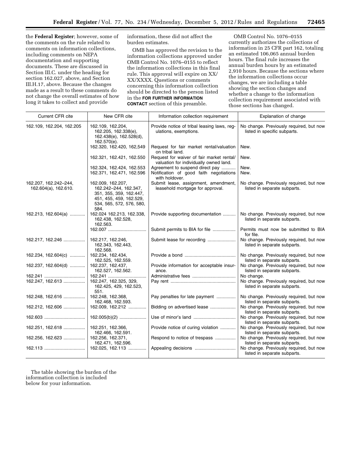the **Federal Register**; however, some of the comments on the rule related to comments on information collections, including comments on NEPA documentation and supporting documents. These are discussed in Section III.C. under the heading for section 162.027, above, and Section III.H.17, above. Because the changes made as a result to these comments do not change the overall estimates of how long it takes to collect and provide

information, these did not affect the burden estimates.

OMB has approved the revision to the information collections approved under OMB Control No. 1076–0155 to reflect the information collections in this final rule. This approval will expire on XX/ XX/XXXX. Questions or comments concerning this information collection should be directed to the person listed in the **FOR FURTHER INFORMATION CONTACT** section of this preamble.

OMB Control No. 1076–0155 currently authorizes the collections of information in 25 CFR part 162, totaling an estimated 106,065 annual burden hours. The final rule increases the annual burden hours by an estimated 2,910 hours. Because the sections where the information collections occur changes, we are including a table showing the section changes and whether a change to the information collection requirement associated with those sections has changed.

| Current CFR cite                              | New CFR cite                                                                                                                         | Information collection requirement                                                           | Explanation of change                                                   |
|-----------------------------------------------|--------------------------------------------------------------------------------------------------------------------------------------|----------------------------------------------------------------------------------------------|-------------------------------------------------------------------------|
| 162.109, 162.204, 162.205                     | 162.109, 162.204,<br>162.205, 162.338(e),<br>162.438(e), 162.528(d),<br>162.570(e).                                                  | Provide notice of tribal leasing laws, reg-<br>ulations, exemptions.                         | No change. Previously required, but now<br>listed in specific subparts. |
|                                               | 162.320, 162.420, 162,549                                                                                                            | Request for fair market rental/valuation<br>on tribal land.                                  | New.                                                                    |
|                                               | 162.321, 162.421, 162.550                                                                                                            | Request for waiver of fair market rental/<br>valuation for individually owned land.          | New.                                                                    |
|                                               | 162.324, 162.424, 162.553<br>162.371, 162.471, 162.596                                                                               | Agreement to suspend direct pay<br>Notification of good faith negotiations<br>with holdover. | New.<br>New.                                                            |
| 162.207, 162.242-244,<br>162.604(a), 162.610. | 162.009, 162.207,<br>162.242-244, 162.347,<br>351, 355, 359, 162.447,<br>451, 455, 459, 162.529,<br>534, 565, 572, 576, 580,<br>584. | Submit lease, assignment, amendment,<br>leasehold mortgage for approval.                     | No change. Previously required, but now<br>listed in separate subparts. |
| 162.213, 162.604(a)                           | 162.024 162.213, 162.338,<br>162.438, 162.528,<br>162.563.                                                                           | Provide supporting documentation                                                             | No change. Previously required, but now<br>listed in separate subparts. |
|                                               | 162.007                                                                                                                              | Submit permits to BIA for file                                                               | Permits must now be submitted to BIA<br>for file.                       |
| 162.217, 162.246                              | 162.217, 162.246,<br>162.343, 162.443,<br>162.568.                                                                                   | Submit lease for recording                                                                   | No change. Previously required, but now<br>listed in separate subparts. |
| 162.234, 162.604(c)                           | 162.234, 162.434,<br>162.525, 162.559.                                                                                               |                                                                                              | No change. Previously required, but now<br>listed in separate subparts. |
| 162.237, 162.604(d)                           | 162.237, 162.437,<br>162.527, 162.562.                                                                                               | Provide information for acceptable insur-<br>ance.                                           | No change. Previously required, but now<br>listed in separate subparts. |
|                                               | 162.241                                                                                                                              |                                                                                              | No change.                                                              |
| 162.247, 162.613                              | 162.247, 162.325, 329,<br>162.425, 429, 162.523,<br>551.                                                                             |                                                                                              | No change. Previously required, but now<br>listed in separate subparts. |
| 162.248, 162.616                              | 162.248, 162.368,<br>162.468, 162.593.                                                                                               | Pay penalties for late payment                                                               | No change. Previously required, but now<br>listed in separate subparts. |
| 162.212, 162.606                              | 162.009, 162.212                                                                                                                     | Bidding on advertised lease                                                                  | No change. Previously required, but now<br>listed in separate subparts. |
| 162.603                                       | $162.005(b)(2)$                                                                                                                      |                                                                                              | No change. Previously required, but now<br>listed in separate subparts. |
| 162.251, 162.618                              | 162.251, 162.366,<br>162.466, 162.591.                                                                                               | Provide notice of curing violation                                                           | No change. Previously required, but now<br>listed in separate subparts. |
| 162.256, 162.623                              | 162.256, 162.371,<br>162.471, 162.596.                                                                                               | Respond to notice of trespass                                                                | No change. Previously required, but now<br>listed in separate subparts. |
|                                               | 162.025, 162.113                                                                                                                     |                                                                                              | No change. Previously required, but now<br>listed in separate subparts. |

The table showing the burden of the information collection is included below for your information.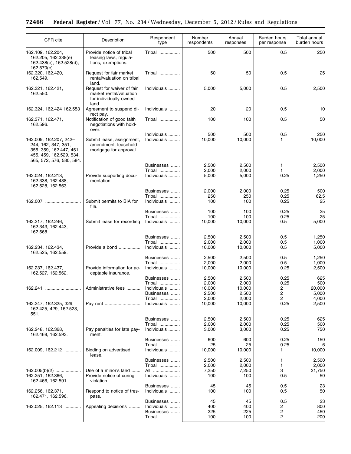| CFR cite                                                                                                                        | Description                                                                              | Respondent<br>type                                | Number<br>respondents          | Annual<br>responses            | Burden hours<br>per response | Total annual<br>burden hours   |
|---------------------------------------------------------------------------------------------------------------------------------|------------------------------------------------------------------------------------------|---------------------------------------------------|--------------------------------|--------------------------------|------------------------------|--------------------------------|
| 162.109, 162.204,<br>162.205, 162.338(e)<br>162.438(e), 162.528(d),<br>162.570(e).                                              | Provide notice of tribal<br>leasing laws, regula-<br>tions, exemptions.                  | Tribal                                            | 500                            | 500                            | 0.5                          | 250                            |
| 162.320, 162.420,<br>162,549.                                                                                                   | Request for fair market<br>rental/valuation on tribal<br>land.                           | Tribal                                            | 50                             | 50                             | 0.5                          | 25                             |
| 162.321, 162.421,<br>162.550.                                                                                                   | Request for waiver of fair<br>market rental/valuation<br>for individually-owned<br>land. | Individuals                                       | 5,000                          | 5,000                          | 0.5                          | 2,500                          |
| 162.324, 162.424 162.553                                                                                                        | Agreement to suspend di-                                                                 | Individuals                                       | 20                             | 20                             | 0.5                          | 10                             |
| 162.371, 162.471,<br>162.596.                                                                                                   | rect pay.<br>Notification of good faith<br>negotiations with hold-<br>over.              | Tribal                                            | 100                            | 100                            | 0.5                          | 50                             |
| 162.009, 162.207, 242-<br>244, 162, 347, 351,<br>355, 359, 162.447, 451,<br>455, 459, 162.529, 534,<br>565, 572, 576, 580, 584. | Submit lease, assignment,<br>amendment, leasehold<br>mortgage for approval.              | Individuals<br>Individuals                        | 500<br>10,000                  | 500<br>10,000                  | 0.5<br>1                     | 250<br>10,000                  |
| 162.024, 162.213,<br>162.338, 162.438,                                                                                          | Provide supporting docu-<br>mentation.                                                   | Businesses<br>Tribal<br>Individuals               | 2,500<br>2,000<br>5,000        | 2,500<br>2,000<br>5,000        | 1<br>1<br>0.25               | 2,500<br>2,000<br>1,250        |
| 162.528, 162.563.<br>162.007                                                                                                    | Submit permits to BIA for                                                                | Businesses<br>Tribal<br>Individuals               | 2,000<br>250<br>100            | 2,000<br>250<br>100            | 0.25<br>0.25<br>0.25         | 500<br>62.5<br>25              |
|                                                                                                                                 | file.                                                                                    | Businesses<br>Tribal                              | 100<br>100                     | 100<br>100                     | 0.25<br>0.25                 | 25<br>25                       |
| 162.217, 162.246,<br>162.343, 162.443,<br>162.568.                                                                              | Submit lease for recording                                                               | Individuals                                       | 10,000                         | 10,000                         | 0.5                          | 5,000                          |
|                                                                                                                                 |                                                                                          | Businesses<br>Tribal                              | 2,500<br>2,000                 | 2,500<br>2,000                 | 0.5<br>0.5                   | 1,250<br>1,000                 |
| 162.234, 162.434,<br>162.525, 162.559.                                                                                          | Provide a bond                                                                           | Individuals<br>Businesses                         | 10,000<br>2,500                | 10,000<br>2,500                | 0.5<br>0.5                   | 5,000<br>1,250                 |
| 162.237, 162.437,<br>162.527, 162.562.                                                                                          | Provide information for ac-<br>ceptable insurance.                                       | Tribal<br>Individuals<br>Businesses               | 2,000<br>10,000<br>2,500       | 2,000<br>10,000<br>2,500       | 0.5<br>0.25<br>0.25          | 1,000<br>2,500<br>625          |
| 162.241                                                                                                                         | Administrative fees                                                                      | Tribal<br>Individuals<br>Businesses               | 2,000<br>10,000<br>2,500       | 2,000<br>10,000<br>2,500       | 0.25<br>$\overline{c}$<br>2  | 500<br>20,000<br>5,000         |
| 162.247, 162.325, 329,<br>162.425, 429, 162.523,<br>551.                                                                        | Pay rent                                                                                 | Tribal<br>Individuals                             | 2,000<br>10,000                | 2,000<br>10,000                | 2<br>0.25                    | 4,000<br>2,500                 |
|                                                                                                                                 |                                                                                          | Businesses<br>Tribal                              | 2,500<br>2,000                 | 2,500<br>2,000                 | 0.25<br>0.25                 | 625<br>500                     |
| 162.248, 162.368,<br>162.468, 162.593.                                                                                          | Pay penalties for late pay-<br>ment.                                                     | Individuals                                       | 3,000                          | 3,000                          | 0.25                         | 750                            |
| 162.009, 162.212                                                                                                                | Bidding on advertised<br>lease.                                                          | Businesses<br>Tribal<br>Individuals               | 600<br>25<br>10,000            | 600<br>25<br>10,000            | 0.25<br>0.25<br>1            | 150<br>6<br>10,000             |
| 162.005(b)(2)<br>162.251, 162.366,<br>162.466, 162.591.                                                                         | Use of a minor's land<br>Provide notice of curing<br>violation.                          | Businesses<br>Tribal<br>All<br>Individuals        | 2,500<br>2,000<br>7,250<br>100 | 2,500<br>2,000<br>7,250<br>100 | 1<br>1<br>3<br>0.5           | 2,500<br>2,000<br>21,750<br>50 |
| 162.256, 162.371,<br>162.471, 162.596.                                                                                          | Respond to notice of tres-<br>pass.                                                      | Businesses<br>Individuals                         | 45<br>100                      | 45<br>100                      | 0.5<br>0.5                   | 23<br>50                       |
| 162.025, 162.113                                                                                                                | Appealing decisions                                                                      | Businesses<br>Individuals<br>Businesses<br>Tribal | 45<br>400<br>225<br>100        | 45<br>400<br>225<br>100        | 0.5<br>2<br>2<br>2           | 23<br>800<br>450<br>200        |

÷.

 $\equiv$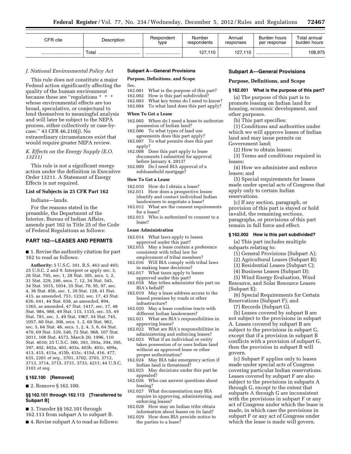| CFR cite | Description | Respondent<br>type | Number<br>respondents | Annual<br>responses | Burden hours<br>per response | Total annual<br>burden hours |
|----------|-------------|--------------------|-----------------------|---------------------|------------------------------|------------------------------|
|          | Total<br>   |                    | 127,110               | 127.110             |                              | 108,975                      |

#### *J. National Environmental Policy Act*

This rule does not constitute a major Federal action significantly affecting the quality of the human environment because these are "regulations \* \* \* whose environmental effects are too broad, speculative, or conjectural to lend themselves to meaningful analysis and will later be subject to the NEPA process, either collectively or case-bycase.'' 43 CFR 46.210(j). No extraordinary circumstances exist that would require greater NEPA review.

# *K. Effects on the Energy Supply (E.O. 13211)*

This rule is not a significant energy action under the definition in Executive Order 13211. A Statement of Energy Effects is not required.

#### **List of Subjects in 25 CFR Part 162**

Indians—lands.

For the reasons stated in the preamble, the Department of the Interior, Bureau of Indian Affairs, amends part 162 in Title 25 of the Code of Federal Regulations as follows:

# **PART 162—LEASES AND PERMITS**

■ 1. Revise the authority citation for part 162 to read as follows:

**Authority:** 5 U.S.C. 301, R.S. 463 and 465; 25 U.S.C. 2 and 9. Interpret or apply sec. 3, 26 Stat. 795, sec. 1, 28 Stat. 305, secs. 1, 2, 31 Stat. 229, 246, secs. 7, 12, 34 Stat. 545, 34 Stat. 1015, 1034, 35 Stat. 70, 95, 97, sec. 4, 36 Stat. 856, sec. 1, 39 Stat. 128, 41 Stat. 415, as amended, 751, 1232, sec. 17, 43 Stat. 636, 641, 44 Stat. 658, as amended, 894, 1365, as amended, 47 Stat. 1417, sec. 17, 48 Stat. 984, 988, 49 Stat. 115, 1135, sec. 55, 49 Stat. 781, sec. 3, 49 Stat. 1967, 54 Stat. 745, 1057, 60 Stat. 308, secs. 1, 2, 60 Stat. 962, sec. 5, 64 Stat. 46, secs. 1, 2, 4, 5, 6, 64 Stat. 470, 69 Stat. 539, 540, 72 Stat. 968, 107 Stat. 2011, 108 Stat. 4572, March 20, 1996, 110 Stat. 4016; 25 U.S.C. 380, 393, 393a, 394, 395, 397, 402, 402a, 403, 403a, 403b, 403c, 409a, 413, 415, 415a, 415b, 415c, 415d, 416, 477, 635, 2201 *et seq.,* 3701, 3702, 3703, 3712, 3713, 3714, 3715, 3731, 3733, 4211; 44 U.S.C. 3101 *et seq.* 

#### **§ 162.100 [Removed]**

■ 2. Remove § 162.100.

#### **§§ 162.101 through 162.113 [Transferred to Subpart B]**

■ 3. Transfer §§ 162.101 through

162.113 from subpart A to subpart B. ■ 4. Revise subpart A to read as follows:

#### **Subpart A—General Provisions**

# **Purpose, Definitions, and Scope**

Sec.<br>162.001

- 162.001 What is the purpose of this part?<br>162.002 How is this part subdivided?
- 162.002 How is this part subdivided?<br>162.003 What key terms do I need to What key terms do I need to know?
- 162.004 To what land does this part apply?

#### **When To Get a Lease**

- 162.005 When do I need a lease to authorize possession of Indian land?
- 162.006 To what types of land use agreements does this part apply?
- 162.007 To what permits does this part apply?
- 162.008 Does this part apply to lease documents I submitted for approval before January 4, 2013?
- 162.009 Do I need BIA approval of a subleasehold mortgage?

#### **How To Get a Lease**

- 162.010 How do I obtain a lease?
- 162.011 How does a prospective lessee identify and contact individual Indian landowners to negotiate a lease?
- 162.012 What are the consent requirements for a lease?
- 162.013 Who is authorized to consent to a lease?

#### **Lease Administration**

- 162.014 What laws apply to leases approved under this part?
- 162.015 May a lease contain a preference consistent with tribal law for employment of tribal members?
- 162.016 Will BIA comply with tribal laws in making lease decisions?
- 162.017 What taxes apply to leases approved under this part?
- 162.018 May tribes administer this part on BIA's behalf?
- 162.019 May a lease address access to the leased premises by roads or other infrastructure?
- 162.020 May a lease combine tracts with different Indian landowners?
- 162.021 What are BIA's responsibilities in approving leases?
- 162.022 What are BIA's responsibilities in administering and enforcing leases?
- 162.023 What if an individual or entity takes possession of or uses Indian land without an approved lease or other proper authorization?
- 162.024 May BIA take emergency action if Indian land is threatened?
- 162.025 May decisions under this part be appealed?
- 162.026 Who can answer questions about leasing?
- 162.027 What documentation may BIA require in approving, administering, and enforcing leases?
- 162.028 How may an Indian tribe obtain information about leases on its land?
- 162.029 How does BIA provide notice to the parties to a lease?

# **Subpart A—General Provisions**

# **Purpose, Definitions, and Scope**

# **§ 162.001 What is the purpose of this part?**

(a) The purpose of this part is to promote leasing on Indian land for housing, economic development, and other purposes.

(b) This part specifies:

(1) Conditions and authorities under which we will approve leases of Indian land and may issue permits on Government land;

- (2) How to obtain leases;
- (3) Terms and conditions required in leases;
- (4) How we administer and enforce leases; and
- (5) Special requirements for leases made under special acts of Congress that apply only to certain Indian reservations.
- (c) If any section, paragraph, or provision of this part is stayed or held invalid, the remaining sections, paragraphs, or provisions of this part remain in full force and effect.

# **§ 162.002 How is this part subdivided?**

(a) This part includes multiple subparts relating to:

- (1) General Provisions (Subpart A);
- (2) Agricultural Leases (Subpart B);
- (3) Residential Leases (Subpart C);
- (4) Business Leases (Subpart D);

(5) Wind Energy Evaluation, Wind Resource, and Solar Resource Leases (Subpart E);

(6) Special Requirements for Certain Reservations (Subpart F); and

(7) Records (Subpart G).

(b) Leases covered by subpart B are not subject to the provisions in subpart A. Leases covered by subpart B are subject to the provisions in subpart G, except that if a provision in subpart B conflicts with a provision of subpart G, then the provision in subpart B will govern.

(c) Subpart F applies only to leases made under special acts of Congress covering particular Indian reservations. Leases covered by subpart F are also subject to the provisions in subparts A through G, except to the extent that subparts A through G are inconsistent with the provisions in subpart F or any act of Congress under which the lease is made, in which case the provisions in subpart F or any act of Congress under which the lease is made will govern.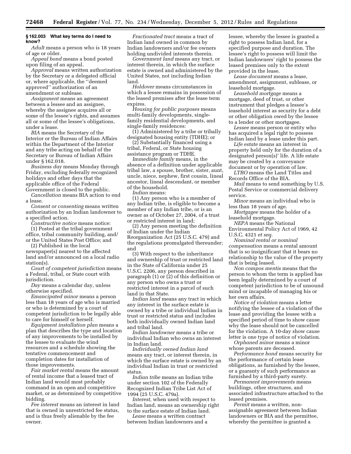# **§ 162.003 What key terms do I need to know?**

*Adult* means a person who is 18 years of age or older.

*Appeal bond* means a bond posted upon filing of an appeal.

*Approval* means written authorization by the Secretary or a delegated official or, where applicable, the ''deemed approved'' authorization of an amendment or sublease.

*Assignment* means an agreement between a lessee and an assignee, whereby the assignee acquires all or some of the lessee's rights, and assumes all or some of the lessee's obligations, under a lease.

*BIA* means the Secretary of the Interior or the Bureau of Indian Affairs within the Department of the Interior and any tribe acting on behalf of the Secretary or Bureau of Indian Affairs under § 162.018.

*Business day* means Monday through Friday, excluding federally recognized holidays and other days that the applicable office of the Federal Government is closed to the public.

*Cancellation* means BIA action to end a lease.

*Consent or consenting* means written authorization by an Indian landowner to a specified action.

*Constructive notice* means notice:

(1) Posted at the tribal government office, tribal community building, and/ or the United States Post Office; and (2) Published in the local

newspaper(s) nearest to the affected land and/or announced on a local radio station(s).

*Court of competent jurisdiction* means a Federal, tribal, or State court with jurisdiction.

*Day* means a calendar day, unless otherwise specified.

*Emancipated minor* means a person less than 18 years of age who is married or who is determined by a court of competent jurisdiction to be legally able to care for himself or herself.

*Equipment installation plan* means a plan that describes the type and location of any improvements to be installed by the lessee to evaluate the wind resources and a schedule showing the tentative commencement and completion dates for installation of those improvements.

*Fair market rental* means the amount of rental income that a leased tract of Indian land would most probably command in an open and competitive market, or as determined by competitive bidding.

*Fee interest* means an interest in land that is owned in unrestricted fee status, and is thus freely alienable by the fee owner.

*Fractionated tract* means a tract of Indian land owned in common by Indian landowners and/or fee owners holding undivided interests therein.

*Government land* means any tract, or interest therein, in which the surface estate is owned and administered by the United States, not including Indian land.

*Holdover* means circumstances in which a lessee remains in possession of the leased premises after the lease term expires.

*Housing for public purposes* means multi-family developments, singlefamily residential developments, and single-family residences:

(1) Administered by a tribe or tribally designated housing entity (TDHE); or

(2) Substantially financed using a tribal, Federal, or State housing assistance program or TDHE.

*Immediate family* means, in the absence of a definition under applicable tribal law, a spouse, brother, sister, aunt, uncle, niece, nephew, first cousin, lineal ancestor, lineal descendant, or member of the household.

*Indian* means:

(1) Any person who is a member of any Indian tribe, is eligible to become a member of any Indian tribe, or is an owner as of October 27, 2004, of a trust or restricted interest in land;

(2) Any person meeting the definition of Indian under the Indian Reorganization Act (25 U.S.C. 479) and the regulations promulgated thereunder; and

(3) With respect to the inheritance and ownership of trust or restricted land in the State of California under 25 U.S.C. 2206, any person described in paragraph (1) or (2) of this definition or any person who owns a trust or restricted interest in a parcel of such land in that State.

*Indian land* means any tract in which any interest in the surface estate is owned by a tribe or individual Indian in trust or restricted status and includes both individually owned Indian land and tribal land.

*Indian landowner* means a tribe or individual Indian who owns an interest in Indian land.

*Individually owned Indian land*  means any tract, or interest therein, in which the surface estate is owned by an individual Indian in trust or restricted status.

*Indian tribe* means an Indian tribe under section 102 of the Federally Recognized Indian Tribe List Act of 1994 (25 U.S.C. 479a).

*Interest,* when used with respect to Indian land, means an ownership right to the surface estate of Indian land.

*Lease* means a written contract between Indian landowners and a lessee, whereby the lessee is granted a right to possess Indian land, for a specified purpose and duration. The lessee's right to possess will limit the Indian landowners' right to possess the leased premises only to the extent provided in the lease.

*Lease document* means a lease, amendment, assignment, sublease, or leasehold mortgage.

*Leasehold mortgage* means a mortgage, deed of trust, or other instrument that pledges a lessee's leasehold interest as security for a debt or other obligation owed by the lessee to a lender or other mortgagee.

*Lessee* means person or entity who has acquired a legal right to possess Indian land by a lease under this part.

*Life estate* means an interest in property held only for the duration of a designated person(s)' life. A life estate may be created by a conveyance document or by operation of law.

*LTRO* means the Land Titles and Records Office of the BIA.

*Mail* means to send something by U.S. Postal Service or commercial delivery service.

*Minor* means an individual who is less than 18 years of age.

*Mortgagee* means the holder of a leasehold mortgage.

*NEPA* means the National Environmental Policy Act of 1969, 42 U.S.C. 4321 *et seq.* 

*Nominal rental or nominal compensation* means a rental amount that is so insignificant that it bears no relationship to the value of the property that is being leased.

*Non compos mentis* means that the person to whom the term is applied has been legally determined by a court of competent jurisdiction to be of unsound mind or incapable of managing his or her own affairs.

*Notice of violation* means a letter notifying the lessee of a violation of the lease and providing the lessee with a specified period of time to show cause why the lease should not be cancelled for the violation. A 10-day show cause letter is one type of notice of violation.

*Orphaned minor* means a minor whose parents are deceased.

*Performance bond* means security for the performance of certain lease obligations, as furnished by the lessee, or a guaranty of such performance as furnished by a third-party surety.

*Permanent improvements* means buildings, other structures, and associated infrastructure attached to the leased premises.

*Permit* means a written, nonassignable agreement between Indian landowners or BIA and the permittee, whereby the permittee is granted a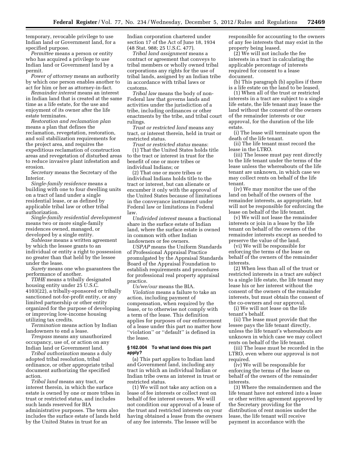temporary, revocable privilege to use Indian land or Government land, for a specified purpose.

*Permittee* means a person or entity who has acquired a privilege to use Indian land or Government land by a permit.

*Power of attorney* means an authority by which one person enables another to act for him or her as attorney-in-fact.

*Remainder interest* means an interest in Indian land that is created at the same time as a life estate, for the use and enjoyment of its owner after the life estate terminates.

*Restoration and reclamation plan*  means a plan that defines the reclamation, revegetation, restoration, and soil stabilization requirements for the project area, and requires the expeditious reclamation of construction areas and revegetation of disturbed areas to reduce invasive plant infestation and erosion.

*Secretary* means the Secretary of the Interior.

*Single-family residence* means a building with one to four dwelling units on a tract of land under a single residential lease, or as defined by applicable tribal law or other tribal authorization.

*Single-family residential development*  means two or more single-family residences owned, managed, or developed by a single entity.

*Sublease* means a written agreement by which the lessee grants to an individual or entity a right to possession no greater than that held by the lessee under the lease.

*Surety* means one who guarantees the performance of another.

*TDHE* means a tribally designated housing entity under 25 U.S.C. 4103(22), a tribally-sponsored or tribally sanctioned not-for-profit entity, or any limited partnership or other entity organized for the purpose of developing or improving low-income housing utilizing tax credits.

*Termination* means action by Indian landowners to end a lease.

*Trespass* means any unauthorized occupancy, use of, or action on any Indian land or Government land.

*Tribal authorization* means a duly adopted tribal resolution, tribal ordinance, or other appropriate tribal document authorizing the specified action.

*Tribal land* means any tract, or interest therein, in which the surface estate is owned by one or more tribes in trust or restricted status, and includes such lands reserved for BIA administrative purposes. The term also includes the surface estate of lands held by the United States in trust for an

Indian corporation chartered under section 17 of the Act of June 18, 1934 (48 Stat. 988; 25 U.S.C. 477).

*Tribal land assignment* means a contract or agreement that conveys to tribal members or wholly owned tribal corporations any rights for the use of tribal lands, assigned by an Indian tribe in accordance with tribal laws or customs.

*Tribal law* means the body of non-Federal law that governs lands and activities under the jurisdiction of a tribe, including ordinances or other enactments by the tribe, and tribal court rulings.

*Trust or restricted land* means any tract, or interest therein, held in trust or restricted status.

*Trust or restricted status* means: (1) That the United States holds title to the tract or interest in trust for the benefit of one or more tribes or individual Indians; or

(2) That one or more tribes or individual Indians holds title to the tract or interest, but can alienate or encumber it only with the approval of the United States because of limitations in the conveyance instrument under Federal law or limitations in Federal law.

*Undivided interest* means a fractional share in the surface estate of Indian land, where the surface estate is owned in common with other Indian landowners or fee owners.

*USPAP* means the Uniform Standards of Professional Appraisal Practice promulgated by the Appraisal Standards Board of the Appraisal Foundation to establish requirements and procedures for professional real property appraisal practice.

*Us/we/our* means the BIA. *Violation* means a failure to take an action, including payment of compensation, when required by the lease, or to otherwise not comply with a term of the lease. This definition applies for purposes of our enforcement of a lease under this part no matter how ''violation'' or ''default'' is defined in the lease.

#### **§ 162.004 To what land does this part apply?**

(a) This part applies to Indian land and Government land, including any tract in which an individual Indian or Indian tribe owns an interest in trust or restricted status.

(1) We will not take any action on a lease of fee interests or collect rent on behalf of fee interest owners. We will not condition our approval of a lease of the trust and restricted interests on your having obtained a lease from the owners of any fee interests. The lessee will be

responsible for accounting to the owners of any fee interests that may exist in the property being leased.

(2) We will not include the fee interests in a tract in calculating the applicable percentage of interests required for consent to a lease document.

(b) This paragraph (b) applies if there is a life estate on the land to be leased.

(1) When all of the trust or restricted interests in a tract are subject to a single life estate, the life tenant may lease the land without the consent of the owners of the remainder interests or our approval, for the duration of the life estate.

(i) The lease will terminate upon the death of the life tenant.

(ii) The life tenant must record the lease in the LTRO.

(iii) The lessee must pay rent directly to the life tenant under the terms of the lease unless the whereabouts of the life tenant are unknown, in which case we may collect rents on behalf of the life tenant.

(iv) We may monitor the use of the land on behalf of the owners of the remainder interests, as appropriate, but will not be responsible for enforcing the lease on behalf of the life tenant.

(v) We will not lease the remainder interests or join in a lease by the life tenant on behalf of the owners of the remainder interests except as needed to preserve the value of the land.

(vi) We will be responsible for enforcing the terms of the lease on behalf of the owners of the remainder interests.

(2) When less than all of the trust or restricted interests in a tract are subject to a single life estate, the life tenant may lease his or her interest without the consent of the owners of the remainder interests, but must obtain the consent of the co-owners and our approval.

(i) We will not lease on the life tenant's behalf.

(ii) The lease must provide that the lessee pays the life tenant directly, unless the life tenant's whereabouts are unknown in which case we may collect rents on behalf of the life tenant.

(iii) The lease must be recorded in the LTRO, even where our approval is not required.

(iv) We will be responsible for enforcing the terms of the lease on behalf of the owners of the remainder interests.

(3) Where the remaindermen and the life tenant have not entered into a lease or other written agreement approved by the Secretary providing for the distribution of rent monies under the lease, the life tenant will receive payment in accordance with the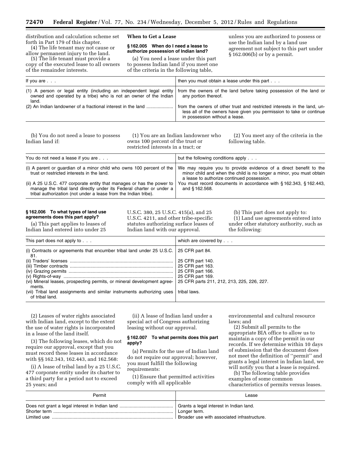| distribution and calculation scheme set<br>When to Get a Lease<br>forth in Part 179 of this chapter.<br>(4) The life tenant may not cause or<br>allow permanent injury to the land.<br>(5) The life tenant must provide a<br>copy of the executed lease to all owners<br>of the remainder interests. | §162.005 When do I need a lease to<br>authorize possession of Indian land?<br>(a) You need a lease under this part<br>to possess Indian land if you meet one<br>of the criteria in the following table, | unless you are authorized to possess or<br>use the Indian land by a land use<br>agreement not subject to this part under<br>$§ 162.006(b)$ or by a permit.                                                                                                                        |  |
|------------------------------------------------------------------------------------------------------------------------------------------------------------------------------------------------------------------------------------------------------------------------------------------------------|---------------------------------------------------------------------------------------------------------------------------------------------------------------------------------------------------------|-----------------------------------------------------------------------------------------------------------------------------------------------------------------------------------------------------------------------------------------------------------------------------------|--|
| If you are $\ldots$                                                                                                                                                                                                                                                                                  |                                                                                                                                                                                                         | then you must obtain a lease under this part                                                                                                                                                                                                                                      |  |
| (1) A person or legal entity (including an independent legal entity<br>owned and operated by a tribe) who is not an owner of the Indian<br>land.<br>(2) An Indian landowner of a fractional interest in the land                                                                                     |                                                                                                                                                                                                         | from the owners of the land before taking possession of the land or<br>any portion thereof.<br>from the owners of other trust and restricted interests in the land, un-<br>less all of the owners have given you permission to take or continue<br>in possession without a lease. |  |

(b) You do not need a lease to possess Indian land if:

(1) You are an Indian landowner who owns 100 percent of the trust or restricted interests in a tract; or

(2) You meet any of the criteria in the following table.

| You do not need a lease if you are                                                                                                                                                                                | but the following conditions apply $\ldots$                                                                                                                                             |
|-------------------------------------------------------------------------------------------------------------------------------------------------------------------------------------------------------------------|-----------------------------------------------------------------------------------------------------------------------------------------------------------------------------------------|
| (i) A parent or quardian of a minor child who owns 100 percent of the<br>trust or restricted interests in the land.                                                                                               | We may require you to provide evidence of a direct benefit to the<br>minor child and when the child is no longer a minor, you must obtain<br>a lease to authorize continued possession. |
| (ii) A 25 U.S.C. 477 corporate entity that manages or has the power to<br>manage the tribal land directly under its Federal charter or under a<br>tribal authorization (not under a lease from the Indian tribe). | You must record documents in accordance with §162.343, §162.443,<br>and §162.568.                                                                                                       |

#### **§ 162.006 To what types of land use agreements does this part apply?**

(a) This part applies to leases of Indian land entered into under 25 U.S.C. 380, 25 U.S.C. 415(a), and 25 U.S.C. 4211, and other tribe-specific statutes authorizing surface leases of Indian land with our approval.

(b) This part does not apply to: (1) Land use agreements entered into under other statutory authority, such as the following:

| This part does not apply to                                                                  | which are covered by                       |
|----------------------------------------------------------------------------------------------|--------------------------------------------|
| (i) Contracts or agreements that encumber tribal land under 25 U.S.C. 25 CFR part 84.<br>81. |                                            |
|                                                                                              | 25 CFR part 140.                           |
|                                                                                              | 25 CFR part 163.                           |
|                                                                                              | 25 CFR part 166.                           |
|                                                                                              | 25 CFR part 169.                           |
| (vi) Mineral leases, prospecting permits, or mineral development agree-<br>ments.            | 25 CFR parts 211, 212, 213, 225, 226, 227. |
| (vii) Tribal land assignments and similar instruments authorizing uses<br>of tribal land.    | tribal laws.                               |

(2) Leases of water rights associated with Indian land, except to the extent the use of water rights is incorporated in a lease of the land itself.

(3) The following leases, which do not require our approval, except that you must record these leases in accordance with §§ 162.343, 162.443, and 162.568:

(i) A lease of tribal land by a 25 U.S.C. 477 corporate entity under its charter to a third party for a period not to exceed 25 years; and

(ii) A lease of Indian land under a special act of Congress authorizing leasing without our approval.

# **§ 162.007 To what permits does this part apply?**

(a) Permits for the use of Indian land do not require our approval; however, you must fulfill the following requirements:

(1) Ensure that permitted activities comply with all applicable

environmental and cultural resource laws; and

(2) Submit all permits to the appropriate BIA office to allow us to maintain a copy of the permit in our records. If we determine within 10 days of submission that the document does not meet the definition of ''permit'' and grants a legal interest in Indian land, we will notify you that a lease is required.

(b) The following table provides examples of some common characteristics of permits versus leases.

| Permit | Lease                                                       |
|--------|-------------------------------------------------------------|
|        | Longer term.<br>Broader use with associated infrastructure. |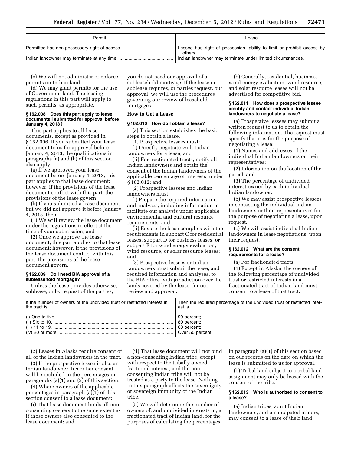| Permit | Lease                                                                             |
|--------|-----------------------------------------------------------------------------------|
|        | Lessee has right of possession, ability to limit or prohibit access by<br>others. |
|        | Indian landowner may terminate under limited circumstances.                       |

(c) We will not administer or enforce permits on Indian land.

(d) We may grant permits for the use of Government land. The leasing regulations in this part will apply to such permits, as appropriate.

## **§ 162.008 Does this part apply to lease documents I submitted for approval before January 4, 2013?**

This part applies to all lease documents, except as provided in § 162.006. If you submitted your lease document to us for approval before January 4, 2013, the qualifications in paragraphs (a) and (b) of this section also apply.

(a) If we approved your lease document before January 4, 2013, this part applies to that lease document; however, if the provisions of the lease document conflict with this part, the provisions of the lease govern.

(b) If you submitted a lease document but we did not approve it before January 4, 2013, then:

(1) We will review the lease document under the regulations in effect at the time of your submission; and

(2) Once we approve the lease document, this part applies to that lease document; however, if the provisions of the lease document conflict with this part, the provisions of the lease document govern.

#### **§ 162.009 Do I need BIA approval of a subleasehold mortgage?**

Unless the lease provides otherwise, sublease, or by request of the parties,

you do not need our approval of a subleasehold mortgage. If the lease or sublease requires, or parties request, our approval, we will use the procedures governing our review of leasehold mortgages.

#### **How to Get a Lease**

# **§ 162.010 How do I obtain a lease?**

(a) This section establishes the basic steps to obtain a lease.

(1) Prospective lessees must:

(i) Directly negotiate with Indian landowners for a lease; and

(ii) For fractionated tracts, notify all Indian landowners and obtain the consent of the Indian landowners of the applicable percentage of interests, under § 162.012; and

(2) Prospective lessees and Indian landowners must:

(i) Prepare the required information and analyses, including information to facilitate our analysis under applicable environmental and cultural resource requirements; and

(ii) Ensure the lease complies with the requirements in subpart C for residential leases, subpart D for business leases, or subpart E for wind energy evaluation, wind resource, or solar resource leases; and

(3) Prospective lessees or Indian landowners must submit the lease, and required information and analyses, to the BIA office with jurisdiction over the lands covered by the lease, for our review and approval.

(b) Generally, residential, business, wind energy evaluation, wind resource, and solar resource leases will not be advertised for competitive bid.

#### **§ 162.011 How does a prospective lessee identify and contact individual Indian landowners to negotiate a lease?**

(a) Prospective lessees may submit a written request to us to obtain the following information. The request must specify that it is for the purpose of negotiating a lease:

(1) Names and addresses of the individual Indian landowners or their representatives;

(2) Information on the location of the parcel; and

(3) The percentage of undivided interest owned by each individual Indian landowner.

(b) We may assist prospective lessees in contacting the individual Indian landowners or their representatives for the purpose of negotiating a lease, upon request.

(c) We will assist individual Indian landowners in lease negotiations, upon their request.

## **§ 162.012 What are the consent requirements for a lease?**

(a) For fractionated tracts:

(1) Except in Alaska, the owners of the following percentage of undivided trust or restricted interests in a fractionated tract of Indian land must consent to a lease of that tract:

| If the number of owners of the undivided trust or restricted interest in | Then the required percentage of the undivided trust or restricted inter- |
|--------------------------------------------------------------------------|--------------------------------------------------------------------------|
| the tract is                                                             | est is $\ldots$                                                          |
|                                                                          | $\vert$ 90 percent;<br>$\vert$ 80 percent;<br>$\vert$ 60 percent;        |

(2) Leases in Alaska require consent of all of the Indian landowners in the tract.

(3) If the prospective lessee is also an Indian landowner, his or her consent will be included in the percentages in paragraphs (a)(1) and (2) of this section.

(4) Where owners of the applicable percentages in paragraph (a)(1) of this section consent to a lease document:

(i) That lease document binds all nonconsenting owners to the same extent as if those owners also consented to the lease document; and

(ii) That lease document will not bind a non-consenting Indian tribe, except with respect to the tribally owned fractional interest, and the nonconsenting Indian tribe will not be treated as a party to the lease. Nothing in this paragraph affects the sovereignty or sovereign immunity of the Indian tribe.

(5) We will determine the number of owners of, and undivided interests in, a fractionated tract of Indian land, for the purposes of calculating the percentages

in paragraph (a)(1) of this section based on our records on the date on which the lease is submitted to us for approval.

(b) Tribal land subject to a tribal land assignment may only be leased with the consent of the tribe.

# **§ 162.013 Who is authorized to consent to a lease?**

(a) Indian tribes, adult Indian landowners, and emancipated minors, may consent to a lease of their land,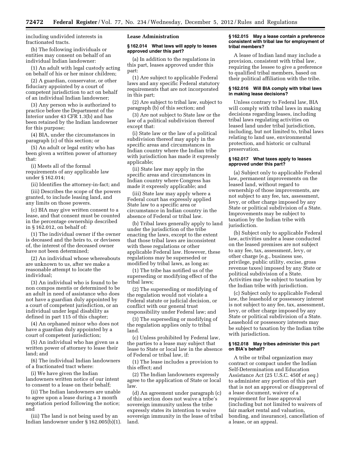including undivided interests in fractionated tracts.

(b) The following individuals or entities may consent on behalf of an individual Indian landowner:

(1) An adult with legal custody acting on behalf of his or her minor children;

(2) A guardian, conservator, or other fiduciary appointed by a court of competent jurisdiction to act on behalf of an individual Indian landowner;

(3) Any person who is authorized to practice before the Department of the Interior under 43 CFR 1.3(b) and has been retained by the Indian landowner for this purpose;

(4) BIA, under the circumstances in paragraph (c) of this section; or

(5) An adult or legal entity who has been given a written power of attorney that:

(i) Meets all of the formal requirements of any applicable law under § 162.014;

(ii) Identifies the attorney-in-fact; and

(iii) Describes the scope of the powers granted, to include leasing land, and any limits on those powers.

(c) BIA may give written consent to a lease, and that consent must be counted in the percentage ownership described in § 162.012, on behalf of:

(1) The individual owner if the owner is deceased and the heirs to, or devisees of, the interest of the deceased owner have not been determined;

(2) An individual whose whereabouts are unknown to us, after we make a reasonable attempt to locate the individual;

(3) An individual who is found to be non compos mentis or determined to be an adult in need of assistance who does not have a guardian duly appointed by a court of competent jurisdiction, or an individual under legal disability as defined in part 115 of this chapter;

(4) An orphaned minor who does not have a guardian duly appointed by a court of competent jurisdiction;

(5) An individual who has given us a written power of attorney to lease their land; and

(6) The individual Indian landowners of a fractionated tract where:

(i) We have given the Indian landowners written notice of our intent to consent to a lease on their behalf;

(ii) The Indian landowners are unable to agree upon a lease during a 3 month negotiation period following the notice; and

(iii) The land is not being used by an Indian landowner under § 162.005(b)(1).

# **Lease Administration**

#### **§ 162.014 What laws will apply to leases approved under this part?**

(a) In addition to the regulations in this part, leases approved under this part:

(1) Are subject to applicable Federal laws and any specific Federal statutory requirements that are not incorporated in this part;

(2) Are subject to tribal law, subject to paragraph (b) of this section; and

(3) Are not subject to State law or the law of a political subdivision thereof except that:

(i) State law or the law of a political subdivision thereof may apply in the specific areas and circumstances in Indian country where the Indian tribe with jurisdiction has made it expressly applicable;

(ii) State law may apply in the specific areas and circumstances in Indian country where Congress has made it expressly applicable; and

(iii) State law may apply where a Federal court has expressly applied State law to a specific area or circumstance in Indian country in the absence of Federal or tribal law.

(b) Tribal laws generally apply to land under the jurisdiction of the tribe enacting the laws, except to the extent that those tribal laws are inconsistent with these regulations or other applicable Federal law. However, these regulations may be superseded or modified by tribal laws, as long as:

(1) The tribe has notified us of the superseding or modifying effect of the tribal laws;

(2) The superseding or modifying of the regulation would not violate a Federal statute or judicial decision, or conflict with our general trust responsibility under Federal law; and

(3) The superseding or modifying of the regulation applies only to tribal land.

(c) Unless prohibited by Federal law, the parties to a lease may subject that lease to State or local law in the absence of Federal or tribal law, if:

(1) The lease includes a provision to this effect; and

(2) The Indian landowners expressly agree to the application of State or local law.

(d) An agreement under paragraph (c) of this section does not waive a tribe's sovereign immunity unless the tribe expressly states its intention to waive sovereign immunity in the lease of tribal land.

# **§ 162.015 May a lease contain a preference consistent with tribal law for employment of tribal members?**

A lease of Indian land may include a provision, consistent with tribal law, requiring the lessee to give a preference to qualified tribal members, based on their political affiliation with the tribe.

# **§ 162.016 Will BIA comply with tribal laws in making lease decisions?**

Unless contrary to Federal law, BIA will comply with tribal laws in making decisions regarding leases, including tribal laws regulating activities on leased land under tribal jurisdiction, including, but not limited to, tribal laws relating to land use, environmental protection, and historic or cultural preservation.

# **§ 162.017 What taxes apply to leases approved under this part?**

(a) Subject only to applicable Federal law, permanent improvements on the leased land, without regard to ownership of those improvements, are not subject to any fee, tax, assessment, levy, or other charge imposed by any State or political subdivision of a State. Improvements may be subject to taxation by the Indian tribe with jurisdiction.

(b) Subject only to applicable Federal law, activities under a lease conducted on the leased premises are not subject to any fee, tax, assessment, levy, or other charge (e.g., business use, privilege, public utility, excise, gross revenue taxes) imposed by any State or political subdivision of a State. Activities may be subject to taxation by the Indian tribe with jurisdiction.

(c) Subject only to applicable Federal law, the leasehold or possessory interest is not subject to any fee, tax, assessment, levy, or other charge imposed by any State or political subdivision of a State. Leasehold or possessory interests may be subject to taxation by the Indian tribe with jurisdiction.

# **§ 162.018 May tribes administer this part on BIA's behalf?**

A tribe or tribal organization may contract or compact under the Indian Self-Determination and Education Assistance Act (25 U.S.C. 450f *et seq.*) to administer any portion of this part that is not an approval or disapproval of a lease document, waiver of a requirement for lease approval (including but not limited to waivers of fair market rental and valuation, bonding, and insurance), cancellation of a lease, or an appeal.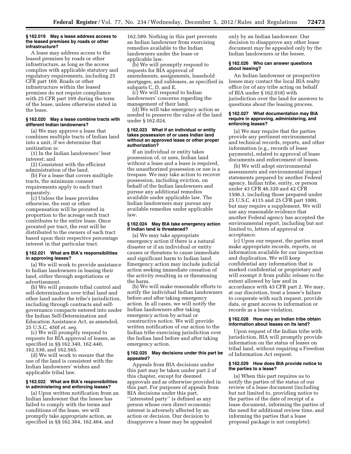#### **§ 162.019 May a lease address access to the leased premises by roads or other infrastructure?**

A lease may address access to the leased premises by roads or other infrastructure, as long as the access complies with applicable statutory and regulatory requirements, including 25 CFR part 169. Roads or other infrastructure within the leased premises do not require compliance with 25 CFR part 169 during the term of the lease, unless otherwise stated in the lease.

#### **§ 162.020 May a lease combine tracts with different Indian landowners?**

(a) We may approve a lease that combines multiple tracts of Indian land into a unit, if we determine that unitization is:

(1) In the Indian landowners' best interest; and

(2) Consistent with the efficient administration of the land.

(b) For a lease that covers multiple tracts, the minimum consent requirements apply to each tract separately.

(c) Unless the lease provides otherwise, the rent or other compensation will be prorated in proportion to the acreage each tract contributes to the entire lease. Once prorated per tract, the rent will be distributed to the owners of each tract based upon their respective percentage interest in that particular tract.

# **§ 162.021 What are BIA's responsibilities in approving leases?**

(a) We will work to provide assistance to Indian landowners in leasing their land, either through negotiations or advertisement.

(b) We will promote tribal control and self-determination over tribal land and other land under the tribe's jurisdiction, including through contracts and selfgovernance compacts entered into under the Indian Self-Determination and Education Assistance Act, as amended, 25 U.S.C. 450f *et. seq.* 

(c) We will promptly respond to requests for BIA approval of leases, as specified in §§ 162.340, 162.440, 162.530, and 162.565.

(d) We will work to ensure that the use of the land is consistent with the Indian landowners' wishes and applicable tribal law.

#### **§ 162.022 What are BIA's responsibilities in administering and enforcing leases?**

(a) Upon written notification from an Indian landowner that the lessee has failed to comply with the terms and conditions of the lease, we will promptly take appropriate action, as specified in §§ 162.364, 162.464, and

162.589. Nothing in this part prevents an Indian landowner from exercising remedies available to the Indian landowners under the lease or applicable law.

(b) We will promptly respond to requests for BIA approval of amendments, assignments, leasehold mortgages, and subleases, as specified in subparts C, D, and E.

(c) We will respond to Indian landowners' concerns regarding the management of their land.

(d) We will take emergency action as needed to preserve the value of the land under § 162.024.

#### **§ 162.023 What if an individual or entity takes possession of or uses Indian land without an approved lease or other proper authorization?**

If an individual or entity takes possession of, or uses, Indian land without a lease and a lease is required, the unauthorized possession or use is a trespass. We may take action to recover possession, including eviction, on behalf of the Indian landowners and pursue any additional remedies available under applicable law. The Indian landowners may pursue any available remedies under applicable law.

# **§ 162.024 May BIA take emergency action if Indian land is threatened?**

(a) We may take appropriate emergency action if there is a natural disaster or if an individual or entity causes or threatens to cause immediate and significant harm to Indian land. Emergency action may include judicial action seeking immediate cessation of the activity resulting in or threatening the harm.

(b) We will make reasonable efforts to notify the individual Indian landowners before and after taking emergency action. In all cases, we will notify the Indian landowners after taking emergency action by actual or constructive notice. We will provide written notification of our action to the Indian tribe exercising jurisdiction over the Indian land before and after taking emergency action.

# **§ 162.025 May decisions under this part be appealed?**

Appeals from BIA decisions under this part may be taken under part 2 of this chapter, except for deemed approvals and as otherwise provided in this part. For purposes of appeals from BIA decisions under this part, ''interested party'' is defined as any person whose own direct economic interest is adversely affected by an action or decision. Our decision to disapprove a lease may be appealed

only by an Indian landowner. Our decision to disapprove any other lease document may be appealed only by the Indian landowners or the lessee.

# **§ 162.026 Who can answer questions about leasing?**

An Indian landowner or prospective lessee may contact the local BIA realty office (or of any tribe acting on behalf of BIA under § 162.018) with jurisdiction over the land for answers to questions about the leasing process.

#### **§ 162.027 What documentation may BIA require in approving, administering, and enforcing leases?**

(a) We may require that the parties provide any pertinent environmental and technical records, reports, and other information (e.g., records of lease payments), related to approval of lease documents and enforcement of leases.

(b) We will adopt environmental assessments and environmental impact statements prepared by another Federal agency, Indian tribe, entity, or person under 43 CFR 46.320 and 42 CFR 1506.3, including those prepared under 25 U.S.C. 4115 and 25 CFR part 1000, but may require a supplement. We will use any reasonable evidence that another Federal agency has accepted the environmental report, including but not limited to, letters of approval or acceptance.

(c) Upon our request, the parties must make appropriate records, reports, or information available for our inspection and duplication. We will keep confidential any information that is marked confidential or proprietary and will exempt it from public release to the extent allowed by law and in accordance with 43 CFR part 2. We may, at our discretion, treat a lessee's failure to cooperate with such request, provide data, or grant access to information or records as a lease violation.

#### **§ 162.028 How may an Indian tribe obtain information about leases on its land?**

Upon request of the Indian tribe with jurisdiction, BIA will promptly provide information on the status of leases on tribal land, without requiring a Freedom of Information Act request.

# **§ 162.029 How does BIA provide notice to the parties to a lease?**

(a) When this part requires us to notify the parties of the status of our review of a lease document (including but not limited to, providing notice to the parties of the date of receipt of a lease document, informing the parties of the need for additional review time, and informing the parties that a lease proposal package is not complete):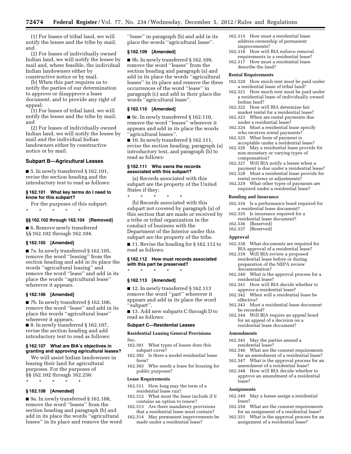(1) For leases of tribal land, we will notify the lessee and the tribe by mail; and

(2) For leases of individually owned Indian land, we will notify the lessee by mail and, where feasible, the individual Indian landowners either by constructive notice or by mail.

(b) When this part requires us to notify the parties of our determination to approve or disapprove a lease document, and to provide any right of appeal:

(1) For leases of tribal land, we will notify the lessee and the tribe by mail; and

(2) For leases of individually owned Indian land, we will notify the lessee by mail and the individual Indian landowners either by constructive notice or by mail.

# **Subpart B—Agricultural Leases**

 $\blacksquare$  5. In newly transferred § 162.101, revise the section heading and the introductory text to read as follows:

# **§ 162.101 What key terms do I need to know for this subpart?**

For the purposes of this subpart: \* \* \* \* \*

#### **§§ 162.102 through 162.104 [Removed]**

■ 6. Remove newly transferred §§ 162.102 through 162.104.

#### **§ 162.105 [Amended]**

■ 7a. In newly transferred § 162.105, remove the word ''leasing'' from the section heading and add in its place the words ''agricultural leasing'' and remove the word ''lease'' and add in its place the words ''agricultural lease'' wherever it appears.

#### **§ 162.106 [Amended]**

■ 7b. In newly transferred § 162.106, remove the word ''lease'' and add in its place the words ''agricultural lease'' wherever it appears.

■ 8. In newly transferred § 162.107, revise the section heading and add introductory text to read as follows:

# **§ 162.107 What are BIA's objectives in granting and approving agricultural leases?**

We will assist Indian landowners in leasing their land for agricultural purposes. For the purposes of §§ 162.102 through 162.256:

\* \* \* \* \*

# **§ 162.108 [Amended]**

■ 9a. In newly transferred § 162.108, remove the word ''leases'' from the section heading and paragraph (b) and add in its place the words ''agricultural leases'' in its place and remove the word ''lease'' in paragraph (b) and add in its place the words ''agricultural lease''.

#### **§ 162.109 [Amended]**

■ 9b. In newly transferred § 162.109, remove the word ''leases'' from the section heading and paragraph (a) and add in its place the words ''agricultural leases'' in its place and remove the three occurrences of the word ''lease'' in paragraph (c) and add in their place the words ''agricultural lease''.

# **§ 162.110 [Amended]**

■ 9c. In newly transferred § 162.110, remove the word ''leases'' wherever it appears and add in its place the words ''agricultural leases''.

 $\blacksquare$  10. In newly transferred § 162.111, revise the section heading, paragraph (a) introductory text, and paragraph (b) to read as follows:

# **§ 162.111 Who owns the records associated with this subpart?**

(a) Records associated with this subpart are the property of the United States if they:

(b) Records associated with this subpart not covered by paragraph (a) of this section that are made or received by a tribe or tribal organization in the conduct of business with the Department of the Interior under this subpart are the property of the tribe.

■ 11. Revise the heading for § 162.112 to read as follows:

#### **§ 162.112 How must records associated with this part be preserved?**

\* \* \* \* \*

# **§ 162.113 [Amended]**

\* \* \* \* \*

■ 12. In newly transferred § 162.113 remove the word ''part'' wherever it appears and add in its place the word ''subpart''.

■ 13. Add new subparts C through D to read as follows:

# **Subpart C—Residential Leases**

# **Residential Leasing General Provisions**

Sec.

- 162.301 What types of leases does this subpart cover?
- 162.302 Is there a model residential lease form?
- 162.303 Who needs a lease for housing for public purposes?

#### **Lease Requirements**

- 162.311 How long may the term of a residential lease run?
- 162.312 What must the lease include if it contains an option to renew?
- 162.313 Are there mandatory provisions that a residential lease must contain?
- 162.314 May permanent improvements be made under a residential lease?
- 162.315 How must a residential lease address ownership of permanent improvements?
- 162.316 How will BIA enforce removal requirements in a residential lease?
- 162.317 How must a residential lease describe the land?

#### **Rental Requirements**

- 162.320 How much rent must be paid under a residential lease of tribal land?
- 162.321 How much rent must be paid under a residential lease of individually owned Indian land?
- 162.322 How will BIA determine fair market rental for a residential lease?
- 162.323 When are rental payments due under a residential lease?
- 162.324 Must a residential lease specify who receives rental payments?
- 162.325 What form of payment is acceptable under a residential lease?
- 162.326 May a residential lease provide for non-monetary or varying types of
- compensation? 162.327 Will BIA notify a lessee when a
- payment is due under a residential lease? 162.328 Must a residential lease provide for rental reviews or adjustments?
- 162.329 What other types of payments are required under a residential lease?

#### **Bonding and Insurance**

- 162.334 Is a performance bond required for a residential lease document?
- 162.335 Is insurance required for a
- residential lease document?
- 162.336 [Reserved]
- 162.337 [Reserved]

# **Approval**

- 162.338 What documents are required for BIA approval of a residential lease?
- 162.339 Will BIA review a proposed residential lease before or during preparation of the NEPA review documentation?
- 162.340 What is the approval process for a residential lease?
- 162.341 How will BIA decide whether to approve a residential lease?
- 162.342 When will a residential lease be effective?
- 162.343 Must a residential lease document be recorded?
- 162.344 Will BIA require an appeal bond for an appeal of a decision on a residential lease document?

# **Amendments**

- 162.345 May the parties amend a residential lease?
- 162.346 What are the consent requirements for an amendment of a residential lease?
- 162.347 What is the approval process for an amendment of a residential lease?
- 162.348 How will BIA decide whether to approve an amendment of a residential lease?

#### **Assignments**

- 162.349 May a lessee assign a residential lease?
- 162.350 What are the consent requirements for an assignment of a residential lease?
- 162.351 What is the approval process for an assignment of a residential lease?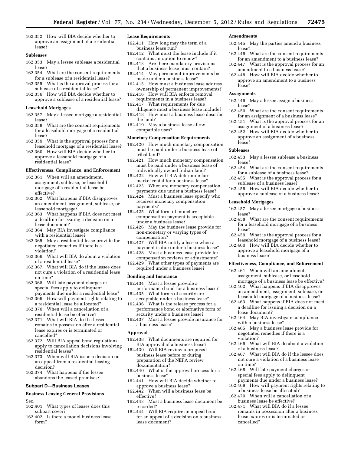162.352 How will BIA decide whether to approve an assignment of a residential lease?

#### **Subleases**

- 162.353 May a lessee sublease a residential lease?
- 162.354 What are the consent requirements for a sublease of a residential lease?
- 162.355 What is the approval process for a sublease of a residential lease?
- 162.356 How will BIA decide whether to approve a sublease of a residential lease?

#### **Leasehold Mortgages**

- 162.357 May a lessee mortgage a residential lease?
- 162.358 What are the consent requirements for a leasehold mortgage of a residential lease?
- 162.359 What is the approval process for a leasehold mortgage of a residential lease?
- 162.360 How will BIA decide whether to approve a leasehold mortgage of a residential lease?

#### **Effectiveness, Compliance, and Enforcement**

- 162.361 When will an amendment, assignment, sublease, or leasehold mortgage of a residential lease be effective?
- 162.362 What happens if BIA disapproves an amendment, assignment, sublease, or leasehold mortgage?
- 162.363 What happens if BIA does not meet a deadline for issuing a decision on a lease document?
- 162.364 May BIA investigate compliance with a residential lease?
- 162.365 May a residential lease provide for negotiated remedies if there is a violation?
- 162.366 What will BIA do about a violation of a residential lease?
- 162.367 What will BIA do if the lessee does not cure a violation of a residential lease on time?
- 162.368 Will late payment charges or special fees apply to delinquent payments due under a residential lease?
- 162.369 How will payment rights relating to a residential lease be allocated?
- 162.370 When will a cancellation of a residential lease be effective?
- 162.371 What will BIA do if a lessee remains in possession after a residential lease expires or is terminated or cancelled?
- 162.372 Will BIA appeal bond regulations apply to cancellation decisions involving residential leases?
- 162.373 When will BIA issue a decision on an appeal from a residential leasing decision?
- 162.374 What happens if the lessee abandons the leased premises?

#### **Subpart D—Business Leases**

# **Business Leasing General Provisions**

- Sec.
- 162.401 What types of leases does this subpart cover?
- 162.402 Is there a model business lease form?

#### **Lease Requirements**

- 162.411 How long may the term of a business lease run?
- 162.412 What must the lease include if it contains an option to renew?
- 162.413 Are there mandatory provisions that a business lease must contain?
- 162.414 May permanent improvements be made under a business lease?
- 162.415 How must a business lease address ownership of permanent improvements?
- 162.416 How will BIA enforce removal requirements in a business lease?
- 162.417 What requirements for due diligence must a business lease include? 162.418 How must a business lease describe
- the land? 162.419 May a business lease allow
- compatible uses?

# **Monetary Compensation Requirements**

- 162.420 How much monetary compensation must be paid under a business lease of tribal land?
- 162.421 How much monetary compensation must be paid under a business lease of individually owned Indian land?
- 162.422 How will BIA determine fair market rental for a business lease?
- 162.423 When are monetary compensation payments due under a business lease?
- 162.424 Must a business lease specify who receives monetary compensation payments?
- 162.425 What form of monetary compensation payment is acceptable under a business lease?
- 162.426 May the business lease provide for non-monetary or varying types of compensation?
- 162.427 Will BIA notify a lessee when a payment is due under a business lease?
- 162.428 Must a business lease provide for compensation reviews or adjustments?
- 162.429 What other types of payments are required under a business lease?

#### **Bonding and Insurance**

- 162.434 Must a lessee provide a performance bond for a business lease? 162.435 What forms of security are
- acceptable under a business lease? 162.436 What is the release process for a performance bond or alternative form of security under a business lease?
- 162.437 Must a lessee provide insurance for a business lease?

#### **Approval**

- 162.438 What documents are required for BIA approval of a business lease?
- 162.439 Will BIA review a proposed business lease before or during preparation of the NEPA review documentation?
- 162.440 What is the approval process for a business lease?
- 162.441 How will BIA decide whether to approve a business lease?
- 162.442 When will a business lease be effective?
- 162.443 Must a business lease document be recorded?
- 162.444 Will BIA require an appeal bond for an appeal of a decision on a business lease document?

#### **Amendments**

- 162.445 May the parties amend a business lease?
- 162.446 What are the consent requirements for an amendment to a business lease?
- 162.447 What is the approval process for an amendment to a business lease?
- 162.448 How will BIA decide whether to approve an amendment to a business lease?

# **Assignments**

- 162.449 May a lessee assign a business lease?
- 162.450 What are the consent requirements for an assignment of a business lease?
- 162.451 What is the approval process for an assignment of a business lease?
- 162.452 How will BIA decide whether to approve an assignment of a business lease?

#### **Subleases**

- 162.453 May a lessee sublease a business lease?
- 162.454 What are the consent requirements for a sublease of a business lease?
- 162.455 What is the approval process for a sublease of a business lease?
- 162.456 How will BIA decide whether to approve a sublease of a business lease?

#### **Leasehold Mortgages**

- 162.457 May a lessee mortgage a business lease?
- 162.458 What are the consent requirements for a leasehold mortgage of a business lease?
- 162.459 What is the approval process for a leasehold mortgage of a business lease?
- 162.460 How will BIA decide whether to approve a leasehold mortgage of a business lease?

#### **Effectiveness, Compliance, and Enforcement**

- 162.461 When will an amendment, assignment, sublease, or leasehold mortgage of a business lease be effective?
- 162.462 What happens if BIA disapproves an amendment, assignment, sublease, or leasehold mortgage of a business lease?
- 162.463 What happens if BIA does not meet a deadline for issuing a decision on a lease document?
- 162.464 May BIA investigate compliance with a business lease?
- 162.465 May a business lease provide for negotiated remedies if there is a violation?
- 162.466 What will BIA do about a violation of a business lease?
- 162.467 What will BIA do if the lessee does not cure a violation of a business lease on time?
- 162.468 Will late payment charges or special fees apply to delinquent payments due under a business lease?
- 162.469 How will payment rights relating to a business lease be allocated?
- 162.470 When will a cancellation of a business lease be effective?
- 162.471 What will BIA do if a lessee remains in possession after a business lease expires or is terminated or cancelled?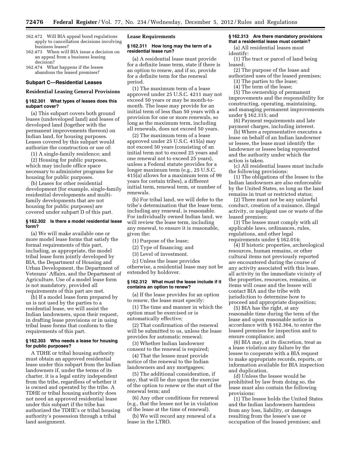- 162.472 Will BIA appeal bond regulations apply to cancellation decisions involving business leases?
- 162.473 When will BIA issue a decision on an appeal from a business leasing decision?
- 162.474 What happens if the lessee abandons the leased premises?

#### **Subpart C—Residential Leases**

#### **Residential Leasing General Provisions**

#### **§ 162.301 What types of leases does this subpart cover?**

(a) This subpart covers both ground leases (undeveloped land) and leases of developed land (together with the permanent improvements thereon) on Indian land, for housing purposes. Leases covered by this subpart would authorize the construction or use of:

(1) A single-family residence; and

(2) Housing for public purposes, which may include office space necessary to administer programs for housing for public purposes.

(b) Leases for other residential development (for example, single-family residential developments and multifamily developments that are not housing for public purposes) are covered under subpart D of this part.

# **§ 162.302 Is there a model residential lease form?**

(a) We will make available one or more model lease forms that satisfy the formal requirements of this part, including, as appropriate, the model tribal lease form jointly developed by BIA, the Department of Housing and Urban Development, the Department of Veterans' Affairs, and the Department of Agriculture. Use of a model lease form is not mandatory, provided all requirements of this part are met.

(b) If a model lease form prepared by us is not used by the parties to a residential lease, we will assist the Indian landowners, upon their request, in drafting lease provisions or in using tribal lease forms that conform to the requirements of this part.

# **§ 162.303 Who needs a lease for housing for public purposes?**

A TDHE or tribal housing authority must obtain an approved residential lease under this subpart from the Indian landowners if, under the terms of its charter, it is a legal entity independent from the tribe, regardless of whether it is owned and operated by the tribe. A TDHE or tribal housing authority does not need an approved residential lease under this subpart if the tribe has authorized the TDHE's or tribal housing authority's possession through a tribal land assignment.

#### **Lease Requirements**

#### **§ 162.311 How long may the term of a residential lease run?**

(a) A residential lease must provide for a definite lease term, state if there is an option to renew, and if so, provide for a definite term for the renewal period.

(1) The maximum term of a lease approved under 25 U.S.C. 4211 may not exceed 50 years or may be month-tomonth. The lease may provide for an initial term of less than 50 years with a provision for one or more renewals, so long as the maximum term, including all renewals, does not exceed 50 years.

(2) The maximum term of a lease approved under 25 U.S.C. 415(a) may not exceed 50 years (consisting of an initial term not to exceed 25 years and one renewal not to exceed 25 years), unless a Federal statute provides for a longer maximum term (e.g., 25 U.S.C. 415(a) allows for a maximum term of 99 years for certain tribes), a different initial term, renewal term, or number of renewals.

(b) For tribal land, we will defer to the tribe's determination that the lease term, including any renewal, is reasonable. For individually owned Indian land, we will review the lease term, including any renewal, to ensure it is reasonable, given the:

(1) Purpose of the lease;

(2) Type of financing; and

(3) Level of investment.

(c) Unless the lease provides otherwise, a residential lease may not be extended by holdover.

#### **§ 162.312 What must the lease include if it contains an option to renew?**

(a) If the lease provides for an option to renew, the lease must specify:

(1) The time and manner in which the option must be exercised or is automatically effective;

(2) That confirmation of the renewal will be submitted to us, unless the lease provides for automatic renewal;

(3) Whether Indian landowner consent to the renewal is required;

(4) That the lessee must provide notice of the renewal to the Indian landowners and any mortgagees;

(5) The additional consideration, if any, that will be due upon the exercise of the option to renew or the start of the renewal term; and

(6) Any other conditions for renewal (e.g., that the lessee not be in violation of the lease at the time of renewal).

(b) We will record any renewal of a lease in the LTRO.

# **§ 162.313 Are there mandatory provisions that a residential lease must contain?**

(a) All residential leases must identify:

(1) The tract or parcel of land being leased;

(2) The purpose of the lease and authorized uses of the leased premises; (3) The parties to the lease;

(4) The term of the lease;

(5) The ownership of permanent improvements and the responsibility for constructing, operating, maintaining, and managing permanent improvements under § 162.315; and

(6) Payment requirements and late payment charges, including interest.

(b) Where a representative executes a lease on behalf of an Indian landowner or lessee, the lease must identify the landowner or lessee being represented and the authority under which the action is taken.

(c) All residential leases must include the following provisions:

(1) The obligations of the lessee to the Indian landowners are also enforceable by the United States, so long as the land remains in trust or restricted status;

(2) There must not be any unlawful conduct, creation of a nuisance, illegal activity, or negligent use or waste of the leased premises;

(3) The lessee must comply with all applicable laws, ordinances, rules, regulations, and other legal requirements under § 162.014;

(4) If historic properties, archeological resources, human remains, or other cultural items not previously reported are encountered during the course of any activity associated with this lease, all activity in the immediate vicinity of the properties, resources, remains, or items will cease and the lessee will contact BIA and the tribe with jurisdiction to determine how to proceed and appropriate disposition;

(5) BIA has the right, at any reasonable time during the term of the lease and upon reasonable notice in accordance with § 162.364, to enter the leased premises for inspection and to ensure compliance; and

(6) BIA may, at its discretion, treat as a lease violation any failure by the lessee to cooperate with a BIA request to make appropriate records, reports, or information available for BIA inspection and duplication.

(d) Unless the lessee would be prohibited by law from doing so, the lease must also contain the following provisions:

(1) The lessee holds the United States and the Indian landowners harmless from any loss, liability, or damages resulting from the lessee's use or occupation of the leased premises; and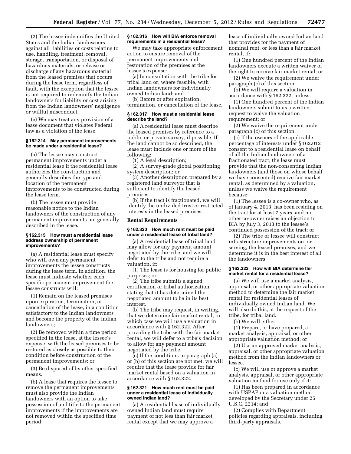(2) The lessee indemnifies the United States and the Indian landowners against all liabilities or costs relating to use, handling, treatment, removal, storage, transportation, or disposal of hazardous materials, or release or discharge of any hazardous material from the leased premises that occurs during the lease term, regardless of fault, with the exception that the lessee is not required to indemnify the Indian landowners for liability or cost arising from the Indian landowners' negligence or willful misconduct.

(e) We may treat any provision of a lease document that violates Federal law as a violation of the lease.

#### **§ 162.314 May permanent improvements be made under a residential lease?**

(a) The lessee may construct permanent improvements under a residential lease if the residential lease authorizes the construction and generally describes the type and location of the permanent improvements to be constructed during the lease term.

(b) The lessee must provide reasonable notice to the Indian landowners of the construction of any permanent improvements not generally described in the lease.

#### **§ 162.315 How must a residential lease address ownership of permanent improvements?**

(a) A residential lease must specify who will own any permanent improvements the lessee constructs during the lease term. In addition, the lease must indicate whether each specific permanent improvement the lessee constructs will:

(1) Remain on the leased premises upon expiration, termination, or cancellation of the lease, in a condition satisfactory to the Indian landowners and become the property of the Indian landowners;

(2) Be removed within a time period specified in the lease, at the lessee's expense, with the leased premises to be restored as closely as possible to their condition before construction of the permanent improvements; or

(3) Be disposed of by other specified means.

(b) A lease that requires the lessee to remove the permanent improvements must also provide the Indian landowners with an option to take possession of and title to the permanent improvements if the improvements are not removed within the specified time period.

# **§ 162.316 How will BIA enforce removal requirements in a residential lease?**

We may take appropriate enforcement action to ensure removal of the permanent improvements and restoration of the premises at the lessee's expense:

(a) In consultation with the tribe for tribal land or, where feasible, with Indian landowners for individually owned Indian land; and

(b) Before or after expiration, termination, or cancellation of the lease.

#### **§ 162.317 How must a residential lease describe the land?**

(a) A residential lease must describe the leased premises by reference to a public or private survey, if possible. If the land cannot be so described, the lease must include one or more of the following:

(1) A legal description;

(2) A survey-grade global positioning system description; or

(3) Another description prepared by a registered land surveyor that is sufficient to identify the leased premises.

(b) If the tract is fractionated, we will identify the undivided trust or restricted interests in the leased premises.

#### **Rental Requirements**

#### **§ 162.320 How much rent must be paid under a residential lease of tribal land?**

(a) A residential lease of tribal land may allow for any payment amount negotiated by the tribe, and we will defer to the tribe and not require a valuation, if:

(1) The lease is for housing for public purposes; or

(2) The tribe submits a signed certification or tribal authorization stating that it has determined the negotiated amount to be in its best interest.

(b) The tribe may request, in writing, that we determine fair market rental, in which case we will use a valuation in accordance with § 162.322. After providing the tribe with the fair market rental, we will defer to a tribe's decision to allow for any payment amount negotiated by the tribe.

(c) If the conditions in paragraph (a) or (b) of this section are not met, we will require that the lease provide for fair market rental based on a valuation in accordance with § 162.322.

#### **§ 162.321 How much rent must be paid under a residential lease of individually owned Indian land?**

(a) A residential lease of individually owned Indian land must require payment of not less than fair market rental except that we may approve a

lease of individually owned Indian land that provides for the payment of nominal rent, or less than a fair market rental, if:

(1) One hundred percent of the Indian landowners execute a written waiver of the right to receive fair market rental; or

(2) We waive the requirement under paragraph (c) of this section.

(b) We will require a valuation in accordance with § 162.322, unless:

(1) One hundred percent of the Indian landowners submit to us a written request to waive the valuation requirement; or

(2) We waive the requirement under paragraph (c) of this section.

(c) If the owners of the applicable percentage of interests under § 162.012 consent to a residential lease on behalf of all the Indian landowners of a fractionated tract, the lease must provide that the non-consenting Indian landowners (and those on whose behalf we have consented) receive fair market rental, as determined by a valuation, unless we waive the requirement because:

(1) The lessee is a co-owner who, as of January 4, 2013, has been residing on the tract for at least 7 years, and no other co-owner raises an objection to BIA by July 3, 2013 to the lessee's continued possession of the tract; or

(2) The tribe or lessee will construct infrastructure improvements on, or serving, the leased premises, and we determine it is in the best interest of all the landowners.

# **§ 162.322 How will BIA determine fair market rental for a residential lease?**

(a) We will use a market analysis, appraisal, or other appropriate valuation method to determine the fair market rental for residential leases of individually owned Indian land. We will also do this, at the request of the tribe, for tribal land.

(b) We will either:

(1) Prepare, or have prepared, a market analysis, appraisal, or other appropriate valuation method; or

(2) Use an approved market analysis, appraisal, or other appropriate valuation method from the Indian landowners or lessee.

(c) We will use or approve a market analysis, appraisal, or other appropriate valuation method for use only if it:

(1) Has been prepared in accordance with USPAP or a valuation method developed by the Secretary under 25 U.S.C. 2214; and

(2) Complies with Department policies regarding appraisals, including third-party appraisals.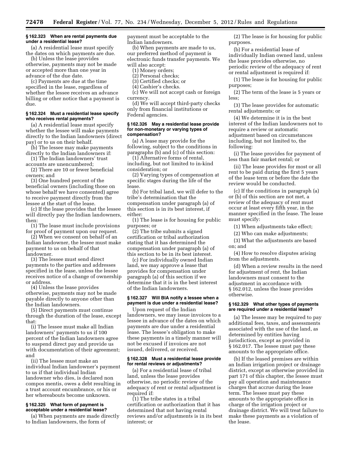# **§ 162.323 When are rental payments due under a residential lease?**

(a) A residential lease must specify the dates on which payments are due.

(b) Unless the lease provides otherwise, payments may not be made or accepted more than one year in advance of the due date.

(c) Payments are due at the time specified in the lease, regardless of whether the lessee receives an advance billing or other notice that a payment is due.

# **§ 162.324 Must a residential lease specify who receives rental payments?**

(a) A residential lease must specify whether the lessee will make payments directly to the Indian landowners (direct pay) or to us on their behalf.

(b) The lessee may make payments directly to the Indian landowners if:

(1) The Indian landowners' trust

accounts are unencumbered; (2) There are 10 or fewer beneficial owners; and

(3) One hundred percent of the beneficial owners (including those on whose behalf we have consented) agree to receive payment directly from the lessee at the start of the lease.

(c) If the lease provides that the lessee will directly pay the Indian landowners, then:

(1) The lease must include provisions for proof of payment upon our request.

(2) When we consent on behalf of an Indian landowner, the lessee must make payment to us on behalf of that landowner.

(3) The lessee must send direct payments to the parties and addresses specified in the lease, unless the lessee receives notice of a change of ownership or address.

(4) Unless the lease provides otherwise, payments may not be made payable directly to anyone other than the Indian landowners.

(5) Direct payments must continue through the duration of the lease, except that:

(i) The lessee must make all Indian landowners' payments to us if 100 percent of the Indian landowners agree to suspend direct pay and provide us with documentation of their agreement; and

(ii) The lessee must make an individual Indian landowner's payment to us if that individual Indian landowner who dies, is declared non compos mentis, owes a debt resulting in a trust account encumbrance, or his or her whereabouts become unknown.

#### **§ 162.325 What form of payment is acceptable under a residential lease?**

(a) When payments are made directly to Indian landowners, the form of

payment must be acceptable to the Indian landowners.

(b) When payments are made to us, our preferred method of payment is electronic funds transfer payments. We will also accept:

(1) Money orders;

(2) Personal checks;

(3) Certified checks; or

(4) Cashier's checks.

(c) We will not accept cash or foreign currency.

(d) We will accept third-party checks only from financial institutions or Federal agencies.

#### **§ 162.326 May a residential lease provide for non-monetary or varying types of compensation?**

(a) A lease may provide for the following, subject to the conditions in paragraphs (b) and (c) of this section:

(1) Alternative forms of rental, including, but not limited to in-kind consideration; or

(2) Varying types of compensation at specific stages during the life of the lease.

(b) For tribal land, we will defer to the tribe's determination that the compensation under paragraph (a) of this section is in its best interest, if either:

(1) The lease is for housing for public purposes; or

(2) The tribe submits a signed certification or tribal authorization stating that it has determined the compensation under paragraph (a) of this section to be in its best interest.

(c) For individually owned Indian land, we may approve a lease that provides for compensation under paragraph (a) of this section if we determine that it is in the best interest of the Indian landowners.

# **§ 162.327 Will BIA notify a lessee when a payment is due under a residential lease?**

Upon request of the Indian landowners, we may issue invoices to a lessee in advance of the dates on which payments are due under a residential lease. The lessee's obligation to make these payments in a timely manner will not be excused if invoices are not issued, delivered, or received.

# **§ 162.328 Must a residential lease provide for rental reviews or adjustments?**

(a) For a residential lease of tribal land, unless the lease provides otherwise, no periodic review of the adequacy of rent or rental adjustment is required if:

(1) The tribe states in a tribal certification or authorization that it has determined that not having rental reviews and/or adjustments is in its best interest; or

(2) The lease is for housing for public purposes.

(b) For a residential lease of individually Indian owned land, unless the lease provides otherwise, no periodic review of the adequacy of rent or rental adjustment is required if:

(1) The lease is for housing for public purposes;

(2) The term of the lease is 5 years or less;

(3) The lease provides for automatic rental adjustments; or

(4) We determine it is in the best interest of the Indian landowners not to require a review or automatic adjustment based on circumstances including, but not limited to, the following:

(i) The lease provides for payment of less than fair market rental; or

(ii) The lease provides for most or all rent to be paid during the first 5 years of the lease term or before the date the review would be conducted.

(c) If the conditions in paragraph (a) or (b) of this section are not met, a review of the adequacy of rent must occur at least every fifth year, in the manner specified in the lease. The lease must specify:

(1) When adjustments take effect;

(2) Who can make adjustments;

(3) What the adjustments are based on; and

(4) How to resolve disputes arising from the adjustments.

(d) When a review results in the need for adjustment of rent, the Indian landowners must consent to the adjustment in accordance with § 162.012, unless the lease provides otherwise.

# **§ 162.329 What other types of payments are required under a residential lease?**

(a) The lessee may be required to pay additional fees, taxes, and assessments associated with the use of the land, as determined by entities having jurisdiction, except as provided in § 162.017. The lessee must pay these amounts to the appropriate office.

(b) If the leased premises are within an Indian irrigation project or drainage district, except as otherwise provided in part 171 of this chapter, the lessee must pay all operation and maintenance charges that accrue during the lease term. The lessee must pay these amounts to the appropriate office in charge of the irrigation project or drainage district. We will treat failure to make these payments as a violation of the lease.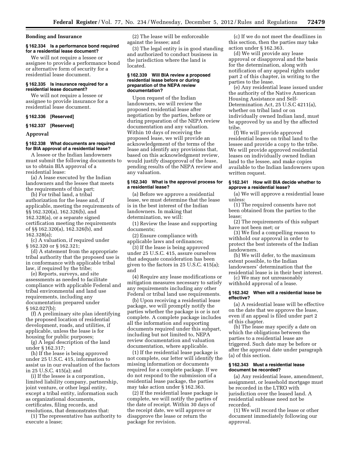# **Bonding and Insurance**

# **§ 162.334 Is a performance bond required for a residential lease document?**

We will not require a lessee or assignee to provide a performance bond or alternative form of security for a residential lease document.

# **§ 162.335 Is insurance required for a residential lease document?**

We will not require a lessee or assignee to provide insurance for a residential lease document.

# **§ 162.336 [Reserved]**

# **§ 162.337 [Reserved]**

#### **Approval**

# **§ 162.338 What documents are required for BIA approval of a residential lease?**

A lessee or the Indian landowners must submit the following documents to us to obtain BIA approval of a residential lease:

(a) A lease executed by the Indian landowners and the lessee that meets the requirements of this part;

(b) For tribal land, a tribal authorization for the lease and, if applicable, meeting the requirements of §§ 162.320(a), 162.326(b), and 162.328(a), or a separate signed certification meeting the requirements of §§ 162.320(a), 162.326(b), and 162.328(a);

(c) A valuation, if required under § 162.320 or § 162.321;

(d) A statement from the appropriate tribal authority that the proposed use is in conformance with applicable tribal law, if required by the tribe;

(e) Reports, surveys, and site assessments as needed to facilitate compliance with applicable Federal and tribal environmental and land use requirements, including any documentation prepared under § 162.027(b);

(f) A preliminary site plan identifying the proposed location of residential development, roads, and utilities, if applicable, unless the lease is for housing for public purposes;

(g) A legal description of the land under § 162.317;

(h) If the lease is being approved under 25 U.S.C. 415, information to assist us in our evaluation of the factors in 25 U.S.C. 415(a); and

(i) If the lessee is a corporation, limited liability company, partnership, joint venture, or other legal entity, except a tribal entity, information such as organizational documents, certificates, filing records, and resolutions, that demonstrates that:

(1) The representative has authority to execute a lease;

(2) The lease will be enforceable against the lessee; and

(3) The legal entity is in good standing and authorized to conduct business in the jurisdiction where the land is located.

#### **§ 162.339 Will BIA review a proposed residential lease before or during preparation of the NEPA review documentation?**

Upon request of the Indian landowners, we will review the proposed residential lease after negotiation by the parties, before or during preparation of the NEPA review documentation and any valuation. Within 10 days of receiving the proposed lease, we will provide an acknowledgement of the terms of the lease and identify any provisions that, based on this acknowledgment review, would justify disapproval of the lease, pending results of the NEPA review and any valuation.

# **§ 162.340 What is the approval process for a residential lease?**

(a) Before we approve a residential lease, we must determine that the lease is in the best interest of the Indian landowners. In making that determination, we will:

(1) Review the lease and supporting documents;

(2) Ensure compliance with applicable laws and ordinances;

(3) If the lease is being approved under 25 U.S.C. 415, assure ourselves that adequate consideration has been given to the factors in 25 U.S.C. 415(a); and

(4) Require any lease modifications or mitigation measures necessary to satisfy any requirements including any other Federal or tribal land use requirements.

(b) Upon receiving a residential lease package, we will promptly notify the parties whether the package is or is not complete. A complete package includes all the information and supporting documents required under this subpart, including but not limited to, NEPA review documentation and valuation documentation, where applicable.

(1) If the residential lease package is not complete, our letter will identify the missing information or documents required for a complete package. If we do not respond to the submission of a residential lease package, the parties may take action under § 162.363.

(2) If the residential lease package is complete, we will notify the parties of the date of receipt. Within 30 days of the receipt date, we will approve or disapprove the lease or return the package for revision.

(c) If we do not meet the deadlines in this section, then the parties may take action under § 162.363.

(d) We will provide any lease approval or disapproval and the basis for the determination, along with notification of any appeal rights under part 2 of this chapter, in writing to the parties to the lease.

(e) Any residential lease issued under the authority of the Native American Housing Assistance and Self-Determination Act, 25 U.S.C 4211(a), whether on tribal land or on individually owned Indian land, must be approved by us and by the affected tribe.

(f) We will provide approved residential leases on tribal land to the lessee and provide a copy to the tribe. We will provide approved residential leases on individually owned Indian land to the lessee, and make copies available to the Indian landowners upon written request.

# **§ 162.341 How will BIA decide whether to approve a residential lease?**

(a) We will approve a residential lease unless:

(1) The required consents have not been obtained from the parties to the lease;

(2) The requirements of this subpart have not been met; or

(3) We find a compelling reason to withhold our approval in order to protect the best interests of the Indian landowners.

(b) We will defer, to the maximum extent possible, to the Indian landowners' determination that the residential lease is in their best interest.

(c) We may not unreasonably

withhold approval of a lease.

# **§ 162.342 When will a residential lease be effective?**

(a) A residential lease will be effective on the date that we approve the lease, even if an appeal is filed under part 2 of this chapter.

(b) The lease may specify a date on which the obligations between the parties to a residential lease are triggered. Such date may be before or after the approval date under paragraph (a) of this section.

#### **§ 162.343 Must a residential lease document be recorded?**

(a) Any residential lease, amendment, assignment, or leasehold mortgage must be recorded in the LTRO with jurisdiction over the leased land. A residential sublease need not be recorded.

(1) We will record the lease or other document immediately following our approval.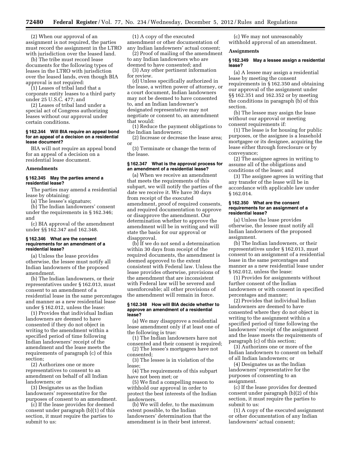(2) When our approval of an assignment is not required, the parties must record the assignment in the LTRO with jurisdiction over the leased land.

(b) The tribe must record lease documents for the following types of leases in the LTRO with jurisdiction over the leased lands, even though BIA approval is not required:

(1) Leases of tribal land that a corporate entity leases to a third party under 25 U.S.C. 477; and

(2) Leases of tribal land under a special act of Congress authorizing leases without our approval under certain conditions.

# **§ 162.344 Will BIA require an appeal bond for an appeal of a decision on a residential lease document?**

BIA will not require an appeal bond for an appeal of a decision on a residential lease document.

#### **Amendments**

# **§ 162.345 May the parties amend a residential lease?**

The parties may amend a residential lease by obtaining:

(a) The lessee's signature;

(b) The Indian landowners' consent under the requirements in § 162.346; and

(c) BIA approval of the amendment under §§ 162.347 and 162.348.

#### **§ 162.346 What are the consent requirements for an amendment of a residential lease?**

(a) Unless the lease provides otherwise, the lessee must notify all Indian landowners of the proposed amendment.

(b) The Indian landowners, or their representatives under § 162.013, must consent to an amendment of a residential lease in the same percentages and manner as a new residential lease under § 162.012, unless the lease:

(1) Provides that individual Indian landowners are deemed to have consented if they do not object in writing to the amendment within a specified period of time following Indian landowners' receipt of the amendment and the lease meets the requirements of paragraph (c) of this section;

(2) Authorizes one or more representatives to consent to an amendment on behalf of all Indian landowners; or

(3) Designates us as the Indian landowners' representative for the purposes of consent to an amendment.

(c) If the lease provides for deemed consent under paragraph (b)(1) of this section, it must require the parties to submit to us:

(1) A copy of the executed amendment or other documentation of any Indian landowners' actual consent;

(2) Proof of mailing of the amendment to any Indian landowners who are deemed to have consented; and

(3) Any other pertinent information for review.

(d) Unless specifically authorized in the lease, a written power of attorney, or a court document, Indian landowners may not be deemed to have consented to, and an Indian landowner's designated representative may not negotiate or consent to, an amendment that would:

(1) Reduce the payment obligations to the Indian landowners;

(2) Increase or decrease the lease area; or

(3) Terminate or change the term of the lease.

#### **§ 162.347 What is the approval process for an amendment of a residential lease?**

(a) When we receive an amendment that meets the requirements of this subpart, we will notify the parties of the date we receive it. We have 30 days from receipt of the executed amendment, proof of required consents, and required documentation to approve or disapprove the amendment. Our determination whether to approve the amendment will be in writing and will state the basis for our approval or disapproval.

(b) If we do not send a determination within 30 days from receipt of the required documents, the amendment is deemed approved to the extent consistent with Federal law. Unless the lease provides otherwise, provisions of the amendment that are inconsistent with Federal law will be severed and unenforceable; all other provisions of the amendment will remain in force.

#### **§ 162.348 How will BIA decide whether to approve an amendment of a residential lease?**

(a) We may disapprove a residential lease amendment only if at least one of the following is true:

(1) The Indian landowners have not consented and their consent is required; (2) The lessee's mortgagees have not

consented; (3) The lessee is in violation of the

lease;

(4) The requirements of this subpart have not been met; or

(5) We find a compelling reason to withhold our approval in order to protect the best interests of the Indian landowners.

(b) We will defer, to the maximum extent possible, to the Indian landowners' determination that the amendment is in their best interest.

(c) We may not unreasonably withhold approval of an amendment.

#### **Assignments**

# **§ 162.349 May a lessee assign a residential lease?**

(a) A lessee may assign a residential lease by meeting the consent requirements in § 162.350 and obtaining our approval of the assignment under §§ 162.351 and 162.352 or by meeting the conditions in paragraph (b) of this section.

(b) The lessee may assign the lease without our approval or meeting consent requirements if:

(1) The lease is for housing for public purposes, or the assignee is a leasehold mortgagee or its designee, acquiring the lease either through foreclosure or by conveyance;

(2) The assignee agrees in writing to assume all of the obligations and conditions of the lease; and

(3) The assignee agrees in writing that any transfer of the lease will be in accordance with applicable law under § 162.014.

# **§ 162.350 What are the consent requirements for an assignment of a residential lease?**

(a) Unless the lease provides otherwise, the lessee must notify all Indian landowners of the proposed assignment.

(b) The Indian landowners, or their representatives under § 162.013, must consent to an assignment of a residential lease in the same percentages and manner as a new residential lease under § 162.012, unless the lease:

(1) Provides for assignments without further consent of the Indian landowners or with consent in specified percentages and manner;

(2) Provides that individual Indian landowners are deemed to have consented where they do not object in writing to the assignment within a specified period of time following the landowners' receipt of the assignment and the lease meets the requirements of paragraph (c) of this section;

(3) Authorizes one or more of the Indian landowners to consent on behalf of all Indian landowners; or

(4) Designates us as the Indian landowners' representative for the purposes of consenting to an assignment.

(c) If the lease provides for deemed consent under paragraph (b)(2) of this section, it must require the parties to submit to us:

(1) A copy of the executed assignment or other documentation of any Indian landowners' actual consent;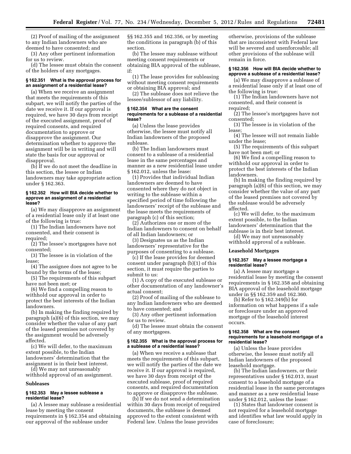(2) Proof of mailing of the assignment to any Indian landowners who are deemed to have consented; and

(3) Any other pertinent information for us to review.

(d) The lessee must obtain the consent of the holders of any mortgages.

# **§ 162.351 What is the approval process for an assignment of a residential lease?**

(a) When we receive an assignment that meets the requirements of this subpart, we will notify the parties of the date we receive it. If our approval is required, we have 30 days from receipt of the executed assignment, proof of required consents, and required documentation to approve or disapprove the assignment. Our determination whether to approve the assignment will be in writing and will state the basis for our approval or disapproval.

(b) If we do not meet the deadline in this section, the lessee or Indian landowners may take appropriate action under § 162.363.

# **§ 162.352 How will BIA decide whether to approve an assignment of a residential lease?**

(a) We may disapprove an assignment of a residential lease only if at least one of the following is true:

(1) The Indian landowners have not consented, and their consent is required;

(2) The lessee's mortgagees have not consented;

(3) The lessee is in violation of the lease;

(4) The assignee does not agree to be bound by the terms of the lease;

(5) The requirements of this subpart have not been met; or

(6) We find a compelling reason to withhold our approval in order to protect the best interests of the Indian landowners.

(b) In making the finding required by paragraph (a)(6) of this section, we may consider whether the value of any part of the leased premises not covered by the assignment would be adversely affected.

(c) We will defer, to the maximum extent possible, to the Indian landowners' determination that the assignment is in their best interest.

(d) We may not unreasonably withhold approval of an assignment.

#### **Subleases**

# **§ 162.353 May a lessee sublease a residential lease?**

(a) A lessee may sublease a residential lease by meeting the consent requirements in § 162.354 and obtaining our approval of the sublease under

§§ 162.355 and 162.356, or by meeting the conditions in paragraph (b) of this section.

(b) The lessee may sublease without meeting consent requirements or obtaining BIA approval of the sublease, if:

(1) The lease provides for subleasing without meeting consent requirements or obtaining BIA approval; and

(2) The sublease does not relieve the lessee/sublessor of any liability.

# **§ 162.354 What are the consent requirements for a sublease of a residential lease?**

(a) Unless the lease provides otherwise, the lessee must notify all Indian landowners of the proposed sublease.

(b) The Indian landowners must consent to a sublease of a residential lease in the same percentages and manner as a new residential lease under § 162.012, unless the lease:

(1) Provides that individual Indian landowners are deemed to have consented where they do not object in writing to the sublease within a specified period of time following the landowners' receipt of the sublease and the lease meets the requirements of paragraph (c) of this section;

(2) Authorizes one or more of the Indian landowners to consent on behalf of all Indian landowners; or

(3) Designates us as the Indian landowners' representative for the purposes of consenting to a sublease.

(c) If the lease provides for deemed consent under paragraph (b)(1) of this section, it must require the parties to submit to us:

(1) A copy of the executed sublease or other documentation of any landowner's actual consent;

(2) Proof of mailing of the sublease to any Indian landowners who are deemed to have consented; and

(3) Any other pertinent information for us to review.

(d) The lessee must obtain the consent of any mortgagees.

#### **§ 162.355 What is the approval process for a sublease of a residential lease?**

(a) When we receive a sublease that meets the requirements of this subpart, we will notify the parties of the date we receive it. If our approval is required, we have 30 days from receipt of the executed sublease, proof of required consents, and required documentation to approve or disapprove the sublease.

(b) If we do not send a determination within 30 days from receipt of required documents, the sublease is deemed approved to the extent consistent with Federal law. Unless the lease provides

otherwise, provisions of the sublease that are inconsistent with Federal law will be severed and unenforceable; all other provisions of the sublease will remain in force.

#### **§ 162.356 How will BIA decide whether to approve a sublease of a residential lease?**

(a) We may disapprove a sublease of a residential lease only if at least one of the following is true:

(1) The Indian landowners have not consented, and their consent is required;

(2) The lessee's mortgagees have not consented;

(3) The lessee is in violation of the lease;

(4) The lessee will not remain liable under the lease;

(5) The requirements of this subpart have not been met; or

(6) We find a compelling reason to withhold our approval in order to protect the best interests of the Indian landowners.

(b) In making the finding required by paragraph (a)(6) of this section, we may consider whether the value of any part of the leased premises not covered by the sublease would be adversely affected.

(c) We will defer, to the maximum extent possible, to the Indian landowners' determination that the sublease is in their best interest.

(d) We may not unreasonably withhold approval of a sublease.

#### **Leasehold Mortgages**

# **§ 162.357 May a lessee mortgage a residential lease?**

(a) A lessee may mortgage a residential lease by meeting the consent requirements in § 162.358 and obtaining BIA approval of the leasehold mortgage under in §§ 162.359 and 162.360.

(b) Refer to § 162.349(b) for information on what happens if a sale or foreclosure under an approved mortgage of the leasehold interest occurs.

#### **§ 162.358 What are the consent requirements for a leasehold mortgage of a residential lease?**

(a) Unless the lease provides otherwise, the lessee must notify all Indian landowners of the proposed leasehold mortgage.

(b) The Indian landowners, or their representatives under § 162.013, must consent to a leasehold mortgage of a residential lease in the same percentages and manner as a new residential lease under § 162.012, unless the lease:

(1) States that landowner consent is not required for a leasehold mortgage and identifies what law would apply in case of foreclosure;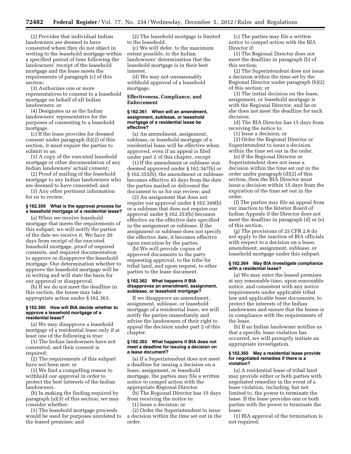(2) Provides that individual Indian landowners are deemed to have consented where they do not object in writing to the leasehold mortgage within a specified period of time following the landowners' receipt of the leasehold mortgage and the lease meets the requirements of paragraph (c) of this section;

(3) Authorizes one or more representatives to consent to a leasehold mortgage on behalf of all Indian landowners; or

(4) Designates us as the Indian landowners' representative for the purposes of consenting to a leasehold mortgage.

(c) If the lease provides for deemed consent under paragraph (b)(2) of this section, it must require the parties to submit to us:

(1) A copy of the executed leasehold mortgage or other documentation of any Indian landowners' actual consent;

(2) Proof of mailing of the leasehold mortgage to any Indian landowners who are deemed to have consented; and

(3) Any other pertinent information for us to review.

# **§ 162.359 What is the approval process for a leasehold mortgage of a residential lease?**

(a) When we receive leasehold mortgage that meets the requirements of this subpart, we will notify the parties of the date we receive it. We have 20 days from receipt of the executed leasehold mortgage, proof of required consents, and required documentation to approve or disapprove the leasehold mortgage. Our determination whether to approve the leasehold mortgage will be in writing and will state the basis for our approval or disapproval.

(b) If we do not meet the deadline in this section, the lessee may take appropriate action under § 162.363.

#### **§ 162.360 How will BIA decide whether to approve a leasehold mortgage of a residential lease?**

(a) We may disapprove a leasehold mortgage of a residential lease only if at least one of the following is true:

(1) The Indian landowners have not consented, and their consent is required;

(2) The requirements of this subpart have not been met; or

(3) We find a compelling reason to withhold our approval in order to protect the best interests of the Indian landowners.

(b) In making the finding required by paragraph (a)(3) of this section, we may consider whether:

(1) The leasehold mortgage proceeds would be used for purposes unrelated to the leased premises; and

(2) The leasehold mortgage is limited to the leasehold.

(c) We will defer, to the maximum extent possible, to the Indian landowners' determination that the leasehold mortgage is in their best interest.

(d) We may not unreasonably withhold approval of a leasehold mortgage.

# **Effectiveness, Compliance, and Enforcement**

#### **§ 162.361 When will an amendment, assignment, sublease, or leasehold mortgage of a residential lease be effective?**

(a) An amendment, assignment, sublease, or leasehold mortgage of a residential lease will be effective when approved, even if an appeal is filed under part 2 of this chapter, except:

(1) If the amendment or sublease was deemed approved under § 162.347(b) or § 162.355(b), the amendment or sublease becomes effective 45 days from the date the parties mailed or delivered the document to us for our review; and

(2) An assignment that does not require our approval under § 162.349(b) or a sublease that does not require our approval under § 162.353(b) becomes effective on the effective date specified in the assignment or sublease. If the assignment or sublease does not specify the effective date, it becomes effective upon execution by the parties.

(b) We will provide copies of approved documents to the party requesting approval, to the tribe for tribal land, and upon request, to other parties to the lease document.

#### **§ 162.362 What happens if BIA disapproves an amendment, assignment, sublease, or leasehold mortgage?**

If we disapprove an amendment, assignment, sublease, or leasehold mortgage of a residential lease, we will notify the parties immediately and advise the landowners of their right to appeal the decision under part 2 of this chapter.

#### **§ 162.363 What happens if BIA does not meet a deadline for issuing a decision on a lease document?**

(a) If a Superintendent does not meet a deadline for issuing a decision on a lease, assignment, or leasehold mortgage, the parties may file a written notice to compel action with the appropriate Regional Director.

(b) The Regional Director has 15 days from receiving the notice to:

(1) Issue a decision; or

(2) Order the Superintendent to issue a decision within the time set out in the order.

(c) The parties may file a written notice to compel action with the BIA Director if:

(1) The Regional Director does not meet the deadline in paragraph (b) of this section;

(2) The Superintendent does not issue a decision within the time set by the Regional Director under paragraph (b)(2) of this section; or

(3) The initial decision on the lease, assignment, or leasehold mortgage is with the Regional Director, and he or she does not meet the deadline for such decision.

(d) The BIA Director has 15 days from receiving the notice to:

(1) Issue a decision; or

(2) Order the Regional Director or Superintendent to issue a decision within the time set out in the order.

(e) If the Regional Director or Superintendent does not issue a decision within the time set out in the order under paragraph (d)(2) of this section, then the BIA Director must issue a decision within 15 days from the expiration of the time set out in the order.

(f) The parties may file an appeal from our inaction to the Interior Board of Indian Appeals if the Director does not meet the deadline in paragraph (d) or (e) of this section.

(g) The provisions of 25 CFR 2.8 do not apply to the inaction of BIA officials with respect to a decision on a lease, amendment, assignment, sublease, or leasehold mortgage under this subpart.

#### **§ 162.364 May BIA investigate compliance with a residential lease?**

(a) We may enter the leased premises at any reasonable time, upon reasonable notice, and consistent with any notice requirements under applicable tribal law and applicable lease documents, to protect the interests of the Indian landowners and ensure that the lessee is in compliance with the requirements of the lease.

(b) If an Indian landowner notifies us that a specific lease violation has occurred, we will promptly initiate an appropriate investigation.

#### **§ 162.365 May a residential lease provide for negotiated remedies if there is a violation?**

(a) A residential lease of tribal land may provide either or both parties with negotiated remedies in the event of a lease violation, including, but not limited to, the power to terminate the lease. If the lease provides one or both parties with the power to terminate the lease:

(1) BIA approval of the termination is not required;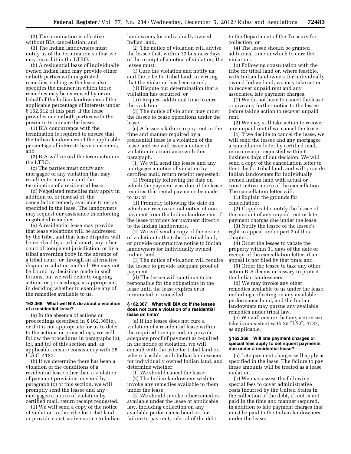(2) The termination is effective without BIA cancellation; and

(3) The Indian landowners must notify us of the termination so that we may record it in the LTRO.

(b) A residential lease of individually owned Indian land may provide either or both parties with negotiated remedies, so long as the lease also specifies the manner in which those remedies may be exercised by or on behalf of the Indian landowners of the applicable percentage of interests under § 162.012 of this part. If the lease provides one or both parties with the power to terminate the lease:

(1) BIA concurrence with the termination is required to ensure that the Indian landowners of the applicable percentage of interests have consented; and

(2) BIA will record the termination in the LTRO.

(c) The parties must notify any mortgagee of any violation that may result in termination and the termination of a residential lease.

(d) Negotiated remedies may apply in addition to, or instead of, the cancellation remedy available to us, as specified in the lease. The landowners may request our assistance in enforcing negotiated remedies.

(e) A residential lease may provide that lease violations will be addressed by the tribe, and that lease disputes will be resolved by a tribal court, any other court of competent jurisdiction, or by a tribal governing body in the absence of a tribal court, or through an alternative dispute resolution method. We may not be bound by decisions made in such forums, but we will defer to ongoing actions or proceedings, as appropriate, in deciding whether to exercise any of the remedies available to us.

# **162.366 What will BIA do about a violation of a residential lease?**

(a) In the absence of actions or proceedings described in § 162.365(e), or if it is not appropriate for us to defer to the actions or proceedings, we will follow the procedures in paragraphs (b), (c), and (d) of this section and, as applicable, ensure consistency with 25 U.S.C. 4137.

(b) If we determine there has been a violation of the conditions of a residential lease other than a violation of payment provisions covered by paragraph (c) of this section, we will promptly send the lessee and any mortgagee a notice of violation by certified mail, return receipt requested.

(1) We will send a copy of the notice of violation to the tribe for tribal land, or provide constructive notice to Indian landowners for individually owned Indian land.

(2) The notice of violation will advise the lessee that, within 10 business days of the receipt of a notice of violation, the lessee must:

(i) Cure the violation and notify us, and the tribe for tribal land, in writing that the violation has been cured;

(ii) Dispute our determination that a violation has occurred; or

(iii) Request additional time to cure the violation.

(3) The notice of violation may order the lessee to cease operations under the lease.

(c) A lessee's failure to pay rent in the time and manner required by a residential lease is a violation of the lease, and we will issue a notice of violation in accordance with this paragraph.

(1) We will send the lessee and any mortgagee a notice of violation by certified mail, return receipt requested:

(i) Promptly following the date on which the payment was due, if the lease requires that rental payments be made to us; or

(ii) Promptly following the date on which we receive actual notice of nonpayment from the Indian landowners, if the lease provides for payment directly to the Indian landowners.

(2) We will send a copy of the notice of violation to the tribe for tribal land, or provide constructive notice to Indian landowners for individually owned Indian land.

(3) The notice of violation will require the lessee to provide adequate proof of payment.

(d) The lessee will continue to be responsible for the obligations in the lease until the lease expires or is terminated or cancelled.

#### **§ 162.367 What will BIA do if the lessee does not cure a violation of a residential lease on time?**

(a) If the lessee does not cure a violation of a residential lease within the required time period, or provide adequate proof of payment as required in the notice of violation, we will consult with the tribe for tribal land or, where feasible, with Indian landowners for individually owned Indian land, and determine whether:

(1) We should cancel the lease;

(2) The Indian landowners wish to invoke any remedies available to them under the lease;

(3) We should invoke other remedies available under the lease or applicable law, including collection on any available performance bond or, for failure to pay rent, referral of the debt

to the Department of the Treasury for collection; or

(4) The lessee should be granted additional time in which to cure the violation.

(b) Following consultation with the tribe for tribal land or, where feasible, with Indian landowners for individually owned Indian land, we may take action to recover unpaid rent and any associated late payment charges.

(1) We do not have to cancel the lease or give any further notice to the lessee before taking action to recover unpaid rent.

(2) We may still take action to recover any unpaid rent if we cancel the lease.

(c) If we decide to cancel the lease, we will send the lessee and any mortgagee a cancellation letter by certified mail, return receipt requested within 5 business days of our decision. We will send a copy of the cancellation letter to the tribe for tribal land, and will provide Indian landowners for individually owned Indian land with actual or constructive notice of the cancellation. The cancellation letter will:

(1) Explain the grounds for cancellation;

(2) If applicable, notify the lessee of the amount of any unpaid rent or late payment charges due under the lease;

(3) Notify the lessee of the lessee's right to appeal under part 2 of this chapter;

(4) Order the lessee to vacate the property within 31 days of the date of receipt of the cancellation letter, if an appeal is not filed by that time; and

(5) Order the lessee to take any other action BIA deems necessary to protect the Indian landowners.

(d) We may invoke any other remedies available to us under the lease, including collecting on any available performance bond, and the Indian landowners may pursue any available remedies under tribal law.

(e) We will ensure that any action we take is consistent with 25 U.S.C. 4137, as applicable.

#### **§ 162.368 Will late payment charges or special fees apply to delinquent payments due under a residential lease?**

(a) Late payment charges will apply as specified in the lease. The failure to pay these amounts will be treated as a lease violation.

(b) We may assess the following special fees to cover administrative costs incurred by the United States in the collection of the debt, if rent is not paid in the time and manner required, in addition to late payment charges that must be paid to the Indian landowners under the lease: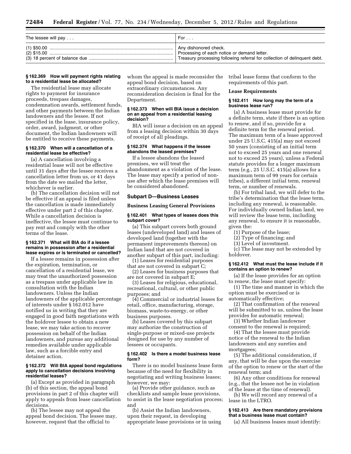| The lessee will pay | For                                                                       |  |
|---------------------|---------------------------------------------------------------------------|--|
|                     | Any dishonored check.                                                     |  |
|                     | Processing of each notice or demand letter.                               |  |
|                     | Treasury processing following referral for collection of delinquent debt. |  |

#### **§ 162.369 How will payment rights relating to a residential lease be allocated?**

The residential lease may allocate rights to payment for insurance proceeds, trespass damages, condemnation awards, settlement funds, and other payments between the Indian landowners and the lessee. If not specified in the lease, insurance policy, order, award, judgment, or other document, the Indian landowners will be entitled to receive these payments.

# **§ 162.370 When will a cancellation of a residential lease be effective?**

(a) A cancellation involving a residential lease will not be effective until 31 days after the lessee receives a cancellation letter from us, or 41 days from the date we mailed the letter, whichever is earlier.

(b) The cancellation decision will not be effective if an appeal is filed unless the cancellation is made immediately effective under part 2 of this chapter. While a cancellation decision is ineffective, the lessee must continue to pay rent and comply with the other terms of the lease.

# **§ 162.371 What will BIA do if a lessee remains in possession after a residential lease expires or is terminated or cancelled?**

If a lessee remains in possession after the expiration, termination, or cancellation of a residential lease, we may treat the unauthorized possession as a trespass under applicable law in consultation with the Indian landowners. Unless the Indian landowners of the applicable percentage of interests under § 162.012 have notified us in writing that they are engaged in good faith negotiations with the holdover lessee to obtain a new lease, we may take action to recover possession on behalf of the Indian landowners, and pursue any additional remedies available under applicable law, such as a forcible entry and detainer action.

#### **§ 162.372 Will BIA appeal bond regulations apply to cancellation decisions involving residential leases?**

(a) Except as provided in paragraph (b) of this section, the appeal bond provisions in part 2 of this chapter will apply to appeals from lease cancellation decisions.

(b) The lessee may not appeal the appeal bond decision. The lessee may, however, request that the official to

whom the appeal is made reconsider the appeal bond decision, based on extraordinary circumstances. Any reconsideration decision is final for the Department.

# **§ 162.373 When will BIA issue a decision on an appeal from a residential leasing decision?**

BIA will issue a decision on an appeal from a leasing decision within 30 days of receipt of all pleadings.

#### **§ 162.374 What happens if the lessee abandons the leased premises?**

If a lessee abandons the leased premises, we will treat the abandonment as a violation of the lease. The lease may specify a period of nonuse after which the lease premises will be considered abandoned.

# **Subpart D—Business Leases**

#### **Business Leasing General Provisions**

#### **§ 162.401 What types of leases does this subpart cover?**

(a) This subpart covers both ground leases (undeveloped land) and leases of developed land (together with the permanent improvements thereon) on Indian land that are not covered in another subpart of this part, including:

(1) Leases for residential purposes that are not covered in subpart C;

(2) Leases for business purposes that are not covered in subpart E;

(3) Leases for religious, educational, recreational, cultural, or other public purposes; and

(4) Commercial or industrial leases for retail, office, manufacturing, storage, biomass, waste-to-energy, or other business purposes.

(b) Leases covered by this subpart may authorize the construction of single-purpose or mixed-use projects designed for use by any number of lessees or occupants.

#### **§ 162.402 Is there a model business lease form?**

There is no model business lease form because of the need for flexibility in negotiating and writing business leases; however, we may:

(a) Provide other guidance, such as checklists and sample lease provisions, to assist in the lease negotiation process; and

(b) Assist the Indian landowners, upon their request, in developing appropriate lease provisions or in using tribal lease forms that conform to the requirements of this part.

# **Lease Requirements**

# **§ 162.411 How long may the term of a business lease run?**

(a) A business lease must provide for a definite term, state if there is an option to renew, and if so, provide for a definite term for the renewal period. The maximum term of a lease approved under 25 U.S.C. 415(a) may not exceed 50 years (consisting of an initial term not to exceed 25 years and one renewal not to exceed 25 years), unless a Federal statute provides for a longer maximum term (e.g., 25 U.S.C. 415(a) allows for a maximum term of 99 years for certain tribes), a different initial term, renewal term, or number of renewals.

(b) For tribal land, we will defer to the tribe's determination that the lease term, including any renewal, is reasonable. For individually owned Indian land, we will review the lease term, including any renewal, to ensure it is reasonable, given the:

- (1) Purpose of the lease;
	- (2) Type of financing; and
	- (3) Level of investment.

(c) The lease may not be extended by holdover.

# **§ 162.412 What must the lease include if it contains an option to renew?**

(a) If the lease provides for an option to renew, the lease must specify:

(1) The time and manner in which the option must be exercised or is automatically effective;

(2) That confirmation of the renewal will be submitted to us, unless the lease provides for automatic renewal;

(3) Whether Indian landowner consent to the renewal is required;

(4) That the lessee must provide notice of the renewal to the Indian landowners and any sureties and mortgagees;

(5) The additional consideration, if any, that will be due upon the exercise of the option to renew or the start of the renewal term; and

(6) Any other conditions for renewal (e.g., that the lessee not be in violation of the lease at the time of renewal).

(b) We will record any renewal of a lease in the LTRO.

# **§ 162.413 Are there mandatory provisions that a business lease must contain?**

(a) All business leases must identify: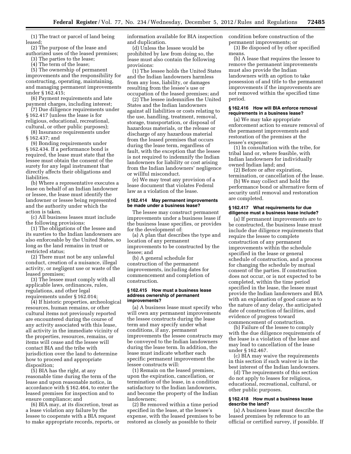(1) The tract or parcel of land being leased;

(2) The purpose of the lease and authorized uses of the leased premises;

(3) The parties to the lease;

(4) The term of the lease;

(5) The ownership of permanent improvements and the responsibility for constructing, operating, maintaining, and managing permanent improvements under § 162.415;

(6) Payment requirements and late payment charges, including interest;

(7) Due diligence requirements under § 162.417 (unless the lease is for religious, educational, recreational, cultural, or other public purposes);

(8) Insurance requirements under

§ 162.437; and

(9) Bonding requirements under § 162.434. If a performance bond is required, the lease must state that the lessee must obtain the consent of the surety for any legal instrument that directly affects their obligations and liabilities.

(b) Where a representative executes a lease on behalf of an Indian landowner or lessee, the lease must identify the landowner or lessee being represented and the authority under which the action is taken.

(c) All business leases must include the following provisions:

(1) The obligations of the lessee and its sureties to the Indian landowners are also enforceable by the United States, so long as the land remains in trust or restricted status;

(2) There must not be any unlawful conduct, creation of a nuisance, illegal activity, or negligent use or waste of the leased premises;

(3) The lessee must comply with all applicable laws, ordinances, rules, regulations, and other legal requirements under § 162.014;

(4) If historic properties, archeological resources, human remains, or other cultural items not previously reported are encountered during the course of any activity associated with this lease, all activity in the immediate vicinity of the properties, resources, remains, or items will cease and the lessee will contact BIA and the tribe with jurisdiction over the land to determine how to proceed and appropriate disposition;

(5) BIA has the right, at any reasonable time during the term of the lease and upon reasonable notice, in accordance with § 162.464, to enter the leased premises for inspection and to ensure compliance; and

(6) BIA may, at its discretion, treat as a lease violation any failure by the lessee to cooperate with a BIA request to make appropriate records, reports, or information available for BIA inspection and duplication.

(d) Unless the lessee would be prohibited by law from doing so, the lease must also contain the following provisions:

(1) The lessee holds the United States and the Indian landowners harmless from any loss, liability, or damages resulting from the lessee's use or occupation of the leased premises; and

(2) The lessee indemnifies the United States and the Indian landowners against all liabilities or costs relating to the use, handling, treatment, removal, storage, transportation, or disposal of hazardous materials, or the release or discharge of any hazardous material from the leased premises that occurs during the lease term, regardless of fault, with the exception that the lessee is not required to indemnify the Indian landowners for liability or cost arising from the Indian landowners' negligence or willful misconduct.

(e) We may treat any provision of a lease document that violates Federal law as a violation of the lease.

#### **§ 162.414 May permanent improvements be made under a business lease?**

The lessee may construct permanent improvements under a business lease if the business lease specifies, or provides for the development of:

(a) A plan that describes the type and location of any permanent improvements to be constructed by the lessee; and

(b) A general schedule for construction of the permanent improvements, including dates for commencement and completion of construction.

#### **§ 162.415 How must a business lease address ownership of permanent improvements?**

(a) A business lease must specify who will own any permanent improvements the lessee constructs during the lease term and may specify under what conditions, if any, permanent improvements the lessee constructs may be conveyed to the Indian landowners during the lease term. In addition, the lease must indicate whether each specific permanent improvement the lessee constructs will:

(1) Remain on the leased premises, upon the expiration, cancellation, or termination of the lease, in a condition satisfactory to the Indian landowners, and become the property of the Indian landowners;

(2) Be removed within a time period specified in the lease, at the lessee's expense, with the leased premises to be restored as closely as possible to their

condition before construction of the permanent improvements; or (3) Be disposed of by other specified means.

(b) A lease that requires the lessee to remove the permanent improvements must also provide the Indian landowners with an option to take possession of and title to the permanent improvements if the improvements are not removed within the specified time period.

# **§ 162.416 How will BIA enforce removal requirements in a business lease?**

(a) We may take appropriate enforcement action to ensure removal of the permanent improvements and restoration of the premises at the lessee's expense:

(1) In consultation with the tribe, for tribal land or, where feasible, with Indian landowners for individually owned Indian land; and

(2) Before or after expiration, termination, or cancellation of the lease.

(b) We may collect and hold the performance bond or alternative form of security until removal and restoration are completed.

# **§ 162.417 What requirements for due diligence must a business lease include?**

(a) If permanent improvements are to be constructed, the business lease must include due diligence requirements that require the lessee to complete construction of any permanent improvements within the schedule specified in the lease or general schedule of construction, and a process for changing the schedule by mutual consent of the parties. If construction does not occur, or is not expected to be completed, within the time period specified in the lease, the lessee must provide the Indian landowners and BIA with an explanation of good cause as to the nature of any delay, the anticipated date of construction of facilities, and evidence of progress toward commencement of construction.

(b) Failure of the lessee to comply with the due diligence requirements of the lease is a violation of the lease and may lead to cancellation of the lease under § 162.467.

(c) BIA may waive the requirements in this section if such waiver is in the best interest of the Indian landowners.

(d) The requirements of this section do not apply to leases for religious, educational, recreational, cultural, or other public purposes.

# **§ 162.418 How must a business lease describe the land?**

(a) A business lease must describe the leased premises by reference to an official or certified survey, if possible. If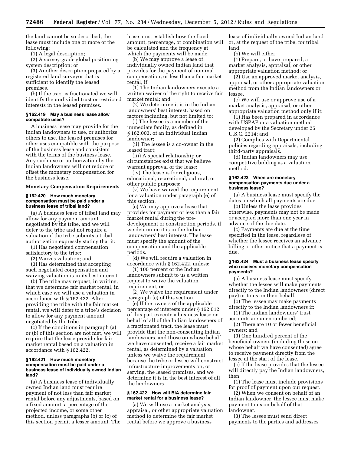the land cannot be so described, the lease must include one or more of the following:

(1) A legal description;

(2) A survey-grade global positioning system description; or

(3) Another description prepared by a registered land surveyor that is sufficient to identify the leased premises.

(b) If the tract is fractionated we will identify the undivided trust or restricted interests in the leased premises.

#### **§ 162.419 May a business lease allow compatible uses?**

A business lease may provide for the Indian landowners to use, or authorize others to use, the leased premises for other uses compatible with the purpose of the business lease and consistent with the terms of the business lease. Any such use or authorization by the Indian landowners will not reduce or offset the monetary compensation for the business lease.

#### **Monetary Compensation Requirements**

#### **§ 162.420 How much monetary compensation must be paid under a business lease of tribal land?**

(a) A business lease of tribal land may allow for any payment amount negotiated by the tribe, and we will defer to the tribe and not require a valuation if the tribe submits a tribal authorization expressly stating that it:

(1) Has negotiated compensation

satisfactory to the tribe;

(2) Waives valuation; and (3) Has determined that accepting such negotiated compensation and

waiving valuation is in its best interest. (b) The tribe may request, in writing, that we determine fair market rental, in which case we will use a valuation in accordance with § 162.422. After providing the tribe with the fair market rental, we will defer to a tribe's decision to allow for any payment amount negotiated by the tribe.

(c) If the conditions in paragraph (a) or (b) of this section are not met, we will require that the lease provide for fair market rental based on a valuation in accordance with § 162.422.

#### **§ 162.421 How much monetary compensation must be paid under a business lease of individually owned Indian land?**

(a) A business lease of individually owned Indian land must require payment of not less than fair market rental before any adjustments, based on a fixed amount, a percentage of the projected income, or some other method, unless paragraphs (b) or (c) of this section permit a lesser amount. The lease must establish how the fixed amount, percentage, or combination will be calculated and the frequency at which the payments will be made.

(b) We may approve a lease of individually owned Indian land that provides for the payment of nominal compensation, or less than a fair market rental if<sup>.</sup>

(1) The Indian landowners execute a written waiver of the right to receive fair market rental; and

(2) We determine it is in the Indian landowners' best interest, based on factors including, but not limited to:

(i) The lessee is a member of the immediate family, as defined in § 162.003, of an individual Indian landowner;

(ii) The lessee is a co-owner in the leased tract;

(iii) A special relationship or circumstances exist that we believe warrant approval of the lease;

(iv) The lease is for religious, educational, recreational, cultural, or other public purposes;

(v) We have waived the requirement for a valuation under paragraph (e) of this section.

(c) We may approve a lease that provides for payment of less than a fair market rental during the predevelopment or construction periods, if we determine it is in the Indian landowners' best interest. The lease must specify the amount of the compensation and the applicable periods.

(d) We will require a valuation in accordance with § 162.422, unless:

(1) 100 percent of the Indian landowners submit to us a written request to waive the valuation requirement; or

(2) We waive the requirement under paragraph (e) of this section.

(e) If the owners of the applicable percentage of interests under § 162.012 of this part execute a business lease on behalf of all of the Indian landowners of a fractionated tract, the lease must provide that the non-consenting Indian landowners, and those on whose behalf we have consented, receive a fair market rental, as determined by a valuation, unless we waive the requirement because the tribe or lessee will construct infrastructure improvements on, or serving, the leased premises, and we determine it is in the best interest of all the landowners.

# **§ 162.422 How will BIA determine fair market rental for a business lease?**

(a) We will use a market analysis, appraisal, or other appropriate valuation method to determine the fair market rental before we approve a business

lease of individually owned Indian land or, at the request of the tribe, for tribal land.

(b) We will either:

(1) Prepare, or have prepared, a market analysis, appraisal, or other appropriate valuation method; or

(2) Use an approved market analysis, appraisal, or other appropriate valuation method from the Indian landowners or lessee.

(c) We will use or approve use of a market analysis, appraisal, or other appropriate valuation method only if it:

(1) Has been prepared in accordance with USPAP or a valuation method developed by the Secretary under 25 U.S.C. 2214; and

(2) Complies with Departmental policies regarding appraisals, including third-party appraisals.

(d) Indian landowners may use competitive bidding as a valuation method.

# **§ 162.423 When are monetary compensation payments due under a business lease?**

(a) A business lease must specify the dates on which all payments are due.

(b) Unless the lease provides otherwise, payments may not be made or accepted more than one year in advance of the due date.

(c) Payments are due at the time specified in the lease, regardless of whether the lessee receives an advance billing or other notice that a payment is due.

#### **§ 162.424 Must a business lease specify who receives monetary compensation payments?**

(a) A business lease must specify whether the lessee will make payments directly to the Indian landowners (direct pay) or to us on their behalf.

(b) The lessee may make payments directly to the Indian landowners if:

(1) The Indian landowners' trust accounts are unencumbered;

(2) There are 10 or fewer beneficial owners; and

(3) One hundred percent of the beneficial owners (including those on whose behalf we have consented) agree to receive payment directly from the lessee at the start of the lease.

(c) If the lease provides that the lessee will directly pay the Indian landowners, then:

(1) The lease must include provisions for proof of payment upon our request.

(2) When we consent on behalf of an Indian landowner, the lessee must make payment to us on behalf of that landowner.

(3) The lessee must send direct payments to the parties and addresses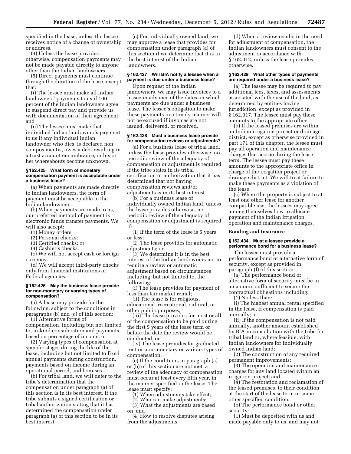specified in the lease, unless the lessee receives notice of a change of ownership or address.

(4) Unless the lease provides otherwise, compensation payments may not be made payable directly to anyone other than the Indian landowners.

(5) Direct payments must continue through the duration of the lease, except that:

(i) The lessee must make all Indian landowners' payments to us if 100 percent of the Indian landowners agree to suspend direct pay and provide us with documentation of their agreement; and

(ii) The lessee must make that individual Indian landowner's payment to us if any individual Indian landowner who dies, is declared non compos mentis, owes a debt resulting in a trust account encumbrance, or his or her whereabouts become unknown.

#### **§ 162.425 What form of monetary compensation payment is acceptable under a business lease?**

(a) When payments are made directly to Indian landowners, the form of payment must be acceptable to the Indian landowners.

(b) When payments are made to us, our preferred method of payment is electronic funds transfer payments. We will also accept:

- (1) Money orders;
- (2) Personal checks;
- (3) Certified checks; or
- (4) Cashier's checks.

(c) We will not accept cash or foreign currency.

(d) We will accept third-party checks only from financial institutions or Federal agencies.

#### **§ 162.426 May the business lease provide for non-monetary or varying types of compensation?**

(a) A lease may provide for the following, subject to the conditions in paragraphs (b) and (c) of this section:

(1) Alternative forms of compensation, including but not limited to, in-kind consideration and payments based on percentage of income; or

(2) Varying types of compensation at specific stages during the life of the lease, including but not limited to fixed annual payments during construction, payments based on income during an operational period, and bonuses.

(b) For tribal land, we will defer to the tribe's determination that the compensation under paragraph (a) of this section is in its best interest, if the tribe submits a signed certification or tribal authorization stating that it has determined the compensation under paragraph (a) of this section to be in its best interest.

(c) For individually owned land, we may approve a lease that provides for compensation under paragraph (a) of this section if we determine that it is in the best interest of the Indian landowners.

# **§ 162.427 Will BIA notify a lessee when a payment is due under a business lease?**

Upon request of the Indian landowners, we may issue invoices to a lessee in advance of the dates on which payments are due under a business lease. The lessee's obligation to make these payments in a timely manner will not be excused if invoices are not issued, delivered, or received.

#### **§ 162.428 Must a business lease provide for compensation reviews or adjustments?**

(a) For a business lease of tribal land, unless the lease provides otherwise, no periodic review of the adequacy of compensation or adjustment is required if the tribe states in its tribal certification or authorization that it has determined that not having compensation reviews and/or adjustments is in its best interest.

(b) For a business lease of

individually owned Indian land, unless the lease provides otherwise, no periodic review of the adequacy of compensation or adjustment is required if:

(1) If the term of the lease is 5 years or less;

(2) The lease provides for automatic adjustments; or

(3) We determine it is in the best interest of the Indian landowners not to require a review or automatic adjustment based on circumstances including, but not limited to, the following:

(i) The lease provides for payment of less than fair market rental;

(ii) The lease is for religious, educational, recreational, cultural, or other public purposes;

(iii) The lease provides for most or all of the compensation to be paid during the first 5 years of the lease term or before the date the review would be conducted; or

(iv) The lease provides for graduated rent or non-monetary or various types of compensation.

(c) If the conditions in paragraph (a) or (b) of this section are not met, a review of the adequacy of compensation must occur at least every fifth year, in the manner specified in the lease. The lease must specify:

(1) When adjustments take effect;

(2) Who can make adjustments;

(3) What the adjustments are based on; and

(4) How to resolve disputes arising from the adjustments.

(d) When a review results in the need for adjustment of compensation, the Indian landowners must consent to the adjustment in accordance with § 162.012, unless the lease provides otherwise.

#### **§ 162.429 What other types of payments are required under a business lease?**

(a) The lessee may be required to pay additional fees, taxes, and assessments associated with the use of the land, as determined by entities having jurisdiction, except as provided in § 162.017. The lessee must pay these amounts to the appropriate office.

(b) If the leased premises are within an Indian irrigation project or drainage district, except as otherwise provided in part 171 of this chapter, the lessee must pay all operation and maintenance charges that accrue during the lease term. The lessee must pay these amounts to the appropriate office in charge of the irrigation project or drainage district. We will treat failure to make these payments as a violation of the lease.

(c) Where the property is subject to at least one other lease for another compatible use, the lessees may agree among themselves how to allocate payment of the Indian irrigation operation and maintenance charges.

# **Bonding and Insurance**

# **§ 162.434 Must a lessee provide a performance bond for a business lease?**

The lessee must provide a performance bond or alternative form of security, except as provided in paragraph (f) of this section.

(a) The performance bond or alternative form of security must be in an amount sufficient to secure the contractual obligations including:

(1) No less than:

(i) The highest annual rental specified in the lease, if compensation is paid annually; or

(ii) If the compensation is not paid annually, another amount established by BIA in consultation with the tribe for tribal land or, where feasible, with Indian landowners for individually owned Indian land;

(2) The construction of any required permanent improvements;

(3) The operation and maintenance charges for any land located within an irrigation project; and

(4) The restoration and reclamation of the leased premises, to their condition at the start of the lease term or some other specified condition.

(b) The performance bond or other security:

(1) Must be deposited with us and made payable only to us, and may not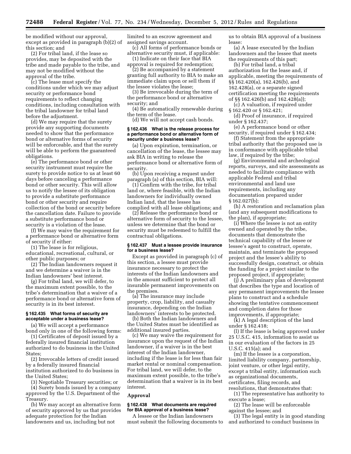be modified without our approval, except as provided in paragraph (b)(2) of this section; and

(2) For tribal land, if the lease so provides, may be deposited with the tribe and made payable to the tribe, and may not be modified without the approval of the tribe.

(c) The lease must specify the conditions under which we may adjust security or performance bond requirements to reflect changing conditions, including consultation with the tribal landowner for tribal land before the adjustment.

(d) We may require that the surety provide any supporting documents needed to show that the performance bond or alternative forms of security will be enforceable, and that the surety will be able to perform the guaranteed obligations.

(e) The performance bond or other security instrument must require the surety to provide notice to us at least 60 days before canceling a performance bond or other security. This will allow us to notify the lessee of its obligation to provide a substitute performance bond or other security and require collection of the bond or security before the cancellation date. Failure to provide a substitute performance bond or security is a violation of the lease.

(f) We may waive the requirement for a performance bond or alternative form of security if either:

(1) The lease is for religious, educational, recreational, cultural, or other public purposes; or

(2) The Indian landowners request it and we determine a waiver is in the Indian landowners' best interest.

(g) For tribal land, we will defer, to the maximum extent possible, to the tribe's determination that a waiver of a performance bond or alternative form of security is in its best interest.

# **§ 162.435 What forms of security are acceptable under a business lease?**

(a) We will accept a performance bond only in one of the following forms:

(1) Certificates of deposit issued by a federally insured financial institution authorized to do business in the United States;

(2) Irrevocable letters of credit issued by a federally insured financial institution authorized to do business in the United States;

(3) Negotiable Treasury securities; or

(4) Surety bonds issued by a company approved by the U.S. Department of the Treasury.

(b) We may accept an alternative form of security approved by us that provides adequate protection for the Indian landowners and us, including but not

limited to an escrow agreement and assigned savings account.

(c) All forms of performance bonds or alternative security must, if applicable:

(1) Indicate on their face that BIA approval is required for redemption;

(2) Be accompanied by a statement granting full authority to BIA to make an immediate claim upon or sell them if the lessee violates the lease;

(3) Be irrevocable during the term of the performance bond or alternative security; and

(4) Be automatically renewable during the term of the lease.

(d) We will not accept cash bonds.

# **§ 162.436 What is the release process for a performance bond or alternative form of security under a business lease?**

(a) Upon expiration, termination, or cancellation of the lease, the lessee may ask BIA in writing to release the performance bond or alternative form of security.

(b) Upon receiving a request under paragraph (a) of this section, BIA will:

(1) Confirm with the tribe, for tribal land or, where feasible, with the Indian landowners for individually owned Indian land, that the lessee has complied with all lease obligations; and

(2) Release the performance bond or alternative form of security to the lessee, unless we determine that the bond or security must be redeemed to fulfill the contractual obligations.

# **§ 162.437 Must a lessee provide insurance for a business lease?**

Except as provided in paragraph (c) of this section, a lessee must provide insurance necessary to protect the interests of the Indian landowners and in the amount sufficient to protect all insurable permanent improvements on the premises.

(a) The insurance may include property, crop, liability, and casualty insurance, depending on the Indian landowners' interests to be protected.

(b) Both the Indian landowners and the United States must be identified as additional insured parties.

(c) We may waive the requirement for insurance upon the request of the Indian landowner, if a waiver is in the best interest of the Indian landowner, including if the lease is for less than fair market rental or nominal compensation. For tribal land, we will defer, to the maximum extent possible, to the tribe's determination that a waiver is in its best interest.

# **Approval**

# **§ 162.438 What documents are required for BIA approval of a business lease?**

A lessee or the Indian landowners must submit the following documents to us to obtain BIA approval of a business lease:

(a) A lease executed by the Indian landowners and the lessee that meets the requirements of this part;

(b) For tribal land, a tribal authorization for the lease and, if applicable, meeting the requirements of §§ 162.420(a), 162.426(b), and 162.428(a), or a separate signed certification meeting the requirements of §§ 162.426(b) and 162.428(a));

(c) A valuation, if required under § 162.420 or § 162.421;

(d) Proof of insurance, if required under § 162.437;

(e) A performance bond or other security, if required under § 162.434;

(f) Statement from the appropriate tribal authority that the proposed use is in conformance with applicable tribal law, if required by the tribe;

(g) Environmental and archeological reports, surveys, and site assessments as needed to facilitate compliance with applicable Federal and tribal environmental and land use requirements, including any documentation prepared under § 162.027(b);

(h) A restoration and reclamation plan (and any subsequent modifications to the plan), if appropriate;

(i) Where the lessee is not an entity owned and operated by the tribe, documents that demonstrate the technical capability of the lessee or lessee's agent to construct, operate, maintain, and terminate the proposed project and the lessee's ability to successfully design, construct, or obtain the funding for a project similar to the proposed project, if appropriate;

(j) A preliminary plan of development that describes the type and location of any permanent improvements the lessee plans to construct and a schedule showing the tentative commencement and completion dates for those improvements, if appropriate;

(k) A legal description of the land under § 162.418;

(l) If the lease is being approved under 25 U.S.C. 415, information to assist us in our evaluation of the factors in 25 U.S.C. 415(a); and

(m) If the lessee is a corporation, limited liability company, partnership, joint venture, or other legal entity, except a tribal entity, information such as organizational documents, certificates, filing records, and resolutions, that demonstrates that:

(1) The representative has authority to execute a lease;

(2) The lease will be enforceable against the lessee; and

(3) The legal entity is in good standing and authorized to conduct business in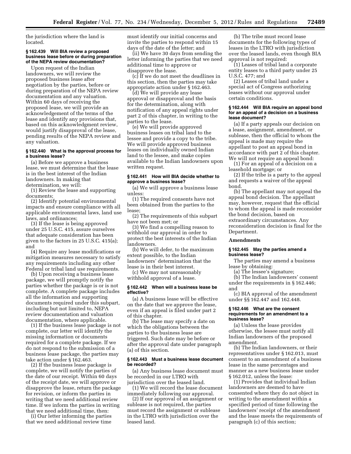the jurisdiction where the land is located.

# **§ 162.439 Will BIA review a proposed business lease before or during preparation of the NEPA review documentation?**

Upon request of the Indian landowners, we will review the proposed business lease after negotiation by the parties, before or during preparation of the NEPA review documentation and any valuation. Within 60 days of receiving the proposed lease, we will provide an acknowledgement of the terms of the lease and identify any provisions that, based on this acknowledgment review, would justify disapproval of the lease, pending results of the NEPA review and any valuation.

# **§ 162.440 What is the approval process for a business lease?**

(a) Before we approve a business lease, we must determine that the lease is in the best interest of the Indian landowners. In making that determination, we will:

(1) Review the lease and supporting documents;

(2) Identify potential environmental impacts and ensure compliance with all applicable environmental laws, land use laws, and ordinances;

(3) If the lease is being approved under 25 U.S.C. 415, assure ourselves that adequate consideration has been given to the factors in 25 U.S.C. 415(a); and

(4) Require any lease modifications or mitigation measures necessary to satisfy any requirements including any other Federal or tribal land use requirements.

(b) Upon receiving a business lease package, we will promptly notify the parties whether the package is or is not complete. A complete package includes all the information and supporting documents required under this subpart, including but not limited to, NEPA review documentation and valuation documentation, where applicable.

(1) If the business lease package is not complete, our letter will identify the missing information or documents required for a complete package. If we do not respond to the submission of a business lease package, the parties may take action under § 162.463.

(2) If the business lease package is complete, we will notify the parties of the date of our receipt. Within 60 days of the receipt date, we will approve or disapprove the lease, return the package for revision, or inform the parties in writing that we need additional review time. If we inform the parties in writing that we need additional time, then:

(i) Our letter informing the parties that we need additional review time must identify our initial concerns and invite the parties to respond within 15 days of the date of the letter; and

(ii) We have 30 days from sending the letter informing the parties that we need additional time to approve or disapprove the lease.

(c) If we do not meet the deadlines in this section, then the parties may take appropriate action under § 162.463.

(d) We will provide any lease approval or disapproval and the basis for the determination, along with notification of any appeal rights under part 2 of this chapter, in writing to the parties to the lease.

(e) We will provide approved business leases on tribal land to the lessee and provide a copy to the tribe. We will provide approved business leases on individually owned Indian land to the lessee, and make copies available to the Indian landowners upon written request.

#### **§ 162.441 How will BIA decide whether to approve a business lease?**

(a) We will approve a business lease unless:

(1) The required consents have not been obtained from the parties to the lease;

(2) The requirements of this subpart have not been met; or

(3) We find a compelling reason to withhold our approval in order to protect the best interests of the Indian landowners.

(b) We will defer, to the maximum extent possible, to the Indian landowners' determination that the lease is in their best interest.

(c) We may not unreasonably withhold approval of a lease.

#### **§ 162.442 When will a business lease be effective?**

(a) A business lease will be effective on the date that we approve the lease, even if an appeal is filed under part 2 of this chapter.

(b) The lease may specify a date on which the obligations between the parties to the business lease are triggered. Such date may be before or after the approval date under paragraph (a) of this section.

#### **§ 162.443 Must a business lease document be recorded?**

(a) Any business lease document must be recorded in our LTRO with jurisdiction over the leased land.

(1) We will record the lease document immediately following our approval.

(2) If our approval of an assignment or sublease is not required, the parties must record the assignment or sublease in the LTRO with jurisdiction over the leased land.

(b) The tribe must record lease documents for the following types of leases in the LTRO with jurisdiction over the leased lands, even though BIA approval is not required:

(1) Leases of tribal land a corporate entity leases to a third party under 25 U.S.C. 477; and

(2) Leases of tribal land under a special act of Congress authorizing leases without our approval under certain conditions.

#### **§ 162.444 Will BIA require an appeal bond for an appeal of a decision on a business lease document?**

(a) If a party appeals our decision on a lease, assignment, amendment, or sublease, then the official to whom the appeal is made may require the appellant to post an appeal bond in accordance with part 2 of this chapter. We will not require an appeal bond:

(1) For an appeal of a decision on a leasehold mortgage; or

(2) If the tribe is a party to the appeal and requests a waiver of the appeal bond.

(b) The appellant may not appeal the appeal bond decision. The appellant may, however, request that the official to whom the appeal is made reconsider the bond decision, based on extraordinary circumstances. Any reconsideration decision is final for the Department.

# **Amendments**

# **§ 162.445 May the parties amend a business lease?**

The parties may amend a business lease by obtaining:

(a) The lessee's signature;

(b) The Indian landowners' consent under the requirements in § 162.446; and

(c) BIA approval of the amendment under §§ 162.447 and 162.448.

#### **§ 162.446 What are the consent requirements for an amendment to a business lease?**

(a) Unless the lease provides otherwise, the lessee must notify all Indian landowners of the proposed amendment.

(b) The Indian landowners, or their representatives under § 162.013, must consent to an amendment of a business lease in the same percentages and manner as a new business lease under § 162.012, unless the lease:

(1) Provides that individual Indian landowners are deemed to have consented where they do not object in writing to the amendment within a specified period of time following the landowners' receipt of the amendment and the lease meets the requirements of paragraph (c) of this section;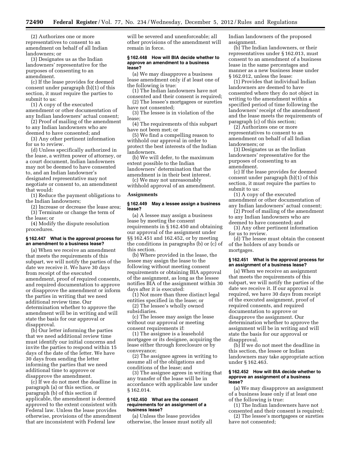(2) Authorizes one or more representatives to consent to an amendment on behalf of all Indian landowners; or

(3) Designates us as the Indian landowners' representative for the purposes of consenting to an amendment.

(c) If the lease provides for deemed consent under paragraph (b)(1) of this section, it must require the parties to submit to us:

(1) A copy of the executed amendment or other documentation of any Indian landowners' actual consent;

(2) Proof of mailing of the amendment to any Indian landowners who are deemed to have consented; and

(3) Any other pertinent information for us to review.

(d) Unless specifically authorized in the lease, a written power of attorney, or a court document, Indian landowners may not be deemed to have consented to, and an Indian landowner's designated representative may not negotiate or consent to, an amendment that would:

(1) Reduce the payment obligations to the Indian landowners;

(2) Increase or decrease the lease area; (3) Terminate or change the term of

the lease; or (4) Modify the dispute resolution procedures.

#### **§ 162.447 What is the approval process for an amendment to a business lease?**

(a) When we receive an amendment that meets the requirements of this subpart, we will notify the parties of the date we receive it. We have 30 days from receipt of the executed amendment, proof of required consents, and required documentation to approve or disapprove the amendment or inform the parties in writing that we need additional review time. Our determination whether to approve the amendment will be in writing and will state the basis for our approval or disapproval.

(b) Our letter informing the parties that we need additional review time must identify our initial concerns and invite the parties to respond within 15 days of the date of the letter. We have 30 days from sending the letter informing the parties that we need additional time to approve or disapprove the amendment.

(c) If we do not meet the deadline in paragraph (a) or this section, or paragraph (b) of this section if applicable, the amendment is deemed approved to the extent consistent with Federal law. Unless the lease provides otherwise, provisions of the amendment that are inconsistent with Federal law

will be severed and unenforceable; all other provisions of the amendment will remain in force.

#### **§ 162.448 How will BIA decide whether to approve an amendment to a business lease?**

(a) We may disapprove a business lease amendment only if at least one of the following is true:

(1) The Indian landowners have not consented and their consent is required;

(2) The lessee's mortgagees or sureties have not consented;

(3) The lessee is in violation of the lease;

(4) The requirements of this subpart have not been met; or

(5) We find a compelling reason to withhold our approval in order to protect the best interests of the Indian landowners.

(b) We will defer, to the maximum extent possible to the Indian landowners' determination that the amendment is in their best interest.

(c) We may not unreasonably withhold approval of an amendment.

#### **Assignments**

#### **§ 162.449 May a lessee assign a business lease?**

(a) A lessee may assign a business lease by meeting the consent requirements in § 162.450 and obtaining our approval of the assignment under §§ 162.451 and 162.452, or by meeting the conditions in paragraphs (b) or (c) of this section.

(b) Where provided in the lease, the lessee may assign the lease to the following without meeting consent requirements or obtaining BIA approval of the assignment, as long as the lessee notifies BIA of the assignment within 30 days after it is executed:

(1) Not more than three distinct legal entities specified in the lease; or

(2) The lessee's wholly owned subsidiaries.

(c) The lessee may assign the lease without our approval or meeting consent requirements if:

(1) The assignee is a leasehold mortgagee or its designee, acquiring the lease either through foreclosure or by conveyance;

(2) The assignee agrees in writing to assume all of the obligations and conditions of the lease; and

(3) The assignee agrees in writing that any transfer of the lease will be in accordance with applicable law under § 162.014.

#### **§ 162.450 What are the consent requirements for an assignment of a business lease?**

(a) Unless the lease provides otherwise, the lessee must notify all Indian landowners of the proposed assignment.

(b) The Indian landowners, or their representatives under § 162.013, must consent to an amendment of a business lease in the same percentages and manner as a new business lease under § 162.012, unless the lease:

(1) Provides that individual Indian landowners are deemed to have consented where they do not object in writing to the amendment within a specified period of time following the landowners' receipt of the amendment and the lease meets the requirements of paragraph (c) of this section;

(2) Authorizes one or more representatives to consent to an amendment on behalf of all Indian landowners; or

(3) Designates us as the Indian landowners' representative for the purposes of consenting to an amendment.

(c) If the lease provides for deemed consent under paragraph (b)(1) of this section, it must require the parties to submit to us:

(1) A copy of the executed amendment or other documentation of any Indian landowners' actual consent;

(2) Proof of mailing of the amendment to any Indian landowners who are deemed to have consented; and

(3) Any other pertinent information for us to review.

(d) The lessee must obtain the consent of the holders of any bonds or mortgages.

#### **§ 162.451 What is the approval process for an assignment of a business lease?**

(a) When we receive an assignment that meets the requirements of this subpart, we will notify the parties of the date we receive it. If our approval is required, we have 30 days from receipt of the executed assignment, proof of required consents, and required documentation to approve or disapprove the assignment. Our determination whether to approve the assignment will be in writing and will state the basis for our approval or disapproval.

(b) If we do not meet the deadline in this section, the lessee or Indian landowners may take appropriate action under § 162.463.

#### **§ 162.452 How will BIA decide whether to approve an assignment of a business lease?**

(a) We may disapprove an assignment of a business lease only if at least one of the following is true:

(1) The Indian landowners have not consented and their consent is required;

(2) The lessee's mortgagees or sureties have not consented;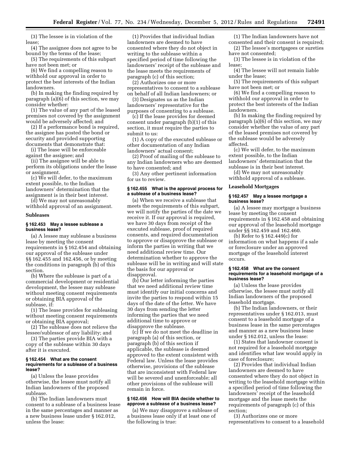(3) The lessee is in violation of the lease;

(4) The assignee does not agree to be bound by the terms of the lease;

(5) The requirements of this subpart have not been met; or

(6) We find a compelling reason to withhold our approval in order to protect the best interests of the Indian landowners.

(b) In making the finding required by paragraph (a)(6) of this section, we may consider whether:

(1) The value of any part of the leased premises not covered by the assignment would be adversely affected; and

(2) If a performance bond is required, the assignee has posted the bond or security and provided supporting documents that demonstrate that:

(i) The lease will be enforceable against the assignee; and

(ii) The assignee will be able to perform its obligations under the lease or assignment.

(c) We will defer, to the maximum extent possible, to the Indian landowners' determination that the assignment is in their best interest.

(d) We may not unreasonably withhold approval of an assignment.

#### **Subleases**

#### **§ 162.453 May a lessee sublease a business lease?**

(a) A lessee may sublease a business lease by meeting the consent requirements in § 162.454 and obtaining our approval of the sublease under §§ 162.455 and 162.456, or by meeting the conditions in paragraph (b) of this section.

(b) Where the sublease is part of a commercial development or residential development, the lessee may sublease without meeting consent requirements or obtaining BIA approval of the sublease, if:

(1) The lease provides for subleasing without meeting consent requirements or obtaining BIA approval;

(2) The sublease does not relieve the lessee/sublessor of any liability; and

(3) The parties provide BIA with a copy of the sublease within 30 days after it is executed.

# **§ 162.454 What are the consent requirements for a sublease of a business lease?**

(a) Unless the lease provides otherwise, the lessee must notify all Indian landowners of the proposed sublease.

(b) The Indian landowners must consent to a sublease of a business lease in the same percentages and manner as a new business lease under § 162.012, unless the lease:

(1) Provides that individual Indian landowners are deemed to have consented where they do not object in writing to the sublease within a specified period of time following the landowners' receipt of the sublease and the lease meets the requirements of paragraph (c) of this section;

(2) Authorizes one or more representatives to consent to a sublease on behalf of all Indian landowners; or

(3) Designates us as the Indian landowners' representative for the purposes of consenting to a sublease.

(c) If the lease provides for deemed consent under paragraph (b)(1) of this section, it must require the parties to submit to us:

(1) A copy of the executed sublease or other documentation of any Indian landowners' actual consent;

(2) Proof of mailing of the sublease to any Indian landowners who are deemed to have consented; and

(3) Any other pertinent information for us to review.

#### **§ 162.455 What is the approval process for a sublease of a business lease?**

(a) When we receive a sublease that meets the requirements of this subpart, we will notify the parties of the date we receive it. If our approval is required, we have 30 days from receipt of the executed sublease, proof of required consents, and required documentation to approve or disapprove the sublease or inform the parties in writing that we need additional review time. Our determination whether to approve the sublease will be in writing and will state the basis for our approval or disapproval.

(b) Our letter informing the parties that we need additional review time must identify our initial concerns and invite the parties to respond within 15 days of the date of the letter. We have 30 days from sending the letter informing the parties that we need additional time to approve or disapprove the sublease.

(c) If we do not meet the deadline in paragraph (a) of this section, or paragraph (b) of this section if applicable, the sublease is deemed approved to the extent consistent with Federal law. Unless the lease provides otherwise, provisions of the sublease that are inconsistent with Federal law will be severed and unenforceable; all other provisions of the sublease will remain in force.

# **§ 162.456 How will BIA decide whether to approve a sublease of a business lease?**

(a) We may disapprove a sublease of a business lease only if at least one of the following is true:

(1) The Indian landowners have not consented and their consent is required;

(2) The lessee's mortgagees or sureties have not consented;

(3) The lessee is in violation of the lease;

(4) The lessee will not remain liable under the lease;

(5) The requirements of this subpart have not been met; or

(6) We find a compelling reason to withhold our approval in order to protect the best interests of the Indian landowners.

(b) In making the finding required by paragraph (a)(6) of this section, we may consider whether the value of any part of the leased premises not covered by the sublease would be adversely affected.

(c) We will defer, to the maximum extent possible, to the Indian landowners' determination that the sublease is in their best interest.

(d) We may not unreasonably withhold approval of a sublease.

#### **Leasehold Mortgages**

# **§ 162.457 May a lessee mortgage a business lease?**

(a) A lessee may mortgage a business lease by meeting the consent requirements in § 162.458 and obtaining our approval of the leasehold mortgage under §§ 162.459 and 162.460.

(b) Refer to § 162.449(c) for information on what happens if a sale or foreclosure under an approved mortgage of the leasehold interest occurs.

# **§ 162.458 What are the consent requirements for a leasehold mortgage of a business lease?**

(a) Unless the lease provides otherwise, the lessee must notify all Indian landowners of the proposed leasehold mortgage.

(b) The Indian landowners, or their representatives under § 162.013, must consent to a leasehold mortgage of a business lease in the same percentages and manner as a new business lease under § 162.012, unless the lease:

(1) States that landowner consent is not required for a leasehold mortgage and identifies what law would apply in case of foreclosure;

(2) Provides that individual Indian landowners are deemed to have consented where they do not object in writing to the leasehold mortgage within a specified period of time following the landowners' receipt of the leasehold mortgage and the lease meets the requirements of paragraph (c) of this section;

(3) Authorizes one or more representatives to consent to a leasehold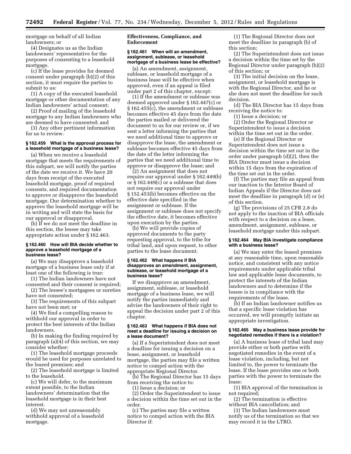mortgage on behalf of all Indian landowners; or

(4) Designates us as the Indian landowners' representative for the purposes of consenting to a leasehold mortgage.

(c) If the lease provides for deemed consent under paragraph (b)(2) of this section, it must require the parties to submit to us:

(1) A copy of the executed leasehold mortgage or other documentation of any Indian landowners' actual consent;

(2) Proof of mailing of the leasehold mortgage to any Indian landowners who are deemed to have consented; and

(3) Any other pertinent information for us to review.

# **§ 162.459 What is the approval process for a leasehold mortgage of a business lease?**

(a) When we receive a leasehold mortgage that meets the requirements of this subpart, we will notify the parties of the date we receive it. We have 20 days from receipt of the executed leasehold mortgage, proof of required consents, and required documentation to approve or disapprove the leasehold mortgage. Our determination whether to approve the leasehold mortgage will be in writing and will state the basis for our approval or disapproval.

(b) If we do not meet the deadline in this section, the lessee may take appropriate action under § 162.463.

#### **§ 162.460 How will BIA decide whether to approve a leasehold mortgage of a business lease?**

(a) We may disapprove a leasehold mortgage of a business lease only if at least one of the following is true:

(1) The Indian landowners have not consented and their consent is required;

(2) The lessee's mortgagees or sureties have not consented;

(3) The requirements of this subpart have not been met; or

(4) We find a compelling reason to withhold our approval in order to protect the best interests of the Indian landowners.

(b) In making the finding required by paragraph (a)(4) of this section, we may consider whether:

(1) The leasehold mortgage proceeds would be used for purposes unrelated to the leased premises; and

(2) The leasehold mortgage is limited to the leasehold.

(c) We will defer, to the maximum extent possible, to the Indian landowners' determination that the leasehold mortgage is in their best interest.

(d) We may not unreasonably withhold approval of a leasehold mortgage.

# **Effectiveness, Compliance, and Enforcement**

# **§ 162.461 When will an amendment, assignment, sublease, or leasehold mortgage of a business lease be effective?**

(a) An amendment, assignment, sublease, or leasehold mortgage of a business lease will be effective when approved, even if an appeal is filed under part 2 of this chapter, except:

(1) If the amendment or sublease was deemed approved under § 162.447(c) or § 162.455(c), the amendment or sublease becomes effective 45 days from the date the parties mailed or delivered the document to us for our review or, if we sent a letter informing the parties that we need additional time to approve or disapprove the lease, the amendment or sublease becomes effective 45 days from the date of the letter informing the parties that we need additional time to approve or disapprove the lease; and

(2) An assignment that does not require our approval under § 162.449(b) or § 162.449(c) or a sublease that does not require our approval under § 152.453(b) becomes effective on the effective date specified in the assignment or sublease. If the assignment or sublease does not specify the effective date, it becomes effective upon execution by the parties.

(b) We will provide copies of approved documents to the party requesting approval, to the tribe for tribal land, and upon request, to other parties to the lease document.

#### **§ 162.462 What happens if BIA disapproves an amendment, assignment, sublease, or leasehold mortgage of a business lease?**

If we disapprove an amendment, assignment, sublease, or leasehold mortgage of a business lease, we will notify the parties immediately and advise the landowners of their right to appeal the decision under part 2 of this chapter.

# **§ 162.463 What happens if BIA does not meet a deadline for issuing a decision on a lease document?**

(a) If a Superintendent does not meet a deadline for issuing a decision on a lease, assignment, or leasehold mortgage, the parties may file a written notice to compel action with the appropriate Regional Director.

(b) The Regional Director has 15 days from receiving the notice to:

(1) Issue a decision; or

(2) Order the Superintendent to issue a decision within the time set out in the order.

(c) The parties may file a written notice to compel action with the BIA Director if:

(1) The Regional Director does not meet the deadline in paragraph (b) of this section;

(2) The Superintendent does not issue a decision within the time set by the Regional Director under paragraph (b)(2) of this section; or

(3) The initial decision on the lease, assignment, or leasehold mortgage is with the Regional Director, and he or she does not meet the deadline for such decision.

(d) The BIA Director has 15 days from receiving the notice to:

(1) Issue a decision; or

(2) Order the Regional Director or Superintendent to issue a decision within the time set out in the order.

(e) If the Regional Director or Superintendent does not issue a decision within the time set out in the order under paragraph (d)(2), then the BIA Director must issue a decision within 15 days from the expiration of the time set out in the order.

(f) The parties may file an appeal from our inaction to the Interior Board of Indian Appeals if the Director does not meet the deadline in paragraph (d) or (e) of this section.

(g) The provisions of 25 CFR 2.8 do not apply to the inaction of BIA officials with respect to a decision on a lease, amendment, assignment, sublease, or leasehold mortgage under this subpart.

# **§ 162.464 May BIA investigate compliance with a business lease?**

(a) We may enter the leased premises at any reasonable time, upon reasonable notice, and consistent with any notice requirements under applicable tribal law and applicable lease documents, to protect the interests of the Indian landowners and to determine if the lessee is in compliance with the requirements of the lease.

(b) If an Indian landowner notifies us that a specific lease violation has occurred, we will promptly initiate an appropriate investigation.

# **§ 162.465 May a business lease provide for negotiated remedies if there is a violation?**

(a) A business lease of tribal land may provide either or both parties with negotiated remedies in the event of a lease violation, including, but not limited to, the power to terminate the lease. If the lease provides one or both parties with the power to terminate the lease:

(1) BIA approval of the termination is not required;

(2) The termination is effective without BIA cancellation; and

(3) The Indian landowners must notify us of the termination so that we may record it in the LTRO.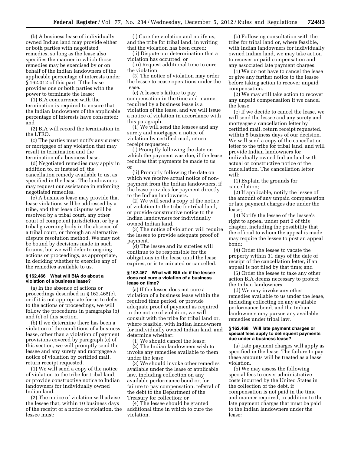(b) A business lease of individually owned Indian land may provide either or both parties with negotiated remedies, so long as the lease also specifies the manner in which those remedies may be exercised by or on behalf of the Indian landowners of the applicable percentage of interests under § 162.012 of this part. If the lease provides one or both parties with the power to terminate the lease:

(1) BIA concurrence with the termination is required to ensure that the Indian landowners of the applicable percentage of interests have consented; and

(2) BIA will record the termination in the LTRO.

(c) The parties must notify any surety or mortgagee of any violation that may result in termination and the termination of a business lease.

(d) Negotiated remedies may apply in addition to, or instead of, the cancellation remedy available to us, as specified in the lease. The landowners may request our assistance in enforcing negotiated remedies.

(e) A business lease may provide that lease violations will be addressed by a tribe, and that lease disputes will be resolved by a tribal court, any other court of competent jurisdiction, or by a tribal governing body in the absence of a tribal court, or through an alternative dispute resolution method. We may not be bound by decisions made in such forums, but we will defer to ongoing actions or proceedings, as appropriate, in deciding whether to exercise any of the remedies available to us.

# **§ 162.466 What will BIA do about a violation of a business lease?**

(a) In the absence of actions or proceedings described in § 162.465(e), or if it is not appropriate for us to defer to the actions or proceedings, we will follow the procedures in paragraphs (b) and (c) of this section.

(b) If we determine there has been a violation of the conditions of a business lease, other than a violation of payment provisions covered by paragraph (c) of this section, we will promptly send the lessee and any surety and mortgagee a notice of violation by certified mail, return receipt requested.

(1) We will send a copy of the notice of violation to the tribe for tribal land, or provide constructive notice to Indian landowners for individually owned Indian land.

(2) The notice of violation will advise the lessee that, within 10 business days of the receipt of a notice of violation, the lessee must:

(i) Cure the violation and notify us, and the tribe for tribal land, in writing that the violation has been cured;

(ii) Dispute our determination that a violation has occurred; or

(iii) Request additional time to cure the violation.

(3) The notice of violation may order the lessee to cease operations under the lease.

(c) A lessee's failure to pay compensation in the time and manner required by a business lease is a violation of the lease, and we will issue a notice of violation in accordance with this paragraph.

 $(1)$  We will send the lessees and any surety and mortgagee a notice of violation by certified mail, return receipt requested:

(i) Promptly following the date on which the payment was due, if the lease requires that payments be made to us; or

(ii) Promptly following the date on which we receive actual notice of nonpayment from the Indian landowners, if the lease provides for payment directly to the Indian landowners.

(2) We will send a copy of the notice of violation to the tribe for tribal land, or provide constructive notice to the Indian landowners for individually owned Indian land.

(3) The notice of violation will require the lessee to provide adequate proof of payment.

(d) The lessee and its sureties will continue to be responsible for the obligations in the lease until the lease expires, or is terminated or cancelled.

#### **§ 162.467 What will BIA do if the lessee does not cure a violation of a business lease on time?**

(a) If the lessee does not cure a violation of a business lease within the required time period, or provide adequate proof of payment as required in the notice of violation, we will consult with the tribe for tribal land or, where feasible, with Indian landowners for individually owned Indian land, and determine whether:

(1) We should cancel the lease;

(2) The Indian landowners wish to invoke any remedies available to them under the lease;

(3) We should invoke other remedies available under the lease or applicable law, including collection on any available performance bond or, for failure to pay compensation, referral of the debt to the Department of the Treasury for collection; or

(4) The lessee should be granted additional time in which to cure the violation.

(b) Following consultation with the tribe for tribal land or, where feasible, with Indian landowners for individually owned Indian land, we may take action to recover unpaid compensation and any associated late payment charges.

(1) We do not have to cancel the lease or give any further notice to the lessee before taking action to recover unpaid compensation.

(2) We may still take action to recover any unpaid compensation if we cancel the lease.

(c) If we decide to cancel the lease, we will send the lessee and any surety and mortgagee a cancellation letter by certified mail, return receipt requested, within 5 business days of our decision. We will send a copy of the cancellation letter to the tribe for tribal land, and will provide Indian landowners for individually owned Indian land with actual or constructive notice of the cancellation. The cancellation letter will:

(1) Explain the grounds for cancellation;

(2) If applicable, notify the lessee of the amount of any unpaid compensation or late payment charges due under the lease;

(3) Notify the lessee of the lessee's right to appeal under part 2 of this chapter, including the possibility that the official to whom the appeal is made may require the lessee to post an appeal bond;

(4) Order the lessee to vacate the property within 31 days of the date of receipt of the cancellation letter, if an appeal is not filed by that time; and

(5) Order the lessee to take any other action BIA deems necessary to protect the Indian landowners.

(d) We may invoke any other remedies available to us under the lease, including collecting on any available performance bond, and the Indian landowners may pursue any available remedies under tribal law.

# **§ 162.468 Will late payment charges or special fees apply to delinquent payments due under a business lease?**

(a) Late payment charges will apply as specified in the lease. The failure to pay these amounts will be treated as a lease violation.

(b) We may assess the following special fees to cover administrative costs incurred by the United States in the collection of the debt, if compensation is not paid in the time and manner required, in addition to the late payment charges that must be paid to the Indian landowners under the lease: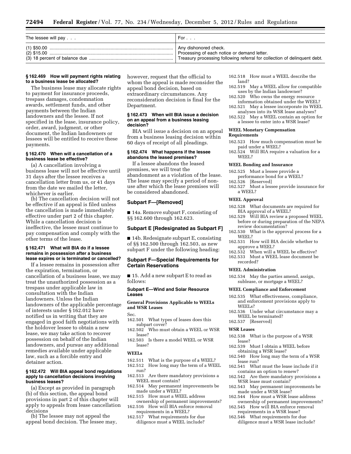| The lessee will pay $\ldots$ | For $\ldots$                                                              |
|------------------------------|---------------------------------------------------------------------------|
|                              | Any dishonored check.                                                     |
|                              | Processing of each notice or demand letter.                               |
|                              | Treasury processing following referral for collection of delinquent debt. |

#### **§ 162.469 How will payment rights relating to a business lease be allocated?**

The business lease may allocate rights to payment for insurance proceeds, trespass damages, condemnation awards, settlement funds, and other payments between the Indian landowners and the lessee. If not specified in the lease, insurance policy, order, award, judgment, or other document, the Indian landowners or lessees will be entitled to receive these payments.

#### **§ 162.470 When will a cancellation of a business lease be effective?**

(a) A cancellation involving a business lease will not be effective until 31 days after the lessee receives a cancellation letter from us, or 41 days from the date we mailed the letter, whichever is earlier.

(b) The cancellation decision will not be effective if an appeal is filed unless the cancellation is made immediately effective under part 2 of this chapter. While a cancellation decision is ineffective, the lessee must continue to pay compensation and comply with the other terms of the lease.

#### **§ 162.471 What will BIA do if a lessee remains in possession after a business lease expires or is terminated or cancelled?**

If a lessee remains in possession after the expiration, termination, or cancellation of a business lease, we may treat the unauthorized possession as a trespass under applicable law in consultation with the Indian landowners. Unless the Indian landowners of the applicable percentage of interests under § 162.012 have notified us in writing that they are engaged in good faith negotiations with the holdover lessee to obtain a new lease, we may take action to recover possession on behalf of the Indian landowners, and pursue any additional remedies available under applicable law, such as a forcible entry and detainer action.

#### **§ 162.472 Will BIA appeal bond regulations apply to cancellation decisions involving business leases?**

(a) Except as provided in paragraph (b) of this section, the appeal bond provisions in part 2 of this chapter will apply to appeals from lease cancellation decisions

(b) The lessee may not appeal the appeal bond decision. The lessee may, however, request that the official to whom the appeal is made reconsider the appeal bond decision, based on extraordinary circumstances. Any reconsideration decision is final for the Department.

#### **§ 162.473 When will BIA issue a decision on an appeal from a business leasing decision?**

BIA will issue a decision on an appeal from a business leasing decision within 60 days of receipt of all pleadings.

#### **§ 162.474 What happens if the lessee abandons the leased premises?**

If a lessee abandons the leased premises, we will treat the abandonment as a violation of the lease. The lease may specify a period of nonuse after which the lease premises will be considered abandoned.

# **Subpart F—[Removed]**

■ 14a. Remove subpart F, consisting of §§ 162.600 through 162.623.

# **Subpart E [Redesignated as Subpart F]**

■ 14b. Redesignate subpart E, consisting of §§ 162.500 through 162.503, as new subpart F under the following heading:

# **Subpart F—Special Requirements for Certain Reservations**

■ 15. Add a new subpart E to read as follows:

#### **Subpart E—Wind and Solar Resource Leases**

# **General Provisions Applicable to WEELs and WSR Leases**

Sec.

- 162.501 What types of leases does this subpart cover?
- 162.502 Who must obtain a WEEL or WSR lease?
- 162.503 Is there a model WEEL or WSR lease?

# **WEELs**

- 162.511 What is the purpose of a WEEL?
- 162.512 How long may the term of a WEEL run?
- 162.513 Are there mandatory provisions a WEEL must contain?
- 162.514 May permanent improvements be made under a WEEL?
- 162.515 How must a WEEL address ownership of permanent improvements?
- 162.516 How will BIA enforce removal requirements in a WEEL?
- 162.517 What requirements for due diligence must a WEEL include?
- 162.518 How must a WEEL describe the land?
- 162.519 May a WEEL allow for compatible uses by the Indian landowner?
- 162.520 Who owns the energy resource information obtained under the WEEL?
- 162.521 May a lessee incorporate its WEEL analyses into its WSR lease analyses?
- 162.522 May a WEEL contain an option for a lessee to enter into a WSR lease?

#### **WEEL Monetary Compensation Requirements**

- 162.523 How much compensation must be paid under a WEEL?
- 162.524 Will BIA require a valuation for a WEEL?

#### **WEEL Bonding and Insurance**

- 162.525 Must a lessee provide a performance bond for a WEEL?<br>162.526 [Reserved]
- [Reserved]
- 162.527 Must a lessee provide insurance for a WEEL?

#### **WEEL Approval**

- 162.528 What documents are required for BIA approval of a WEEL?
- 162.529 Will BIA review a proposed WEEL before or during preparation of the NEPA review documentation?
- 162.530 What is the approval process for a WEEL?
- 162.531 How will BIA decide whether to approve a WEEL?
- 162.532 When will a WEEL be effective?
- 162.533 Must a WEEL lease document be recorded?

#### **WEEL Administration**

162.534 May the parties amend, assign, sublease, or mortgage a WEEL?

#### **WEEL Compliance and Enforcement**

- 162.535 What effectiveness, compliance, and enforcement provisions apply to WEELs?
- 162.536 Under what circumstance may a WEEL be terminated?
- 162.537 [Reserved]

# **WSR Leases**

- 162.538 What is the purpose of a WSR lease?
- 162.539 Must I obtain a WEEL before obtaining a WSR lease?
- 162.540 How long may the term of a WSR lease run?
- 162.541 What must the lease include if it contains an option to renew?
- 162.542 Are there mandatory provisions a WSR lease must contain?
- 162.543 May permanent improvements be made under a WSR lease?
- 162.544 How must a WSR lease address ownership of permanent improvements?
- 162.545 How will BIA enforce removal requirements in a WSR lease?
- 162.546 What requirements for due diligence must a WSR lease include?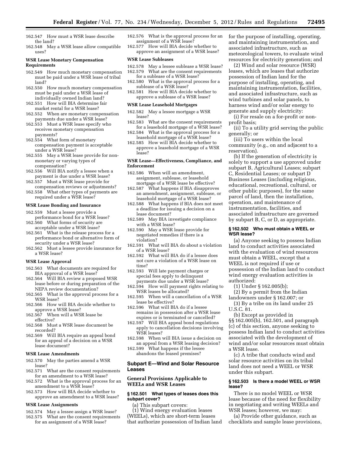- 162.547 How must a WSR lease describe the land?
- 162.548 May a WSR lease allow compatible uses?

#### **WSR Lease Monetary Compensation Requirements**

- 162.549 How much monetary compensation must be paid under a WSR lease of tribal land?
- 162.550 How much monetary compensation must be paid under a WSR lease of individually owned Indian land?
- 162.551 How will BIA determine fair market rental for a WSR lease?
- 162.552 When are monetary compensation payments due under a WSR lease?
- 162.553 Must a WSR lease specify who receives monetary compensation payments?
- 162.554 What form of monetary compensation payment is acceptable under a WSR lease?
- 162.555 May a WSR lease provide for nonmonetary or varying types of compensation?
- 162.556 Will BIA notify a lessee when a payment is due under a WSR lease?
- 162.557 Must a WSR lease provide for compensation reviews or adjustments?
- 162.558 What other types of payments are required under a WSR lease?

#### **WSR Lease Bonding and Insurance**

- 162.559 Must a lessee provide a
- performance bond for a WSR lease? 162.560 What forms of security are
- acceptable under a WSR lease? 162.561 What is the release process for a performance bond or alternative form of security under a WSR lease?
- 162.562 Must a lessee provide insurance for a WSR lease?

#### **WSR Lease Approval**

- 162.563 What documents are required for BIA approval of a WSR lease?
- 162.564 Will BIA review a proposed WSR lease before or during preparation of the NEPA review documentation?
- 162.565 What is the approval process for a WSR lease?
- 162.566 How will BIA decide whether to approve a WSR lease?
- 162.567 When will a WSR lease be effective?
- 162.568 Must a WSR lease document be recorded?
- 162.569 Will BIA require an appeal bond for an appeal of a decision on a WSR lease document?

#### **WSR Lease Amendments**

- 162.570 May the parties amend a WSR lease?
- 162.571 What are the consent requirements for an amendment to a WSR lease?
- 162.572 What is the approval process for an amendment to a WSR lease?
- 162.573 How will BIA decide whether to approve an amendment to a WSR lease?

#### **WSR Lease Assignments**

- 162.574 May a lessee assign a WSR lease?
- 162.575 What are the consent requirements for an assignment of a WSR lease?
- 162.576 What is the approval process for an assignment of a WSR lease?
- 162.577 How will BIA decide whether to approve an assignment of a WSR lease?

# **WSR Lease Subleases**

- 162.578 May a lessee sublease a WSR lease?
- 162.579 What are the consent requirements for a sublease of a WSR lease?
- 162.580 What is the approval process for a sublease of a WSR lease?
- 162.581 How will BIA decide whether to approve a sublease of a WSR lease?

#### **WSR Lease Leasehold Mortgages**

- 162.582 May a lessee mortgage a WSR lease?
- 162.583 What are the consent requirements for a leasehold mortgage of a WSR lease?
- 162.584 What is the approval process for a leasehold mortgage of a WSR lease?
- 162.585 How will BIA decide whether to approve a leasehold mortgage of a WSR lease?

#### **WSR Lease—Effectiveness, Compliance, and Enforcement**

- 162.586 When will an amendment, assignment, sublease, or leasehold mortgage of a WSR lease be effective?
- 162.587 What happens if BIA disapproves an amendment, assignment, sublease, or leasehold mortgage of a WSR lease?
- 162.588 What happens if BIA does not meet a deadline for issuing a decision on a lease document?
- 162.589 May BIA investigate compliance with a WSR lease?
- 162.590 May a WSR lease provide for negotiated remedies if there is a violation?
- 162.591 What will BIA do about a violation of a WSR lease?
- 162.592 What will BIA do if a lessee does not cure a violation of a WSR lease on time?
- 162.593 Will late payment charges or special fees apply to delinquent payments due under a WSR lease?
- 162.594 How will payment rights relating to WSR leases be allocated?
- 162.595 When will a cancellation of a WSR lease be effective?
- 162.596 What will BIA do if a lessee remains in possession after a WSR lease expires or is terminated or cancelled?
- 162.597 Will BIA appeal bond regulations apply to cancellation decisions involving WSR leases?
- 162.598 When will BIA issue a decision on an appeal from a WSR leasing decision?
- 162.599 What happens if the lessee abandons the leased premises?

# **Subpart E—Wind and Solar Resource Leases**

# **General Provisions Applicable to WEELs and WSR Leases**

# **§ 162.501 What types of leases does this subpart cover?**

- (a) This subpart covers:
- (1) Wind energy evaluation leases (WEELs), which are short-term leases that authorize possession of Indian land

for the purpose of installing, operating, and maintaining instrumentation, and associated infrastructure, such as meteorological towers, to evaluate wind resources for electricity generation; and

(2) Wind and solar resource (WSR) leases, which are leases that authorize possession of Indian land for the purpose of installing, operating, and maintaining instrumentation, facilities, and associated infrastructure, such as wind turbines and solar panels, to harness wind and/or solar energy to generate and supply electricity:

(i) For resale on a for-profit or nonprofit basis;

(ii) To a utility grid serving the public generally; or

(iii) To users within the local community (e.g., on and adjacent to a reservation).

(b) If the generation of electricity is solely to support a use approved under subpart B, Agricultural Leases; subpart C, Residential Leases; or subpart D Business Leases (including religious, educational, recreational, cultural, or other public purposes), for the same parcel of land, then the installation, operation, and maintenance of instrumentation, facilities, and associated infrastructure are governed by subpart B, C, or D, as appropriate.

# **§ 162.502 Who must obtain a WEEL or WSR lease?**

(a) Anyone seeking to possess Indian land to conduct activities associated with the evaluation of wind resources must obtain a WEEL, except that a WEEL is not required if use or possession of the Indian land to conduct wind energy evaluation activities is authorized:

(1) Under § 162.005(b);

(2) By a permit from the Indian landowners under § 162.007; or

(3) By a tribe on its land under 25 U.S.C. 81.

(b) Except as provided in §§ 162.005(b), 162.501, and paragraph (c) of this section, anyone seeking to possess Indian land to conduct activities associated with the development of wind and/or solar resources must obtain a WSR lease.

(c) A tribe that conducts wind and solar resource activities on its tribal land does not need a WEEL or WSR under this subpart.

#### **§ 162.503 Is there a model WEEL or WSR lease?**

There is no model WEEL or WSR lease because of the need for flexibility in negotiating and writing WEELs and WSR leases; however, we may:

(a) Provide other guidance, such as checklists and sample lease provisions,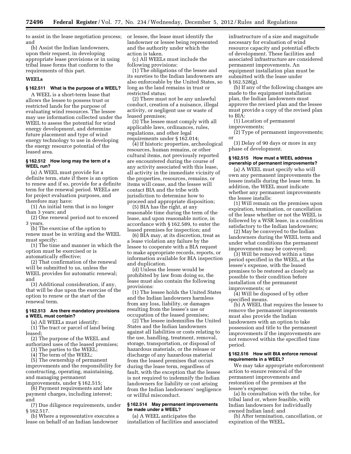to assist in the lease negotiation process; and

(b) Assist the Indian landowners, upon their request, in developing appropriate lease provisions or in using tribal lease forms that conform to the requirements of this part.

# **WEELs**

# **§ 162.511 What is the purpose of a WEEL?**

A WEEL is a short-term lease that allows the lessee to possess trust or restricted lands for the purpose of evaluating wind resources. The lessee may use information collected under the WEEL to assess the potential for wind energy development, and determine future placement and type of wind energy technology to use in developing the energy resource potential of the leased area.

#### **§ 162.512 How long may the term of a WEEL run?**

(a) A WEEL must provide for a definite term, state if there is an option to renew and if so, provide for a definite term for the renewal period. WEELs are for project evaluation purposes, and therefore may have:

(1) An initial term that is no longer than 3 years; and

(2) One renewal period not to exceed 3 years.

(b) The exercise of the option to renew must be in writing and the WEEL must specify:

(1) The time and manner in which the option must be exercised or is automatically effective;

(2) That confirmation of the renewal will be submitted to us, unless the WEEL provides for automatic renewal; and

(3) Additional consideration, if any, that will be due upon the exercise of the option to renew or the start of the renewal term.

#### **§ 162.513 Are there mandatory provisions a WEEL must contain?**

(a) All WEELs must identify:

(1) The tract or parcel of land being leased;

(2) The purpose of the WEEL and authorized uses of the leased premises;

(3) The parties to the WEEL;

(4) The term of the WEEL;

(5) The ownership of permanent improvements and the responsibility for constructing, operating, maintaining, and managing permanent

improvements, under § 162.515; (6) Payment requirements and late

payment charges, including interest; and

(7) Due diligence requirements, under § 162.517.

(b) Where a representative executes a lease on behalf of an Indian landowner

or lessee, the lease must identify the landowner or lessee being represented and the authority under which the action is taken.

(c) All WEELs must include the following provisions:

(1) The obligations of the lessee and its sureties to the Indian landowners are also enforceable by the United States, so long as the land remains in trust or restricted status;

(2) There must not be any unlawful conduct, creation of a nuisance, illegal activity, or negligent use or waste of leased premises;

(3) The lessee must comply with all applicable laws, ordinances, rules, regulations, and other legal requirements under § 162.014;

(4) If historic properties, archeological resources, human remains, or other cultural items, not previously reported are encountered during the course of any activity associated with this lease, all activity in the immediate vicinity of the properties, resources, remains, or items will cease, and the lessee will contact BIA and the tribe with jurisdiction to determine how to proceed and appropriate disposition;

(5) BIA has the right, at any reasonable time during the term of the lease, and upon reasonable notice, in accordance with § 162.589, to enter the leased premises for inspection; and

(6) BIA may, at its discretion, treat as a lease violation any failure by the lessee to cooperate with a BIA request to make appropriate records, reports, or information available for BIA inspection and duplication.

(d) Unless the lessee would be prohibited by law from doing so, the lease must also contain the following provisions:

(1) The lessee holds the United States and the Indian landowners harmless from any loss, liability, or damages resulting from the lessee's use or occupation of the leased premises;

(2) The lessee indemnifies the United States and the Indian landowners against all liabilities or costs relating to the use, handling, treatment, removal, storage, transportation, or disposal of hazardous materials, or the release or discharge of any hazardous material from the leased premises that occurs during the lease term, regardless of fault, with the exception that the lessee is not required to indemnify the Indian landowners for liability or cost arising from the Indian landowners' negligence or willful misconduct.

# **§ 162.514 May permanent improvements be made under a WEEL?**

(a) A WEEL anticipates the installation of facilities and associated infrastructure of a size and magnitude necessary for evaluation of wind resource capacity and potential effects of development. These facilities and associated infrastructure are considered permanent improvements. An equipment installation plan must be submitted with the lease under § 162.528(g).

(b) If any of the following changes are made to the equipment installation plan, the Indian landowners must approve the revised plan and the lessee must provide a copy of the revised plan to BIA:

(1) Location of permanent improvements;

(2) Type of permanent improvements; or

(3) Delay of 90 days or more in any phase of development.

#### **§ 162.515 How must a WEEL address ownership of permanent improvements?**

(a) A WEEL must specify who will own any permanent improvements the lessee installs during the lease term. In addition, the WEEL must indicate whether any permanent improvements the lessee installs:

(1) Will remain on the premises upon expiration, termination, or cancellation of the lease whether or not the WEEL is followed by a WSR lease, in a condition satisfactory to the Indian landowners;

(2) May be conveyed to the Indian landowners during the WEEL term and under what conditions the permanent improvements may be conveyed;

(3) Will be removed within a time period specified in the WEEL, at the lessee's expense, with the leased premises to be restored as closely as possible to their condition before installation of the permanent improvements; or

(4) Will be disposed of by other specified means.

(b) A WEEL that requires the lessee to remove the permanent improvements must also provide the Indian landowners with an option to take possession and title to the permanent improvements if the improvements are not removed within the specified time period.

# **§ 162.516 How will BIA enforce removal requirements in a WEEL?**

We may take appropriate enforcement action to ensure removal of the permanent improvements and restoration of the premises at the lessee's expense:

(a) In consultation with the tribe, for tribal land or, where feasible, with Indian landowners for individually owned Indian land; and

(b) After termination, cancellation, or expiration of the WEEL.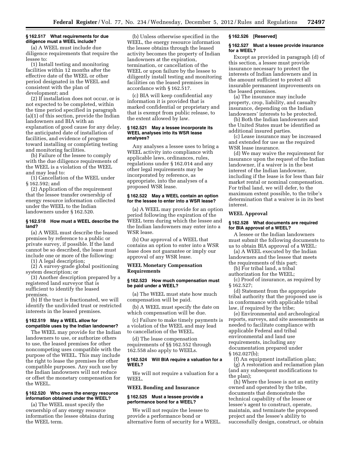# **§ 162.517 What requirements for due diligence must a WEEL include?**

(a) A WEEL must include due diligence requirements that require the lessee to:

(1) Install testing and monitoring facilities within 12 months after the effective date of the WEEL or other period designated in the WEEL and consistent with the plan of development; and

(2) If installation does not occur, or is not expected to be completed, within the time period specified in paragraph (a)(1) of this section, provide the Indian landowners and BIA with an explanation of good cause for any delay, the anticipated date of installation of facilities, and evidence of progress toward installing or completing testing and monitoring facilities.

(b) Failure of the lessee to comply with the due diligence requirements of the WEEL is a violation of the WEEL and may lead to:

(1) Cancellation of the WEEL under § 162.592; and

(2) Application of the requirement that the lessee transfer ownership of energy resource information collected under the WEEL to the Indian landowners under § 162.520.

# **§ 162.518 How must a WEEL describe the land?**

(a) A WEEL must describe the leased premises by reference to a public or private survey, if possible. If the land cannot be so described, the lease must include one or more of the following:

(1) A legal description;

(2) A survey-grade global positioning system description; or

(3) Another description prepared by a registered land surveyor that is sufficient to identify the leased premises.

(b) If the tract is fractionated, we will identify the undivided trust or restricted interests in the leased premises.

# **§ 162.519 May a WEEL allow for compatible uses by the Indian landowner?**

The WEEL may provide for the Indian landowners to use, or authorize others to use, the leased premises for other noncompeting uses compatible with the purpose of the WEEL. This may include the right to lease the premises for other compatible purposes. Any such use by the Indian landowners will not reduce or offset the monetary compensation for the WEEL.

# **§ 162.520 Who owns the energy resource information obtained under the WEEL?**

(a) The WEEL must specify the ownership of any energy resource information the lessee obtains during the WEEL term.

(b) Unless otherwise specified in the WEEL, the energy resource information the lessee obtains through the leased activity becomes the property of Indian landowners at the expiration, termination, or cancellation of the WEEL or upon failure by the lessee to diligently install testing and monitoring facilities on the leased premises in accordance with § 162.517.

(c) BIA will keep confidential any information it is provided that is marked confidential or proprietary and that is exempt from public release, to the extent allowed by law.

#### **§ 162.521 May a lessee incorporate its WEEL analyses into its WSR lease analyses?**

Any analyses a lessee uses to bring a WEEL activity into compliance with applicable laws, ordinances, rules, regulations under § 162.014 and any other legal requirements may be incorporated by reference, as appropriate, into the analyses of a proposed WSR lease.

#### **§ 162.522 May a WEEL contain an option for the lessee to enter into a WSR lease?**

(a) A WEEL may provide for an option period following the expiration of the WEEL term during which the lessee and the Indian landowners may enter into a WSR lease.

(b) Our approval of a WEEL that contains an option to enter into a WSR lease does not guarantee or imply our approval of any WSR lease.

#### **WEEL Monetary Compensation Requirements**

#### **§ 162.523 How much compensation must be paid under a WEEL?**

(a) The WEEL must state how much compensation will be paid.

(b) A WEEL must specify the date on which compensation will be due.

(c) Failure to make timely payments is a violation of the WEEL and may lead to cancellation of the WEEL.

(d) The lease compensation requirements of §§ 162.552 through 162.558 also apply to WEELs.

#### **§ 162.524 Will BIA require a valuation for a WEEL?**

We will not require a valuation for a WEEL.

# **WEEL Bonding and Insurance**

#### **§ 162.525 Must a lessee provide a performance bond for a WEEL?**

We will not require the lessee to provide a performance bond or alternative form of security for a WEEL.

#### **§ 162.526 [Reserved]**

#### **§ 162.527 Must a lessee provide insurance for a WEEL?**

Except as provided in paragraph (d) of this section, a lessee must provide insurance necessary to protect the interests of Indian landowners and in the amount sufficient to protect all insurable permanent improvements on the leased premises.

(a) The insurance may include property, crop, liability, and casualty insurance, depending on the Indian landowners' interests to be protected.

(b) Both the Indian landowners and the United States must be identified as additional insured parties.

(c) Lease insurance may be increased and extended for use as the required WSR lease insurance.

(d) We may waive the requirement for insurance upon the request of the Indian landowner, if a waiver is in the best interest of the Indian landowner, including if the lease is for less than fair market rental or nominal compensation. For tribal land, we will defer, to the maximum extent possible, to the tribe's determination that a waiver is in its best interest.

# **WEEL Approval**

# **§ 162.528 What documents are required for BIA approval of a WEEL?**

A lessee or the Indian landowners must submit the following documents to us to obtain BIA approval of a WEEL:

(a) A WEEL executed by the Indian landowners and the lessee that meets the requirements of this part;

(b) For tribal land, a tribal

authorization for the WEEL;

(c) Proof of insurance, as required by § 162.527;

(d) Statement from the appropriate tribal authority that the proposed use is in conformance with applicable tribal law, if required by the tribe;

(e) Environmental and archeological reports, surveys, and site assessments as needed to facilitate compliance with applicable Federal and tribal environmental and land use requirements, including any documentation prepared under § 162.027(b);

(f) An equipment installation plan;

(g) A restoration and reclamation plan (and any subsequent modifications to the plan);

(h) Where the lessee is not an entity owned and operated by the tribe, documents that demonstrate the technical capability of the lessee or lessee's agent to construct, operate, maintain, and terminate the proposed project and the lessee's ability to successfully design, construct, or obtain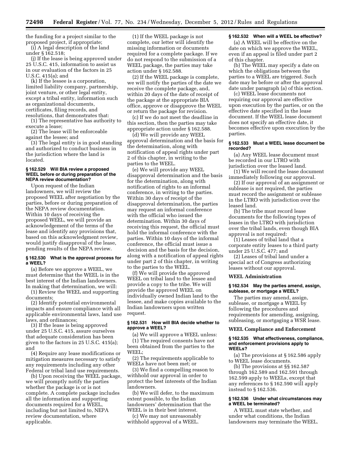the funding for a project similar to the proposed project, if appropriate; (i) A legal description of the land

under § 162.518;

(j) If the lease is being approved under 25 U.S.C. 415, information to assist us in our evaluation of the factors in 25 U.S.C. 415(a); and

(k) If the lessee is a corporation, limited liability company, partnership, joint venture, or other legal entity, except a tribal entity, information such as organizational documents, certificates, filing records, and resolutions, that demonstrates that:

(1) The representative has authority to execute a lease;

(2) The lease will be enforceable against the lessee; and

(3) The legal entity is in good standing and authorized to conduct business in the jurisdiction where the land is located.

#### **§ 162.529 Will BIA review a proposed WEEL before or during preparation of the NEPA review documentation?**

Upon request of the Indian landowners, we will review the proposed WEEL after negotiation by the parties, before or during preparation of the NEPA review documentation. Within 10 days of receiving the proposed WEEL, we will provide an acknowledgement of the terms of the lease and identify any provisions that, based on this acknowledgment review, would justify disapproval of the lease, pending results of the NEPA review.

#### **§ 162.530 What is the approval process for a WEEL?**

(a) Before we approve a WEEL, we must determine that the WEEL is in the best interest of the Indian landowners. In making that determination, we will:

(1) Review the WEEL and supporting documents;

(2) Identify potential environmental impacts and ensure compliance with all applicable environmental laws, land use laws, and ordinances;

(3) If the lease is being approved under 25 U.S.C. 415, assure ourselves that adequate consideration has been given to the factors in 25 U.S.C. 415(a); and

(4) Require any lease modifications or mitigation measures necessary to satisfy any requirements including any other Federal or tribal land use requirements.

(b) Upon receiving the WEEL package, we will promptly notify the parties whether the package is or is not complete. A complete package includes all the information and supporting documents required for a WEEL, including but not limited to, NEPA review documentation, where applicable.

(1) If the WEEL package is not complete, our letter will identify the missing information or documents required for a complete package. If we do not respond to the submission of a WEEL package, the parties may take action under § 162.588.

(2) If the WEEL package is complete, we will notify the parties of the date we receive the complete package, and, within 20 days of the date of receipt of the package at the appropriate BIA office, approve or disapprove the WEEL or return the package for revision.

(c) If we do not meet the deadline in this section, then the parties may take appropriate action under § 162.588.

(d) We will provide any WEEL approval determination and the basis for the determination, along with notification of appeal rights under part 2 of this chapter, in writing to the parties to the WEEL.

(e) We will provide any WEEL disapproval determination and the basis for the determination, along with notification of rights to an informal conference, in writing to the parties. Within 30 days of receipt of the disapproval determination, the parties may request an informal conference with the official who issued the determination. Within 30 days of receiving this request, the official must hold the informal conference with the parties. Within 10 days of the informal conference, the official must issue a decision and the basis for the decision, along with a notification of appeal rights under part 2 of this chapter, in writing to the parties to the WEEL.

(f) We will provide the approved WEEL on tribal land to the lessee and provide a copy to the tribe. We will provide the approved WEEL on individually owned Indian land to the lessee, and make copies available to the Indian landowners upon written request.

#### **§ 162.531 How will BIA decide whether to approve a WEEL?**

(a) We will approve a WEEL unless: (1) The required consents have not been obtained from the parties to the WEEL;

(2) The requirements applicable to WEELs have not been met; or

(3) We find a compelling reason to withhold our approval in order to protect the best interests of the Indian landowners.

(b) We will defer, to the maximum extent possible, to the Indian landowners' determination that the WEEL is in their best interest.

(c) We may not unreasonably withhold approval of a WEEL.

# **§ 162.532 When will a WEEL be effective?**

(a) A WEEL will be effective on the date on which we approve the WEEL, even if an appeal is filed under part 2 of this chapter.

(b) The WEEL may specify a date on which the obligations between the parties to a WEEL are triggered. Such date may be before or after the approval date under paragraph (a) of this section.

(c) WEEL lease documents not requiring our approval are effective upon execution by the parties, or on the effective date specified in the lease document. If the WEEL lease document does not specify an effective date, it becomes effective upon execution by the parties.

#### **§ 162.533 Must a WEEL lease document be recorded?**

(a) Any WEEL lease document must be recorded in our LTRO with jurisdiction over the leased land.

(1) We will record the lease document immediately following our approval.

(2) If our approval of an assignment or sublease is not required, the parties must record the assignment or sublease in the LTRO with jurisdiction over the leased land.

(b) The tribe must record lease documents for the following types of leases in the LTRO with jurisdiction over the tribal lands, even though BIA approval is not required:

(1) Leases of tribal land that a corporate entity leases to a third party under 25 U.S.C. 477; and

(2) Leases of tribal land under a special act of Congress authorizing leases without our approval.

#### **WEEL Administration**

# **§ 162.534 May the parties amend, assign, sublease, or mortgage a WEEL?**

The parties may amend, assign, sublease, or mortgage a WEEL by following the procedures and requirements for amending, assigning, subleasing, or mortgaging a WSR lease.

#### **WEEL Compliance and Enforcement**

#### **§ 162.535 What effectiveness, compliance, and enforcement provisions apply to WEELs?**

(a) The provisions at § 162.586 apply to WEEL lease documents.

(b) The provisions at §§ 162.587 through 162.589 and 162.591 through 162.599 apply to WEELs, except that any references to § 162.590 will apply instead to § 162.536.

# **§ 162.536 Under what circumstances may a WEEL be terminated?**

A WEEL must state whether, and under what conditions, the Indian landowners may terminate the WEEL.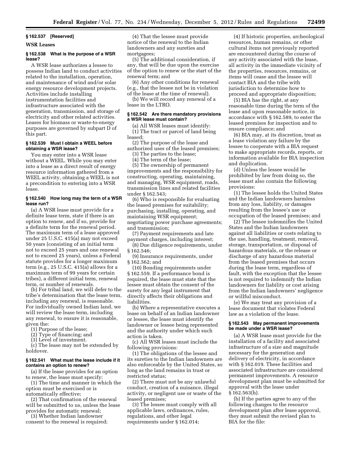#### **§ 162.537 [Reserved]**

#### **WSR Leases**

# **§ 162.538 What is the purpose of a WSR lease?**

A WSR lease authorizes a lessee to possess Indian land to conduct activities related to the installation, operation, and maintenance of wind and/or solar energy resource development projects. Activities include installing instrumentation facilities and infrastructure associated with the generation, transmission, and storage of electricity and other related activities. Leases for biomass or waste-to-energy purposes are governed by subpart D of this part.

#### **§ 162.539 Must I obtain a WEEL before obtaining a WSR lease?**

You may enter into a WSR lease without a WEEL. While you may enter into a lease as a direct result of energy resource information gathered from a WEEL activity, obtaining a WEEL is not a precondition to entering into a WSR lease.

#### **§ 162.540 How long may the term of a WSR lease run?**

(a) A WSR lease must provide for a definite lease term, state if there is an option to renew, and if so, provide for a definite term for the renewal period. The maximum term of a lease approved under 25 U.S.C. 415(a) may not exceed 50 years (consisting of an initial term not to exceed 25 years and one renewal not to exceed 25 years), unless a Federal statute provides for a longer maximum term (e.g., 25 U.S.C. 415(a) allows for a maximum term of 99 years for certain tribes), a different initial term, renewal term, or number of renewals.

(b) For tribal land, we will defer to the tribe's determination that the lease term, including any renewal, is reasonable. For individually owned Indian land, we will review the lease term, including any renewal, to ensure it is reasonable, given the:

(1) Purpose of the lease;

(2) Type of financing; and

(3) Level of investment.

(c) The lease may not be extended by holdover.

# **§ 162.541 What must the lease include if it contains an option to renew?**

(a) If the lease provides for an option to renew, the lease must specify:

(1) The time and manner in which the option must be exercised or is automatically effective;

(2) That confirmation of the renewal will be submitted to us, unless the lease provides for automatic renewal;

(3) Whether Indian landowner consent to the renewal is required;

(4) That the lessee must provide notice of the renewal to the Indian landowners and any sureties and mortgagees;

(5) The additional consideration, if any, that will be due upon the exercise of the option to renew or the start of the renewal term; and

(6) Any other conditions for renewal (e.g., that the lessee not be in violation of the lease at the time of renewal).

(b) We will record any renewal of a lease in the LTRO.

# **§ 162.542 Are there mandatory provisions a WSR lease must contain?**

(a) All WSR leases must identify: (1) The tract or parcel of land being leased;

(2) The purpose of the lease and authorized uses of the leased premises;

(3) The parties to the lease;

(4) The term of the lease;

(5) The ownership of permanent improvements and the responsibility for constructing, operating, maintaining, and managing, WSR equipment, roads, transmission lines and related facilities under § 162.543;

(6) Who is responsible for evaluating the leased premises for suitability; purchasing, installing, operating, and maintaining WSR equipment; negotiating power purchase agreements; and transmission;

(7) Payment requirements and late payment charges, including interest;

(8) Due diligence requirements, under § 162.546;

(9) Insurance requirements, under § 162.562; and

(10) Bonding requirements under § 162.559. If a performance bond is required, the lease must state that the lessee must obtain the consent of the surety for any legal instrument that directly affects their obligations and liabilities.

(b) Where a representative executes a lease on behalf of an Indian landowner or lessee, the lease must identify the landowner or lessee being represented and the authority under which such action is taken.

(c) All WSR leases must include the following provisions:

(1) The obligations of the lessee and its sureties to the Indian landowners are also enforceable by the United States, so long as the land remains in trust or restricted status;

(2) There must not be any unlawful conduct, creation of a nuisance, illegal activity, or negligent use or waste of the leased premises;

(3) The lessee must comply with all applicable laws, ordinances, rules, regulations, and other legal requirements under § 162.014;

(4) If historic properties, archeological resources, human remains, or other cultural items not previously reported are encountered during the course of any activity associated with the lease, all activity in the immediate vicinity of the properties, resources, remains, or items will cease and the lessee will contact BIA and the tribe with jurisdiction to determine how to proceed and appropriate disposition;

(5) BIA has the right, at any reasonable time during the term of the lease and upon reasonable notice, in accordance with § 162.589, to enter the leased premises for inspection and to ensure compliance; and

(6) BIA may, at its discretion, treat as a lease violation any failure by the lessee to cooperate with a BIA request to make appropriate records, reports, or information available for BIA inspection and duplication.

(d) Unless the lessee would be prohibited by law from doing so, the lease must also contain the following provisions:

(1) The lessee holds the United States and the Indian landowners harmless from any loss, liability, or damages resulting from the lessee's use or occupation of the leased premises; and

(2) The lessee indemnifies the United States and the Indian landowners against all liabilities or costs relating to the use, handling, treatment, removal, storage, transportation, or disposal of hazardous materials, or the release or discharge of any hazardous material from the leased premises that occurs during the lease term, regardless of fault, with the exception that the lessee is not required to indemnify the Indian landowners for liability or cost arising from the Indian landowners' negligence or willful misconduct.

(e) We may treat any provision of a lease document that violates Federal law as a violation of the lease.

#### **§ 162.543 May permanent improvements be made under a WSR lease?**

(a) A WSR lease must provide for the installation of a facility and associated infrastructure of a size and magnitude necessary for the generation and delivery of electricity, in accordance with § 162.019. These facilities and associated infrastructure are considered permanent improvements. A resource development plan must be submitted for approval with the lease under § 162.563(h).

(b) If the parties agree to any of the following changes to the resource development plan after lease approval, they must submit the revised plan to BIA for the file: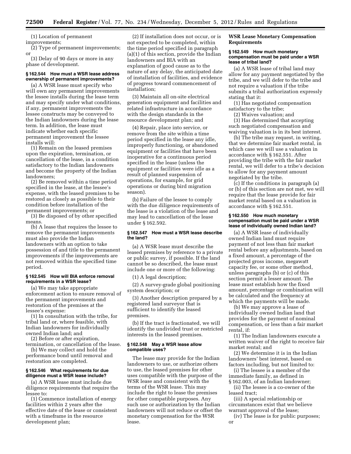(1) Location of permanent

improvements;

(2) Type of permanent improvements; or

(3) Delay of 90 days or more in any phase of development.

# **§ 162.544 How must a WSR lease address ownership of permanent improvements?**

(a) A WSR lease must specify who will own any permanent improvements the lessee installs during the lease term and may specify under what conditions, if any, permanent improvements the lessee constructs may be conveyed to the Indian landowners during the lease term. In addition, the lease must indicate whether each specific permanent improvement the lessee installs will:

(1) Remain on the leased premises upon the expiration, termination, or cancellation of the lease, in a condition satisfactory to the Indian landowners and become the property of the Indian landowners;

(2) Be removed within a time period specified in the lease, at the lessee's expense, with the leased premises to be restored as closely as possible to their condition before installation of the permanent improvements; or

(3) Be disposed of by other specified means.

(b) A lease that requires the lessee to remove the permanent improvements must also provide the Indian landowners with an option to take possession of and title to the permanent improvements if the improvements are not removed within the specified time period.

#### **§ 162.545 How will BIA enforce removal requirements in a WSR lease?**

(a) We may take appropriate enforcement action to ensure removal of the permanent improvements and restoration of the premises at the lessee's expense:

(1) In consultation with the tribe, for tribal land or, where feasible, with Indian landowners for individually owned Indian land; and

(2) Before or after expiration, termination, or cancellation of the lease.

(b) We may collect and hold the performance bond until removal and

# restoration are completed. **§ 162.546 What requirements for due**

**diligence must a WSR lease include?**  (a) A WSR lease must include due diligence requirements that require the lessee to:

(1) Commence installation of energy facilities within 2 years after the effective date of the lease or consistent with a timeframe in the resource development plan;

(2) If installation does not occur, or is not expected to be completed, within the time period specified in paragraph (a)(1) of this section, provide the Indian landowners and BIA with an explanation of good cause as to the nature of any delay, the anticipated date of installation of facilities, and evidence of progress toward commencement of installation;

(3) Maintain all on-site electrical generation equipment and facilities and related infrastructure in accordance with the design standards in the resource development plan; and

(4) Repair, place into service, or remove from the site within a time period specified in the lease any idle, improperly functioning, or abandoned equipment or facilities that have been inoperative for a continuous period specified in the lease (unless the equipment or facilities were idle as a result of planned suspension of operations, for example, for grid operations or during bird migration season).

(b) Failure of the lessee to comply with the due diligence requirements of the lease is a violation of the lease and may lead to cancellation of the lease under § 162.592.

#### **§ 162.547 How must a WSR lease describe the land?**

(a) A WSR lease must describe the leased premises by reference to a private or public survey, if possible. If the land cannot be so described, the lease must include one or more of the following:

(1) A legal description;

(2) A survey-grade global positioning system description; or

(3) Another description prepared by a registered land surveyor that is sufficient to identify the leased premises.

(b) If the tract is fractionated, we will identify the undivided trust or restricted interests in the leased premises.

#### **§ 162.548 May a WSR lease allow compatible uses?**

The lease may provide for the Indian landowners to use, or authorize others to use, the leased premises for other uses compatible with the purpose of the WSR lease and consistent with the terms of the WSR lease. This may include the right to lease the premises for other compatible purposes. Any such use or authorization by the Indian landowners will not reduce or offset the monetary compensation for the WSR lease.

# **WSR Lease Monetary Compensation Requirements**

#### **§ 162.549 How much monetary compensation must be paid under a WSR lease of tribal land?**

(a) A WSR lease of tribal land may allow for any payment negotiated by the tribe, and we will defer to the tribe and not require a valuation if the tribe submits a tribal authorization expressly stating that it:

(1) Has negotiated compensation satisfactory to the tribe;

(2) Waives valuation; and

(3) Has determined that accepting such negotiated compensation and waiving valuation is in its best interest.

(b) The tribe may request, in writing, that we determine fair market rental, in which case we will use a valuation in accordance with § 162.551. After providing the tribe with the fair market rental, we will defer to a tribe's decision to allow for any payment amount negotiated by the tribe.

(c) If the conditions in paragraph (a) or (b) of this section are not met, we will require that the lease provide for fair market rental based on a valuation in accordance with § 162.551.

#### **§ 162.550 How much monetary compensation must be paid under a WSR lease of individually owned Indian land?**

(a) A WSR lease of individually owned Indian land must require payment of not less than fair market rental before any adjustments, based on a fixed amount, a percentage of the projected gross income, megawatt capacity fee, or some other method, unless paragraphs (b) or (c) of this section permit a lesser amount. The lease must establish how the fixed amount, percentage or combination will be calculated and the frequency at which the payments will be made.

(b) We may approve a lease of individually owned Indian land that provides for the payment of nominal compensation, or less than a fair market rental, if:

(1) The Indian landowners execute a written waiver of the right to receive fair market rental; and

(2) We determine it is in the Indian landowners' best interest, based on factors including, but not limited to:

(i) The lessee is a member of the immediate family, as defined in § 162.003, of an Indian landowner;

(ii) The lessee is a co-owner of the leased tract;

(iii) A special relationship or circumstances exist that we believe warrant approval of the lease;

(iv) The lease is for public purposes; or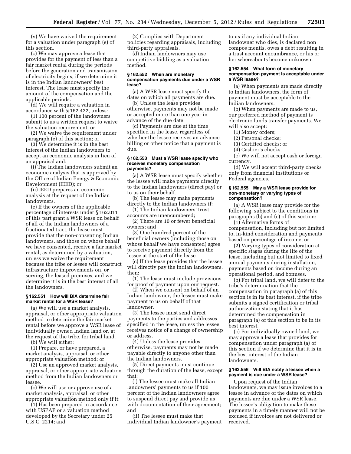(v) We have waived the requirement for a valuation under paragraph (e) of this section.

(c) We may approve a lease that provides for the payment of less than a fair market rental during the periods before the generation and transmission of electricity begins, if we determine it is in the Indian landowners' best interest. The lease must specify the amount of the compensation and the applicable periods.

(d) We will require a valuation in accordance with § 162.422, unless:

(1) 100 percent of the landowners submit to us a written request to waive the valuation requirement; or

(2) We waive the requirement under paragraph (e) of this section; or

(3) We determine it is in the best interest of the Indian landowners to accept an economic analysis in lieu of an appraisal and:

(i) The Indian landowners submit an economic analysis that is approved by the Office of Indian Energy & Economic Development (IEED); or

(ii) IEED prepares an economic analysis at the request of the Indian landowners.

(e) If the owners of the applicable percentage of interests under § 162.011 of this part grant a WSR lease on behalf of all of the Indian landowners of a fractionated tract, the lease must provide that the non-consenting Indian landowners, and those on whose behalf we have consented, receive a fair market rental, as determined by a valuation, unless we waive the requirement because the tribe or lessee will construct infrastructure improvements on, or serving, the leased premises, and we determine it is in the best interest of all the landowners.

#### **§ 162.551 How will BIA determine fair market rental for a WSR lease?**

(a) We will use a market analysis, appraisal, or other appropriate valuation method to determine the fair market rental before we approve a WSR lease of individually owned Indian land or, at the request of the tribe, for tribal land.

(b) We will either:

(1) Prepare, or have prepared, a market analysis, appraisal, or other appropriate valuation method; or

(2) Use an approved market analysis, appraisal, or other appropriate valuation method from the Indian landowners or lessee.

(c) We will use or approve use of a market analysis, appraisal, or other appropriate valuation method only if it:

(1) Has been prepared in accordance with USPAP or a valuation method developed by the Secretary under 25 U.S.C. 2214; and

(2) Complies with Department policies regarding appraisals, including third-party appraisals.

(d) Indian landowners may use competitive bidding as a valuation method.

#### **§ 162.552 When are monetary compensation payments due under a WSR lease?**

(a) A WSR lease must specify the dates on which all payments are due.

(b) Unless the lease provides otherwise, payments may not be made or accepted more than one year in advance of the due date.

(c) Payments are due at the time specified in the lease, regardless of whether the lessee receives an advance billing or other notice that a payment is due.

#### **§ 162.553 Must a WSR lease specify who receives monetary compensation payments?**

(a) A WSR lease must specify whether the lessee will make payments directly to the Indian landowners (direct pay) or to us on their behalf.

(b) The lessee may make payments directly to the Indian landowners if:

(1) The Indian landowners' trust accounts are unencumbered;

(2) There are 10 or fewer beneficial owners; and

(3) One hundred percent of the beneficial owners (including those on whose behalf we have consented) agree to receive payment directly from the lessee at the start of the lease.

(c) If the lease provides that the lessee will directly pay the Indian landowners, then:

(1) The lease must include provisions for proof of payment upon our request.

(2) When we consent on behalf of an Indian landowner, the lessee must make payment to us on behalf of that landowner.

(3) The lessee must send direct payments to the parties and addresses specified in the lease, unless the lessee receives notice of a change of ownership or address.

(4) Unless the lease provides otherwise, payments may not be made payable directly to anyone other than the Indian landowners.

(5) Direct payments must continue through the duration of the lease, except that:

(i) The lessee must make all Indian landowners' payments to us if 100 percent of the Indian landowners agree to suspend direct pay and provide us with documentation of their agreement; and

(ii) The lessee must make that individual Indian landowner's payment

to us if any individual Indian landowner who dies, is declared non compos mentis, owes a debt resulting in a trust account encumbrance, or his or her whereabouts become unknown.

#### **§ 162.554 What form of monetary compensation payment is acceptable under a WSR lease?**

(a) When payments are made directly to Indian landowners, the form of payment must be acceptable to the Indian landowners.

(b) When payments are made to us, our preferred method of payment is electronic funds transfer payments. We will also accept:

- (1) Money orders;
- (2) Personal checks;
- (3) Certified checks; or
- (4) Cashier's checks.

(c) We will not accept cash or foreign currency.

(d) We will accept third-party checks only from financial institutions or Federal agencies.

#### **§ 162.555 May a WSR lease provide for non-monetary or varying types of compensation?**

(a) A WSR lease may provide for the following, subject to the conditions in paragraphs (b) and (c) of this section:

(1) Alternative forms of compensation, including but not limited to, in-kind consideration and payments based on percentage of income; or

(2) Varying types of consideration at specific stages during the life of the lease, including but not limited to fixed annual payments during installation, payments based on income during an operational period, and bonuses.

(b) For tribal land, we will defer to the tribe's determination that the compensation in paragraph (a) of this section is in its best interest, if the tribe submits a signed certification or tribal authorization stating that it has determined the compensation in paragraph (a) of this section to be in its best interest.

(c) For individually owned land, we may approve a lease that provides for compensation under paragraph (a) of this section if we determine that it is in the best interest of the Indian landowners.

## **§ 162.556 Will BIA notify a lessee when a payment is due under a WSR lease?**

Upon request of the Indian landowners, we may issue invoices to a lessee in advance of the dates on which payments are due under a WSR lease. The lessee's obligation to make these payments in a timely manner will not be excused if invoices are not delivered or received.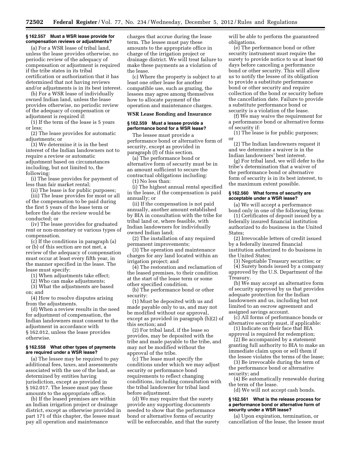# **§ 162.557 Must a WSR lease provide for compensation reviews or adjustments?**

(a) For a WSR lease of tribal land, unless the lease provides otherwise, no periodic review of the adequacy of compensation or adjustment is required if the tribe states in its tribal certification or authorization that it has determined that not having reviews and/or adjustments is in its best interest.

(b) For a WSR lease of individually owned Indian land, unless the lease provides otherwise, no periodic review of the adequacy of compensation or adjustment is required if:

(1) If the term of the lease is 5 years or less;

(2) The lease provides for automatic adjustments; or

(3) We determine it is in the best interest of the Indian landowners not to require a review or automatic adjustment based on circumstances including, but not limited to, the following:

(i) The lease provides for payment of less than fair market rental;

(ii) The lease is for public purposes;

(iii) The lease provides for most or all of the compensation to be paid during the first 5 years of the lease term or before the date the review would be conducted; or

(iv) The lease provides for graduated rent or non-monetary or various types of compensation.

(c) If the conditions in paragraph (a) or (b) of this section are not met, a review of the adequacy of compensation must occur at least every fifth year, in the manner specified in the lease. The lease must specify:

(1) When adjustments take effect;

(2) Who can make adjustments;

(3) What the adjustments are based on; and

(4) How to resolve disputes arising from the adjustments.

(d) When a review results in the need for adjustment of compensation, the Indian landowners must consent to the adjustment in accordance with § 162.012, unless the lease provides otherwise.

#### **§ 162.558 What other types of payments are required under a WSR lease?**

(a) The lessee may be required to pay additional fees, taxes, and assessments associated with the use of the land, as determined by entities having jurisdiction, except as provided in § 162.017. The lessee must pay these amounts to the appropriate office.

(b) If the leased premises are within an Indian irrigation project or drainage district, except as otherwise provided in part 171 of this chapter, the lessee must pay all operation and maintenance

charges that accrue during the lease term. The lessee must pay these amounts to the appropriate office in charge of the irrigation project or drainage district. We will treat failure to make these payments as a violation of the lease.

(c) Where the property is subject to at least one other lease for another compatible use, such as grazing, the lessees may agree among themselves how to allocate payment of the operation and maintenance charges.

#### **WSR Lease Bonding and Insurance**

# **§ 162.559 Must a lessee provide a performance bond for a WSR lease?**

The lessee must provide a performance bond or alternative form of security, except as provided in paragraph (f) of this section.

(a) The performance bond or alternative form of security must be in an amount sufficient to secure the contractual obligations including:

(1) No less than:

(i) The highest annual rental specified in the lease, if the compensation is paid annually; or

(ii) If the compensation is not paid annually, another amount established by BIA in consultation with the tribe for tribal land or, where feasible, with Indian landowners for individually owned Indian land;

(2) The installation of any required permanent improvements;

(3) The operation and maintenance charges for any land located within an irrigation project; and

(4) The restoration and reclamation of the leased premises, to their condition at the start of the lease term or some other specified condition.

(b) The performance bond or other security:

(1) Must be deposited with us and made payable only to us, and may not be modified without our approval, except as provided in paragraph (b)(2) of this section; and

(2) For tribal land, if the lease so provides, may be deposited with the tribe and made payable to the tribe, and may not be modified without the approval of the tribe.

(c) The lease must specify the conditions under which we may adjust security or performance bond requirements to reflect changing conditions, including consultation with the tribal landowner for tribal land before adjustment.

(d) We may require that the surety provide any supporting documents needed to show that the performance bond or alternative forms of security will be enforceable, and that the surety will be able to perform the guaranteed obligations.

(e) The performance bond or other security instrument must require the surety to provide notice to us at least 60 days before canceling a performance bond or other security. This will allow us to notify the lessee of its obligation to provide a substitute performance bond or other security and require collection of the bond or security before the cancellation date. Failure to provide a substitute performance bond or security is a violation of the lease.

(f) We may waive the requirement for a performance bond or alternative forms of security if:

(1) The lease is for public purposes; or

(2) The Indian landowners request it and we determine a waiver is in the Indian landowners' best interest.

(g) For tribal land, we will defer to the tribe's determination that a waiver of the performance bond or alternative form of security is in its best interest, to the maximum extent possible.

# **§ 162.560 What forms of security are acceptable under a WSR lease?**

(a) We will accept a performance bond only in one of the following forms:

(1) Certificates of deposit issued by a federally insured financial institution authorized to do business in the United States;

(2) Irrevocable letters of credit issued by a federally insured financial institution authorized to do business in the United States;

(3) Negotiable Treasury securities; or

(4) Surety bonds issued by a company approved by the U.S. Department of the Treasury.

(b) We may accept an alternative form of security approved by us that provides adequate protection for the Indian landowners and us, including but not limited to an escrow agreement and assigned savings account.

(c) All forms of performance bonds or alternative security must, if applicable:

(1) Indicate on their face that BIA approval is required for redemption;

(2) Be accompanied by a statement granting full authority to BIA to make an immediate claim upon or sell them if the lessee violates the terms of the lease;

(3) Be irrevocable during the term of the performance bond or alternative security; and

(4) Be automatically renewable during the term of the lease.

(d) We will not accept cash bonds.

#### **§ 162.561 What is the release process for a performance bond or alternative form of security under a WSR lease?**

(a) Upon expiration, termination, or cancellation of the lease, the lessee must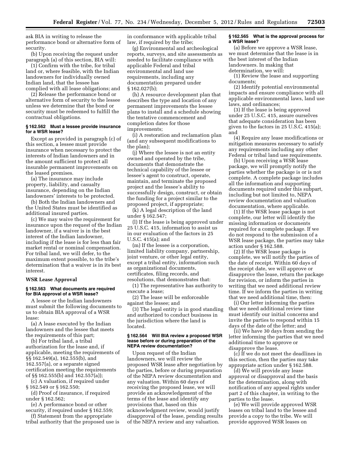ask BIA in writing to release the performance bond or alternative form of security.

(b) Upon receiving the request under paragraph (a) of this section, BIA will:

(1) Confirm with the tribe, for tribal land or, where feasible, with the Indian landowners for individually owned Indian land, that the lessee has complied with all lease obligations; and

(2) Release the performance bond or alternative form of security to the lessee unless we determine that the bond or security must be redeemed to fulfill the contractual obligations.

# **§ 162.562 Must a lessee provide insurance for a WSR lease?**

Except as provided in paragraph (c) of this section, a lessee must provide insurance when necessary to protect the interests of Indian landowners and in the amount sufficient to protect all insurable permanent improvements on the leased premises.

(a) The insurance may include property, liability, and casualty insurance, depending on the Indian landowners' interests to be protected.

(b) Both the Indian landowners and the United States must be identified as additional insured parties.

(c) We may waive the requirement for insurance upon the request of the Indian landowner, if a waiver is in the best interest of the Indian landowner, including if the lease is for less than fair market rental or nominal compensation. For tribal land, we will defer, to the maximum extent possible, to the tribe's determination that a waiver is in its best interest.

# **WSR Lease Approval**

#### **§ 162.563 What documents are required for BIA approval of a WSR lease?**

A lessee or the Indian landowners must submit the following documents to us to obtain BIA approval of a WSR lease:

(a) A lease executed by the Indian landowners and the lessee that meets the requirements of this part;

(b) For tribal land, a tribal authorization for the lease and, if applicable, meeting the requirements of §§ 162.549(a), 162.555(b), and 162.557(a), or a separate signed certification meeting the requirements of §§ 162.555(b) and 162.557(a));

(c) A valuation, if required under § 162.549 or § 162.550;

(d) Proof of insurance, if required under § 162.562;

(e) A performance bond or other security, if required under § 162.559;

(f) Statement from the appropriate tribal authority that the proposed use is

in conformance with applicable tribal law, if required by the tribe;

(g) Environmental and archeological reports, surveys, and site assessments as needed to facilitate compliance with applicable Federal and tribal environmental and land use requirements, including any documentation prepared under § 162.027(b);

(h) A resource development plan that describes the type and location of any permanent improvements the lessee plans to install and a schedule showing the tentative commencement and completion dates for those improvements;

(i) A restoration and reclamation plan (and any subsequent modifications to the plan);

(j) Where the lessee is not an entity owned and operated by the tribe, documents that demonstrate the technical capability of the lessee or lessee's agent to construct, operate, maintain, and terminate the proposed project and the lessee's ability to successfully design, construct, or obtain the funding for a project similar to the proposed project, if appropriate;

(k) A legal description of the land under § 162.547;

(l) If the lease is being approved under 25 U.S.C. 415, information to assist us in our evaluation of the factors in 25 U.S.C. 415(a); and

(m) If the lessee is a corporation, limited liability company, partnership, joint venture, or other legal entity, except a tribal entity, information such as organizational documents, certificates, filing records, and resolutions, that demonstrates that:

(1) The representative has authority to execute a lease;

(2) The lease will be enforceable against the lessee; and

(3) The legal entity is in good standing and authorized to conduct business in the jurisdiction where the land is located.

#### **§ 162.564 Will BIA review a proposed WSR lease before or during preparation of the NEPA review documentation?**

Upon request of the Indian landowners, we will review the proposed WSR lease after negotiation by the parties, before or during preparation of the NEPA review documentation and any valuation. Within 60 days of receiving the proposed lease, we will provide an acknowledgement of the terms of the lease and identify any provisions that, based on this acknowledgment review, would justify disapproval of the lease, pending results of the NEPA review and any valuation.

#### **§ 162.565 What is the approval process for a WSR lease?**

(a) Before we approve a WSR lease, we must determine that the lease is in the best interest of the Indian landowners. In making that determination, we will:

(1) Review the lease and supporting documents;

(2) Identify potential environmental impacts and ensure compliance with all applicable environmental laws, land use laws, and ordinances;

(3) If the lease is being approved under 25 U.S.C. 415, assure ourselves that adequate consideration has been given to the factors in 25 U.S.C. 415(a); and

(4) Require any lease modifications or mitigation measures necessary to satisfy any requirements including any other Federal or tribal land use requirements.

(b) Upon receiving a WSR lease package, we will promptly notify the parties whether the package is or is not complete. A complete package includes all the information and supporting documents required under this subpart, including but not limited to, NEPA review documentation and valuation documentation, where applicable.

(1) If the WSR lease package is not complete, our letter will identify the missing information or documents required for a complete package. If we do not respond to the submission of a WSR lease package, the parties may take action under § 162.588.

(2) If the WSR lease package is complete, we will notify the parties of the date of receipt. Within 60 days of the receipt date, we will approve or disapprove the lease, return the package for revision, or inform the parties in writing that we need additional review time. If we inform the parties in writing that we need additional time, then:

(i) Our letter informing the parties that we need additional review time must identify our initial concerns and invite the parties to respond within 15 days of the date of the letter; and

(ii) We have 30 days from sending the letter informing the parties that we need additional time to approve or disapprove the lease.

(c) If we do not meet the deadlines in this section, then the parties may take appropriate action under § 162.588.

(d) We will provide any lease approval or disapproval and the basis for the determination, along with notification of any appeal rights under part 2 of this chapter, in writing to the parties to the lease.

(e) We will provide approved WSR leases on tribal land to the lessee and provide a copy to the tribe. We will provide approved WSR leases on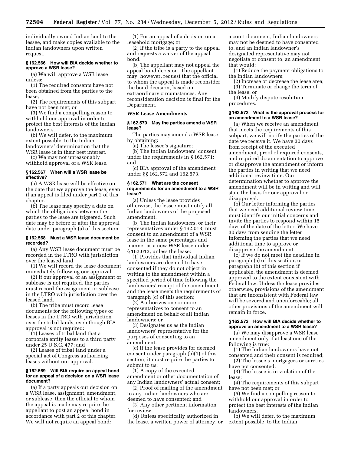individually owned Indian land to the lessee, and make copies available to the Indian landowners upon written request.

#### **§ 162.566 How will BIA decide whether to approve a WSR lease?**

(a) We will approve a WSR lease unless:

(1) The required consents have not been obtained from the parties to the lease;

(2) The requirements of this subpart have not been met; or

(3) We find a compelling reason to withhold our approval in order to protect the best interests of the Indian landowners.

(b) We will defer, to the maximum extent possible, to the Indian landowners' determination that the

WSR lease is in their best interest. (c) We may not unreasonably

withhold approval of a WSR lease.

#### **§ 162.567 When will a WSR lease be effective?**

(a) A WSR lease will be effective on the date that we approve the lease, even if an appeal is filed under part 2 of this chapter.

(b) The lease may specify a date on which the obligations between the parties to the lease are triggered. Such date may be before or after the approval date under paragraph (a) of this section.

#### **§ 162.568 Must a WSR lease document be recorded?**

(a) Any WSR lease document must be recorded in the LTRO with jurisdiction over the leased land.

(1) We will record the lease document immediately following our approval.

(2) If our approval of an assignment or sublease is not required, the parties must record the assignment or sublease in the LTRO with jurisdiction over the leased land.

(b) The tribe must record lease documents for the following types of leases in the LTRO with jurisdiction over the tribal lands, even though BIA approval is not required:

(1) Leases of tribal land that a corporate entity leases to a third party under 25 U.S.C. 477; and

(2) Leases of tribal land under a special act of Congress authorizing leases without our approval.

#### **§ 162.569 Will BIA require an appeal bond for an appeal of a decision on a WSR lease document?**

(a) If a party appeals our decision on a WSR lease, assignment, amendment, or sublease, then the official to whom the appeal is made may require the appellant to post an appeal bond in accordance with part 2 of this chapter. We will not require an appeal bond:

(1) For an appeal of a decision on a leasehold mortgage; or

(2) If the tribe is a party to the appeal and requests a waiver of the appeal bond.

(b) The appellant may not appeal the appeal bond decision. The appellant may, however, request that the official to whom the appeal is made reconsider the bond decision, based on extraordinary circumstances. Any reconsideration decision is final for the Department.

#### **WSR Lease Amendments**

#### **§ 162.570 May the parties amend a WSR lease?**

The parties may amend a WSR lease by obtaining:

(a) The lessee's signature;

(b) The Indian landowners' consent under the requirements in § 162.571; and

(c) BIA approval of the amendment under §§ 162.572 and 162.573.

#### **§ 162.571 What are the consent requirements for an amendment to a WSR lease?**

(a) Unless the lease provides otherwise, the lessee must notify all Indian landowners of the proposed amendment.

(b) The Indian landowners, or their representatives under § 162.013, must consent to an amendment of a WSR lease in the same percentages and manner as a new WSR lease under § 162.012, unless the lease:

(1) Provides that individual Indian landowners are deemed to have consented if they do not object in writing to the amendment within a specified period of time following the landowners' receipt of the amendment and the lease meets the requirements of paragraph (c) of this section;

(2) Authorizes one or more representatives to consent to an amendment on behalf of all Indian landowners; or

(3) Designates us as the Indian landowners' representative for the purposes of consenting to an amendment.

(c) If the lease provides for deemed consent under paragraph (b)(1) of this section, it must require the parties to submit to us:

(1) A copy of the executed amendment or other documentation of any Indian landowners' actual consent;

(2) Proof of mailing of the amendment to any Indian landowners who are deemed to have consented; and

(3) Any other pertinent information for review.

(d) Unless specifically authorized in the lease, a written power of attorney, or a court document, Indian landowners may not be deemed to have consented to, and an Indian landowner's designated representative may not negotiate or consent to, an amendment that would:

(1) Reduce the payment obligations to the Indian landowners;

(2) Increase or decrease the lease area; (3) Terminate or change the term of

the lease; or (4) Modify dispute resolution procedures.

# **§ 162.572 What is the approval process for an amendment to a WSR lease?**

(a) When we receive an amendment that meets the requirements of this subpart, we will notify the parties of the date we receive it. We have 30 days from receipt of the executed amendment, proof of required consents, and required documentation to approve or disapprove the amendment or inform the parties in writing that we need additional review time. Our determination whether to approve the amendment will be in writing and will state the basis for our approval or disapproval.

(b) Our letter informing the parties that we need additional review time must identify our initial concerns and invite the parties to respond within 15 days of the date of the letter. We have 30 days from sending the letter informing the parties that we need additional time to approve or disapprove the amendment.

(c) If we do not meet the deadline in paragraph (a) of this section, or paragraph (b) of this section if applicable, the amendment is deemed approved to the extent consistent with Federal law. Unless the lease provides otherwise, provisions of the amendment that are inconsistent with Federal law will be severed and unenforceable; all other provisions of the amendment will remain in force.

# **§ 162.573 How will BIA decide whether to approve an amendment to a WSR lease?**

(a) We may disapprove a WSR lease amendment only if at least one of the following is true:

(1) The Indian landowners have not consented and their consent is required;

(2) The lessee's mortgagees or sureties have not consented;

(3) The lessee is in violation of the lease;

(4) The requirements of this subpart have not been met; or

(5) We find a compelling reason to withhold our approval in order to protect the best interests of the Indian landowners.

(b) We will defer, to the maximum extent possible, to the Indian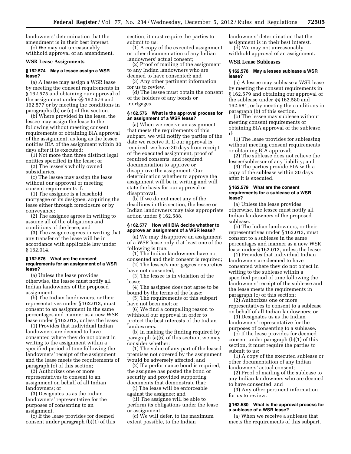landowners' determination that the amendment is in their best interest. (c) We may not unreasonably

withhold approval of an amendment.

# **WSR Lease Assignments**

#### **§ 162.574 May a lessee assign a WSR lease?**

(a) A lessee may assign a WSR lease by meeting the consent requirements in § 162.575 and obtaining our approval of the assignment under §§ 162.576 and 162.577 or by meeting the conditions in paragraphs (b) or (c) of this section.

(b) Where provided in the lease, the lessee may assign the lease to the following without meeting consent requirements or obtaining BIA approval of the assignment, as long as the lessee notifies BIA of the assignment within 30 days after it is executed:

(1) Not more than three distinct legal entities specified in the lease; or

(2) The lessee's wholly owned subsidiaries.

(c) The lessee may assign the lease without our approval or meeting consent requirements if:

(1) The assignee is a leasehold mortgagee or its designee, acquiring the lease either through foreclosure or by conveyance;

(2) The assignee agrees in writing to assume all of the obligations and conditions of the lease; and

(3) The assignee agrees in writing that any transfer of the lease will be in accordance with applicable law under § 162.014.

#### **§ 162.575 What are the consent requirements for an assignment of a WSR lease?**

(a) Unless the lease provides otherwise, the lessee must notify all Indian landowners of the proposed assignment.

(b) The Indian landowners, or their representatives under § 162.013, must consent to an assignment in the same percentages and manner as a new WSR lease under § 162.012, unless the lease:

(1) Provides that individual Indian landowners are deemed to have consented where they do not object in writing to the assignment within a specified period of time following the landowners' receipt of the assignment and the lease meets the requirements of paragraph (c) of this section;

(2) Authorizes one or more representatives to consent to an assignment on behalf of all Indian landowners; or

(3) Designates us as the Indian landowners' representative for the purposes of consenting to an assignment.

(c) If the lease provides for deemed consent under paragraph (b)(1) of this section, it must require the parties to submit to us:

(1) A copy of the executed assignment or other documentation of any Indian landowners' actual consent;

(2) Proof of mailing of the assignment to any Indian landowners who are deemed to have consented; and

(3) Any other pertinent information for us to review.

(d) The lessee must obtain the consent of the holders of any bonds or mortgages.

#### **§ 162.576 What is the approval process for an assignment of a WSR lease?**

(a) When we receive an assignment that meets the requirements of this subpart, we will notify the parties of the date we receive it. If our approval is required, we have 30 days from receipt of the executed assignment, proof of required consents, and required documentation to approve or disapprove the assignment. Our determination whether to approve the assignment will be in writing and will state the basis for our approval or disapproval.

(b) If we do not meet any of the deadlines in this section, the lessee or Indian landowners may take appropriate action under § 162.588.

# **§ 162.577 How will BIA decide whether to approve an assignment of a WSR lease?**

(a) We may disapprove an assignment of a WSR lease only if at least one of the following is true:

(1) The Indian landowners have not consented and their consent is required;

(2) The lessee's mortgagees or sureties have not consented;

(3) The lessee is in violation of the lease;

(4) The assignee does not agree to be bound by the terms of the lease;

(5) The requirements of this subpart have not been met; or

(6) We find a compelling reason to withhold our approval in order to protect the best interests of the Indian landowners.

(b) In making the finding required by paragraph (a)(6) of this section, we may consider whether:

(1) The value of any part of the leased premises not covered by the assignment would be adversely affected; and

(2) If a performance bond is required, the assignee has posted the bond or security and provided supporting documents that demonstrate that:

(i) The lease will be enforceable against the assignee; and

(ii) The assignee will be able to perform its obligations under the lease or assignment.

(c) We will defer, to the maximum extent possible, to the Indian

landowners' determination that the assignment is in their best interest.

(d) We may not unreasonably withhold approval of an assignment.

#### **WSR Lease Subleases**

#### **§ 162.578 May a lessee sublease a WSR lease?**

(a) A lessee may sublease a WSR lease by meeting the consent requirements in § 162.579 and obtaining our approval of the sublease under §§ 162.580 and 162.581, or by meeting the conditions in paragraph (b) of this section.

(b) The lessee may sublease without meeting consent requirements or obtaining BIA approval of the sublease, if:

(1) The lease provides for subleasing without meeting consent requirements or obtaining BIA approval;

(2) The sublease does not relieve the lessee/sublessor of any liability; and

(3) The parties provide BIA with a copy of the sublease within 30 days after it is executed.

# **§ 162.579 What are the consent requirements for a sublease of a WSR lease?**

(a) Unless the lease provides otherwise, the lessee must notify all Indian landowners of the proposed sublease.

(b) The Indian landowners, or their representatives under § 162.013, must consent to a sublease in the same percentages and manner as a new WSR lease under § 162.012, unless the lease:

(1) Provides that individual Indian landowners are deemed to have consented where they do not object in writing to the sublease within a specified period of time following the landowners' receipt of the sublease and the lease meets the requirements in paragraph (c) of this section;

(2) Authorizes one or more representatives to consent to a sublease on behalf of all Indian landowners; or

(3) Designates us as the Indian landowners' representative for the purposes of consenting to a sublease.

(c) If the lease provides for deemed consent under paragraph (b)(1) of this section, it must require the parties to submit to us:

(1) A copy of the executed sublease or other documentation of any Indian landowners' actual consent;

(2) Proof of mailing of the sublease to any Indian landowners who are deemed to have consented; and

(3) Any other pertinent information for us to review.

#### **§ 162.580 What is the approval process for a sublease of a WSR lease?**

(a) When we receive a sublease that meets the requirements of this subpart,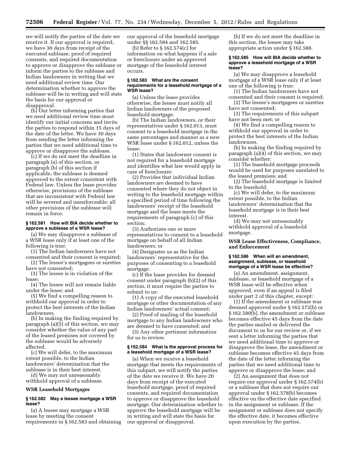we will notify the parties of the date we receive it. If our approval is required, we have 30 days from receipt of the executed sublease, proof of required consents, and required documentation to approve or disapprove the sublease or inform the parties to the sublease and Indian landowners in writing that we need additional review time. Our determination whether to approve the sublease will be in writing and will state the basis for our approval or disapproval.

(b) Our letter informing parties that we need additional review time must identify our initial concerns and invite the parties to respond within 15 days of the date of the letter. We have 30 days from sending the letter informing the parties that we need additional time to approve or disapprove the sublease.

(c) If we do not meet the deadline in paragraph (a) of this section, or paragraph (b) of this section if applicable, the sublease is deemed approved to the extent consistent with Federal law. Unless the lease provides otherwise, provisions of the sublease that are inconsistent with Federal law will be severed and unenforceable; all other provisions of the sublease will remain in force.

# **§ 162.581 How will BIA decide whether to approve a sublease of a WSR lease?**

(a) We may disapprove a sublease of a WSR lease only if at least one of the following is true:

(1) The Indian landowners have not consented and their consent is required;

(2) The lessee's mortgagees or sureties have not consented;

(3) The lessee is in violation of the lease;

(4) The lessee will not remain liable under the lease; and

(5) We find a compelling reason to withhold our approval in order to protect the best interests of the Indian landowners.

(b) In making the finding required by paragraph  $(a)(5)$  of this section, we may consider whether the value of any part of the leased premises not covered by the sublease would be adversely affected.

(c) We will defer, to the maximum extent possible, to the Indian landowners' determination that the sublease is in their best interest.

(d) We may not unreasonably withhold approval of a sublease.

#### **WSR Leasehold Mortgages**

#### **§ 162.582 May a lessee mortgage a WSR lease?**

(a) A lessee may mortgage a WSR lease by meeting the consent requirements in § 162.583 and obtaining our approval of the leasehold mortgage under §§ 162.584 and 162.585.

(b) Refer to § 162.574(c) for information on what happens if a sale or foreclosure under an approved mortgage of the leasehold interest occurs.

#### **§ 162.583 What are the consent requirements for a leasehold mortgage of a WSR lease?**

(a) Unless the lease provides otherwise, the lessee must notify all Indian landowners of the proposed leasehold mortgage.

(b) The Indian landowners, or their representatives under § 162.013, must consent to a leasehold mortgage in the same percentages and manner as a new WSR lease under § 162.012, unless the lease:

(1) States that landowner consent is not required for a leasehold mortgage and identifies what law would apply in case of foreclosure;

(2) Provides that individual Indian landowners are deemed to have consented where they do not object in writing to the leasehold mortgage within a specified period of time following the landowners' receipt of the leasehold mortgage and the lease meets the requirements of paragraph (c) of this section;

(3) Authorizes one or more representatives to consent to a leasehold mortgage on behalf of all Indian landowners; or

(4) Designates us as the Indian landowners' representative for the purposes of consenting to a leasehold mortgage.

(c) If the lease provides for deemed consent under paragraph (b)(2) of this section, it must require the parties to submit to us:

(1) A copy of the executed leasehold mortgage or other documentation of any Indian landowners' actual consent;

(2) Proof of mailing of the leasehold mortgage to any Indian landowners who are deemed to have consented; and

(3) Any other pertinent information for us to review.

# **§ 162.584 What is the approval process for a leasehold mortgage of a WSR lease?**

(a) When we receive a leasehold mortgage that meets the requirements of this subpart, we will notify the parties of the date we receive it. We have 20 days from receipt of the executed leasehold mortgage, proof of required consents, and required documentation to approve or disapprove the leasehold mortgage. Our determination whether to approve the leasehold mortgage will be in writing and will state the basis for our approval or disapproval.

(b) If we do not meet the deadline in this section, the lessee may take appropriate action under § 162.588.

#### **§ 162.585 How will BIA decide whether to approve a leasehold mortgage of a WSR lease?**

(a) We may disapprove a leasehold mortgage of a WSR lease only if at least one of the following is true:

(1) The Indian landowners have not consented and their consent is required;

(2) The lessee's mortgagees or sureties have not consented;

(3) The requirements of this subpart have not been met; or

(4) We find a compelling reason to withhold our approval in order to protect the best interests of the Indian landowners.

(b) In making the finding required by paragraph (a)(4) of this section, we may consider whether:

(1) The leasehold mortgage proceeds would be used for purposes unrelated to the leased premises; and

(2) The leasehold mortgage is limited to the leasehold.

(c) We will defer, to the maximum extent possible, to the Indian landowners' determination that the leasehold mortgage is in their best interest.

(d) We may not unreasonably withhold approval of a leasehold mortgage.

**WSR Lease Effectiveness, Compliance, and Enforcement** 

# **§ 162.586 When will an amendment, assignment, sublease, or leasehold mortgage of a WSR lease be effective?**

(a) An amendment, assignment, sublease, or leasehold mortgage of a WSR lease will be effective when approved, even if an appeal is filed under part 2 of this chapter, except:

(1) If the amendment or sublease was deemed approved under § 162.572(b) or § 162.580(b), the amendment or sublease becomes effective 45 days from the date the parties mailed or delivered the document to us for our review or, if we sent a letter informing the parties that we need additional time to approve or disapprove the lease, the amendment or sublease becomes effective 45 days from the date of the letter informing the parties that we need additional time to approve or disapprove the lease; and

(2) An assignment that does not require our approval under § 162.574(b) or a sublease that does not require our approval under § 162.578(b) becomes effective on the effective date specified in the assignment or sublease. If the assignment or sublease does not specify the effective date, it becomes effective upon execution by the parties.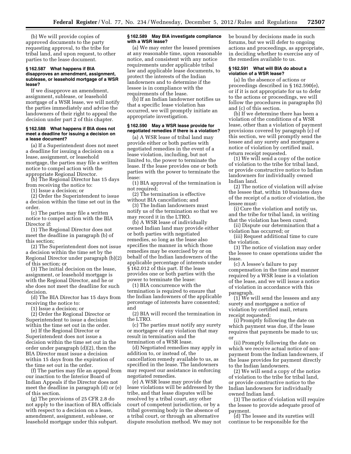(b) We will provide copies of approved documents to the party requesting approval, to the tribe for tribal land, and upon request, to other parties to the lease document.

#### **§ 162.587 What happens if BIA disapproves an amendment, assignment, sublease, or leasehold mortgage of a WSR lease?**

If we disapprove an amendment, assignment, sublease, or leasehold mortgage of a WSR lease, we will notify the parties immediately and advise the landowners of their right to appeal the decision under part 2 of this chapter.

#### **§ 162.588 What happens if BIA does not meet a deadline for issuing a decision on a lease document?**

(a) If a Superintendent does not meet a deadline for issuing a decision on a lease, assignment, or leasehold mortgage, the parties may file a written notice to compel action with the appropriate Regional Director.

(b) The Regional Director has 15 days from receiving the notice to:

(1) Issue a decision; or

(2) Order the Superintendent to issue a decision within the time set out in the order.

(c) The parties may file a written notice to compel action with the BIA Director if:

(1) The Regional Director does not meet the deadline in paragraph (b) of this section;

(2) The Superintendent does not issue a decision within the time set by the Regional Director under paragraph (b)(2) of this section; or

(3) The initial decision on the lease, assignment, or leasehold mortgage is with the Regional Director, and he or she does not meet the deadline for such decision.

(d) The BIA Director has 15 days from receiving the notice to:

(1) Issue a decision; or

(2) Order the Regional Director or Superintendent to issue a decision within the time set out in the order.

(e) If the Regional Director or Superintendent does not issue a decision within the time set out in the order under paragraph (d)(2), then the BIA Director must issue a decision within 15 days from the expiration of the time set out in the order.

(f) The parties may file an appeal from our inaction to the Interior Board of Indian Appeals if the Director does not meet the deadline in paragraph (d) or (e) of this section.

(g) The provisions of 25 CFR 2.8 do not apply to the inaction of BIA officials with respect to a decision on a lease, amendment, assignment, sublease, or leasehold mortgage under this subpart.

#### **§ 162.589 May BIA investigate compliance with a WSR lease?**

(a) We may enter the leased premises at any reasonable time, upon reasonable notice, and consistent with any notice requirements under applicable tribal law and applicable lease documents, to protect the interests of the Indian landowners and to determine if the lessee is in compliance with the requirements of the lease.

(b) If an Indian landowner notifies us that a specific lease violation has occurred, we will promptly initiate an appropriate investigation.

#### **§ 162.590 May a WSR lease provide for negotiated remedies if there is a violation?**

(a) A WSR lease of tribal land may provide either or both parties with negotiated remedies in the event of a lease violation, including, but not limited to, the power to terminate the lease. If the lease provides one or both parties with the power to terminate the lease:

(1) BIA approval of the termination is not required;

(2) The termination is effective without BIA cancellation; and

(3) The Indian landowners must notify us of the termination so that we may record it in the LTRO.

(b) A WSR lease of individually owned Indian land may provide either or both parties with negotiated remedies, so long as the lease also specifies the manner in which those remedies may be exercised by or on behalf of the Indian landowners of the applicable percentage of interests under § 162.012 of this part. If the lease provides one or both parties with the power to terminate the lease:

(1) BIA concurrence with the termination is required to ensure that the Indian landowners of the applicable percentage of interests have consented; and

(2) BIA will record the termination in the LTRO.

(c) The parties must notify any surety or mortgagee of any violation that may result in termination and the termination of a WSR lease.

(d) Negotiated remedies may apply in addition to, or instead of, the cancellation remedy available to us, as specified in the lease. The landowners may request our assistance in enforcing negotiated remedies.

(e) A WSR lease may provide that lease violations will be addressed by the tribe, and that lease disputes will be resolved by a tribal court, any other court of competent jurisdiction, or by a tribal governing body in the absence of a tribal court, or through an alternative dispute resolution method. We may not

be bound by decisions made in such forums, but we will defer to ongoing actions and proceedings, as appropriate, in deciding whether to exercise any of the remedies available to us.

# **§ 162.591 What will BIA do about a violation of a WSR lease?**

(a) In the absence of actions or proceedings described in § 162.590(e), or if it is not appropriate for us to defer to the actions or proceedings, we will follow the procedures in paragraphs (b) and (c) of this section.

(b) If we determine there has been a violation of the conditions of a WSR lease, other than a violation of payment provisions covered by paragraph (c) of this section, we will promptly send the lessee and any surety and mortgagee a notice of violation by certified mail, return receipt requested.

(1) We will send a copy of the notice of violation to the tribe for tribal land, or provide constructive notice to Indian landowners for individually owned Indian land.

(2) The notice of violation will advise the lessee that, within 10 business days of the receipt of a notice of violation, the lessee must:

(i) Cure the violation and notify us, and the tribe for tribal land, in writing that the violation has been cured;

(ii) Dispute our determination that a violation has occurred; or

(iii) Request additional time to cure the violation.

(3) The notice of violation may order the lessee to cease operations under the lease.

(c) A lessee's failure to pay compensation in the time and manner required by a WSR lease is a violation of the lease, and we will issue a notice of violation in accordance with this paragraph.

 $(1)$  We will send the lessees and any surety and mortgagee a notice of violation by certified mail, return receipt requested:

(i) Promptly following the date on which payment was due, if the lease requires that payments be made to us; or

(ii) Promptly following the date on which we receive actual notice of nonpayment from the Indian landowners, if the lease provides for payment directly to the Indian landowners.

(2) We will send a copy of the notice of violation to the tribe for tribal land, or provide constructive notice to the Indian landowners for individually owned Indian land.

(3) The notice of violation will require the lessee to provide adequate proof of payment.

(d) The lessee and its sureties will continue to be responsible for the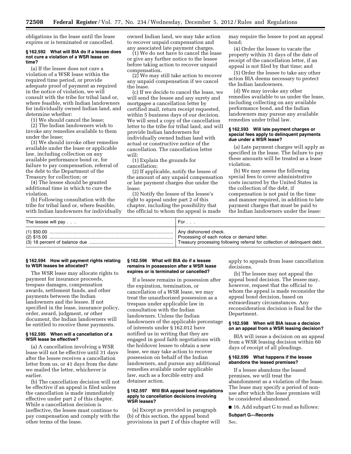obligations in the lease until the lease expires or is terminated or cancelled.

#### **§ 162.592 What will BIA do if a lessee does not cure a violation of a WSR lease on time?**

(a) If the lessee does not cure a violation of a WSR lease within the required time period, or provide adequate proof of payment as required in the notice of violation, we will consult with the tribe for tribal land or, where feasible, with Indian landowners for individually owned Indian land, and determine whether:

(1) We should cancel the lease;

(2) The Indian landowners wish to invoke any remedies available to them under the lease;

(3) We should invoke other remedies available under the lease or applicable law, including collection on any available performance bond or, for failure to pay compensation, referral of the debt to the Department of the Treasury for collection; or

(4) The lessee should be granted additional time in which to cure the violation.

(b) Following consultation with the tribe for tribal land or, where feasible, with Indian landowners for individually owned Indian land, we may take action to recover unpaid compensation and any associated late payment charges.

(1) We do not have to cancel the lease or give any further notice to the lessee before taking action to recover unpaid compensation.

 $(2)$  We may still take action to recover any unpaid compensation if we cancel the lease.

(c) If we decide to cancel the lease, we will send the lessee and any surety and mortgagee a cancellation letter by certified mail, return receipt requested, within 5 business days of our decision. We will send a copy of the cancellation letter to the tribe for tribal land, and will provide Indian landowners for individually owned Indian land with actual or constructive notice of the cancellation. The cancellation letter will:

(1) Explain the grounds for cancellation;

(2) If applicable, notify the lessee of the amount of any unpaid compensation or late payment charges due under the lease;

(3) Notify the lessee of the lessee's right to appeal under part 2 of this chapter, including the possibility that the official to whom the appeal is made may require the lessee to post an appeal bond;

(4) Order the lessee to vacate the property within 31 days of the date of receipt of the cancellation letter, if an appeal is not filed by that time; and

(5) Order the lessee to take any other action BIA deems necessary to protect the Indian landowners.

(d) We may invoke any other remedies available to us under the lease, including collecting on any available performance bond, and the Indian landowners may pursue any available remedies under tribal law.

# **§ 162.593 Will late payment charges or special fees apply to delinquent payments due under a WSR lease?**

(a) Late payment charges will apply as specified in the lease. The failure to pay these amounts will be treated as a lease violation.

(b) We may assess the following special fees to cover administrative costs incurred by the United States in the collection of the debt, if compensation is not paid in the time and manner required, in addition to late payment charges that must be paid to the Indian landowners under the lease:

| The lessee will pay | For $\ldots$                                                              |
|---------------------|---------------------------------------------------------------------------|
|                     | Any dishonored check.                                                     |
|                     | Processing of each notice or demand letter.                               |
|                     | Treasury processing following referral for collection of delinquent debt. |

# **§ 162.594 How will payment rights relating to WSR leases be allocated?**

The WSR lease may allocate rights to payment for insurance proceeds, trespass damages, compensation awards, settlement funds, and other payments between the Indian landowners and the lessee. If not specified in the lease, insurance policy, order, award, judgment, or other document, the Indian landowners will be entitled to receive these payments.

# **§ 162.595 When will a cancellation of a WSR lease be effective?**

(a) A cancellation involving a WSR lease will not be effective until 31 days after the lessee receives a cancellation letter from us, or 41 days from the date we mailed the letter, whichever is earlier.

(b) The cancellation decision will not be effective if an appeal is filed unless the cancellation is made immediately effective under part 2 of this chapter. While a cancellation decision is ineffective, the lessee must continue to pay compensation and comply with the other terms of the lease.

# **§ 162.596 What will BIA do if a lessee remains in possession after a WSR lease expires or is terminated or cancelled?**

If a lessee remains in possession after the expiration, termination, or cancellation of a WSR lease, we may treat the unauthorized possession as a trespass under applicable law in consultation with the Indian landowners. Unless the Indian landowners of the applicable percentage of interests under § 162.012 have notified us in writing that they are engaged in good faith negotiations with the holdover lessee to obtain a new lease, we may take action to recover possession on behalf of the Indian landowners, and pursue any additional remedies available under applicable law, such as a forcible entry and detainer action.

## **§ 162.597 Will BIA appeal bond regulations apply to cancellation decisions involving WSR leases?**

(a) Except as provided in paragraph (b) of this section, the appeal bond provisions in part 2 of this chapter will apply to appeals from lease cancellation decisions.

(b) The lessee may not appeal the appeal bond decision. The lessee may, however, request that the official to whom the appeal is made reconsider the appeal bond decision, based on extraordinary circumstances. Any reconsideration decision is final for the Department.

#### **§ 162.598 When will BIA issue a decision on an appeal from a WSR leasing decision?**

BIA will issue a decision on an appeal from a WSR leasing decision within 60 days of receipt of all pleadings.

# **§ 162.599 What happens if the lessee abandons the leased premises?**

If a lessee abandons the leased premises, we will treat the abandonment as a violation of the lease. The lease may specify a period of nonuse after which the lease premises will be considered abandoned.

■ 16. Add subpart G to read as follows:

**Subpart G—Records** 

Sec.